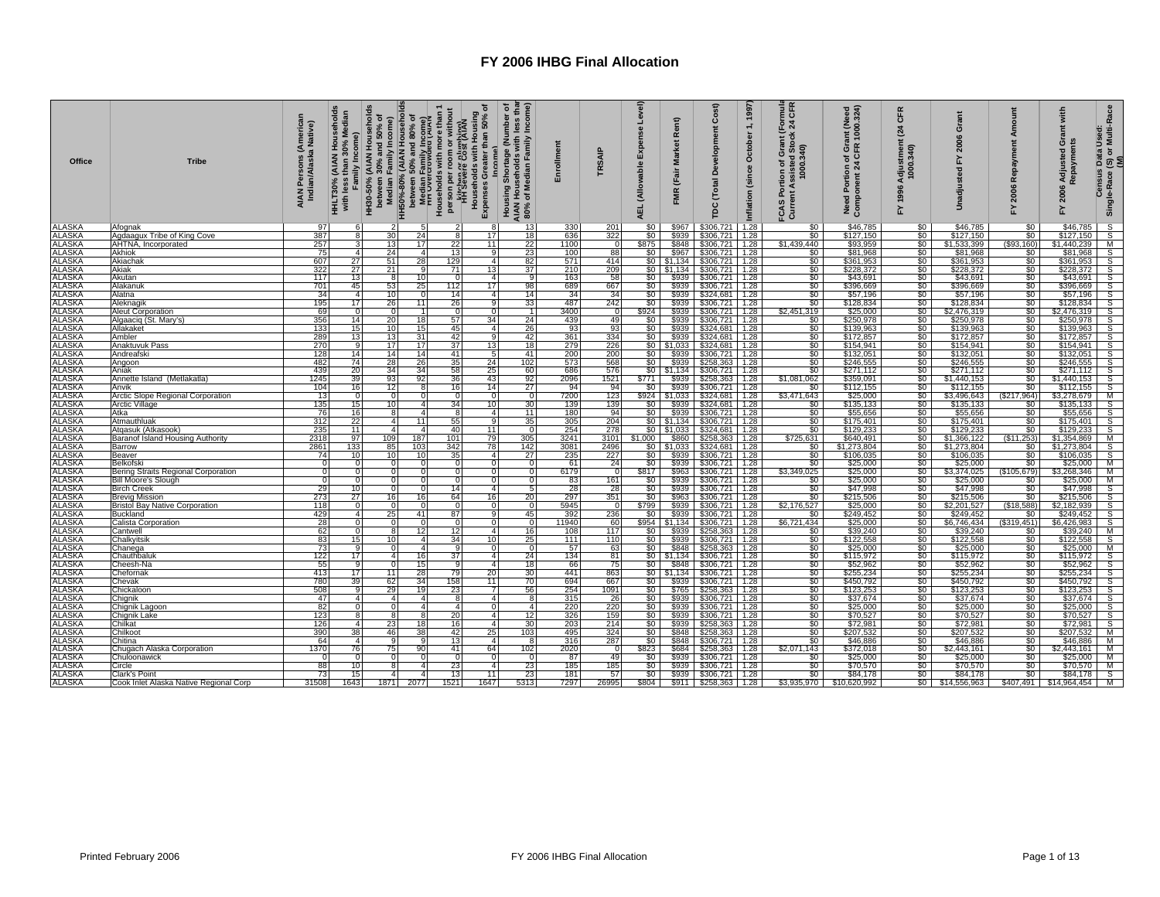| Office                     | <b>Tribe</b>                               | AIAN Persons (America<br>Indian/Alaska Native)<br>HHLT30% | HH30-50% (AIAN Household<br>between 30% and 50% of<br>Median Family Income)<br>Family Income)<br>Σ<br>30% |                                           | ৽<br><b>Income</b>                                         | Income)<br>Housing Shortage (Number of<br>AIAN Households with less tha<br>80% of Median Family Income) | Enrollment      | TRSAIP            | Level)<br>Expense<br>(Allowable<br>AEL. | Rent)<br><b>Market</b><br>(Fair<br><b>FMR</b> | Cost)<br>Development<br>(Total<br>рc             | 1997<br>$\div$<br>October<br>(since<br>Inflation | Thuia<br>CFR<br>$\frac{5}{24}$<br>ssisted Stock:<br>1000.340)<br>Grant<br>৽<br>Portion o<br>nt Assist<br>FCAS  <br>Currer | Need Portion of Grant (Need<br>Component 24 CFR 1000.324) | CFR<br>$\mathbf{z}_4$<br>Adjustment<br>1000.340)<br>1996<br>놊 | ō<br>ន្ត<br><b>Gd</b>  | Amount<br>Repayment<br>2006<br>놊 | with<br>änt<br>ö<br>Adjusted<br>aym<br>FY 2006 | (S) or Multi-Race<br>(M)<br><b>Census Data Used</b><br>Single-Race |
|----------------------------|--------------------------------------------|-----------------------------------------------------------|-----------------------------------------------------------------------------------------------------------|-------------------------------------------|------------------------------------------------------------|---------------------------------------------------------------------------------------------------------|-----------------|-------------------|-----------------------------------------|-----------------------------------------------|--------------------------------------------------|--------------------------------------------------|---------------------------------------------------------------------------------------------------------------------------|-----------------------------------------------------------|---------------------------------------------------------------|------------------------|----------------------------------|------------------------------------------------|--------------------------------------------------------------------|
| <b>ALASKA</b>              | Afognal                                    | 97                                                        |                                                                                                           |                                           |                                                            | 13                                                                                                      | 330             | 201               | \$0                                     | \$967                                         | \$306,721                                        | 1.28                                             | \$0                                                                                                                       | \$46,785                                                  | \$0                                                           | \$46,785               | \$0                              | \$46,785                                       | $\overline{s}$                                                     |
| <b>ALASKA</b>              | Agdaagux Tribe of King Cove                | 387                                                       | 8                                                                                                         | 30<br>24                                  | 17<br>8                                                    | 18                                                                                                      | 636             | 322               | \$0                                     | \$939                                         | $$306,721$ 1.28                                  |                                                  | \$0                                                                                                                       | \$127,150                                                 | \$0                                                           | \$127,150              | \$0                              | \$127,150                                      | $\overline{s}$                                                     |
| <b>ALASKA</b>              | AHTNA, Incorporated                        | 257                                                       | 3                                                                                                         | 17<br>13                                  | 22<br>11                                                   | 22                                                                                                      | 1100            | $\overline{0}$    | \$875                                   | \$848                                         | \$306,721 1.28                                   |                                                  | \$1,439,440                                                                                                               | \$93,959                                                  | \$0                                                           | \$1,533,399            | \$93,160                         | \$1,440,239                                    | M                                                                  |
| ALASKA                     | Akhiok                                     | 75                                                        | 4 <sup>1</sup>                                                                                            | 24<br>$\overline{4}$                      | 13<br>a                                                    | 23                                                                                                      | 100             | 88                | \$0                                     |                                               | \$967 \$306,721 1.28                             |                                                  | $\frac{$0}{$0}$                                                                                                           | \$81,968                                                  | \$0                                                           | \$81,968               | \$0                              | \$81,968                                       | S                                                                  |
| ALASKA                     | Akiachak                                   | 607                                                       | 27                                                                                                        | 28<br>51                                  | 129<br>$\overline{a}$                                      | 82                                                                                                      | 571             | 414               |                                         |                                               | $$0 \mid $1,134 \mid $306,721$                   | 1.28                                             |                                                                                                                           | \$361,953                                                 | \$0                                                           | \$361,953              | \$0                              | \$361,953                                      | $\overline{\mathsf{s}}$                                            |
| ALASKA<br><b>ALASKA</b>    | Akiak<br>Akutan                            | 322<br>117                                                | 27<br>13                                                                                                  | 21<br>9<br>10<br>8                        | 71<br>13 <sub>l</sub><br>$\Omega$<br>$\boldsymbol{\Delta}$ | 37<br><b>q</b>                                                                                          | 210<br>163      | 209<br>58         | \$0                                     | $$0 \mid $1,134 \mid$<br>\$939                | \$306,721<br>\$306,721                           | 1.28<br>1.28                                     | \$0<br>\$0                                                                                                                | \$228,372<br>\$43,691                                     | \$0<br>\$0                                                    | \$228,372<br>\$43,691  | \$0<br>\$0                       | \$228,372<br>\$43,691                          | $\overline{\mathcal{Z}}$<br>S                                      |
| ALASKA                     | Alakanuk                                   | 701                                                       | 45                                                                                                        | 25<br>53                                  | 17<br>112                                                  | 98                                                                                                      | 689             | 667               | \$0                                     | \$939                                         | \$306,721                                        | 1.28                                             | $\overline{\$0}$                                                                                                          | \$396,669                                                 | \$0                                                           | \$396,669              | \$0                              | \$396,669                                      | S                                                                  |
| <b>ALASKA</b>              | Alatna                                     | 34                                                        | $\overline{4}$                                                                                            | $\overline{0}$<br>10 <sup>1</sup>         | 14<br>$\overline{4}$                                       | 14                                                                                                      | 34              | 34                | \$0                                     | \$939                                         | \$324,681                                        | 1.28                                             |                                                                                                                           | \$57,196                                                  |                                                               | \$57,196               |                                  | \$57,196                                       | S                                                                  |
| <b>ALASKA</b>              | Aleknagik                                  | 195                                                       | 17                                                                                                        | 26<br>11                                  | 26                                                         | 33                                                                                                      | 487             | 242               | \$0                                     | \$939                                         | \$306,721                                        | 1.28                                             | $\frac{1}{50}$                                                                                                            | \$128,834                                                 | $\frac{$0}{$0}$                                               | \$128,834              | $\frac{1}{20}$<br>$\frac{1}{20}$ | \$128,834                                      | S                                                                  |
| <b>ALASKA</b>              | Aleut Corporation                          | 69                                                        | $\mathbf 0$                                                                                               | $\Omega$                                  | $\Omega$                                                   |                                                                                                         | 3400            | $\overline{0}$    | \$924                                   |                                               | \$939 \$306,721                                  | 1.28                                             | \$2,451,319                                                                                                               | \$25,000                                                  | \$0                                                           | \$2,476,319            |                                  | \$2,476,319                                    | S                                                                  |
| ALASKA                     | Algaacig (St. Mary's)                      | 356                                                       | 14                                                                                                        | 18<br>20                                  | 57<br>34                                                   | 24                                                                                                      | 439             | 49                | SO <sub>1</sub>                         |                                               | \$939 \$306,721 1.28                             |                                                  |                                                                                                                           | \$250,978                                                 | \$0                                                           | \$250,978              | \$0                              | \$250,978                                      | $\overline{\mathsf{s}}$                                            |
| <b>ALASKA</b>              | Allakaket                                  | 133                                                       | 15 <sub>l</sub>                                                                                           | 10 <sup>1</sup><br>15                     | 45<br>$\overline{a}$                                       | 26                                                                                                      | 93              | 93                | \$0                                     |                                               | \$939 \$324,681 1.28                             |                                                  | $\frac{$0}{$0}$                                                                                                           | \$139,963                                                 | \$0                                                           | \$139,963              | \$0                              | \$139,963                                      | $\Sigma$                                                           |
| <b>ALASKA</b>              | Ambler                                     | 289                                                       | 13                                                                                                        | 31<br>13                                  | 42<br>$\mathbf{Q}$                                         | 42                                                                                                      | 361             | 334               | \$0                                     | \$939                                         | \$324,681                                        | 1.28                                             | \$0                                                                                                                       | \$172,857                                                 | \$0                                                           | \$172,857              | \$0                              | \$172,857                                      | S                                                                  |
| <b>ALASKA</b>              | Anaktuvuk Pass                             | 270                                                       | $\overline{9}$                                                                                            | 17<br>17                                  | 37<br>13                                                   | 18                                                                                                      | 279             | $\frac{226}{200}$ |                                         | $$0$ $$1,033$                                 | $$324,681$ 1.28                                  |                                                  | $\frac{$0}{$0}$                                                                                                           | \$154,941                                                 | $\frac{$0}{$0}$                                               | \$154,941              | $\frac{50}{50}$                  | \$154,941                                      | $\overline{s}$                                                     |
| <b>ALASKA</b>              | Andreafski                                 | 128                                                       | 14                                                                                                        | 14<br>14                                  | 41                                                         | 41                                                                                                      | 200             |                   | \$0                                     |                                               | \$939 \$306,721 1.28                             |                                                  |                                                                                                                           | \$132,051                                                 |                                                               | \$132,051              |                                  | \$132,051                                      | $\overline{s}$                                                     |
| <b>ALASKA</b><br>ALASKA    | Angoon<br>Aniak                            | 482<br>439                                                | 74<br>20                                                                                                  | 26<br>28<br>34<br>34                      | 35<br>24<br>58<br>25                                       | 102<br>60                                                                                               | 573<br>686      | 568<br>576        | \$0                                     | \$939                                         | \$258,363<br>$$0 \mid $1,134 \mid $306,721$      | 1.28<br>1.28                                     | \$0<br>\$0                                                                                                                | \$246,555<br>\$271,112                                    | \$0<br>\$0                                                    | \$246,555<br>\$271,112 | \$0<br>\$0                       | \$246,555<br>\$271,112                         | S<br>S                                                             |
| ALASKA                     | Annette Island (Metlakatla)                | 1245                                                      | 39                                                                                                        | 92<br>93                                  | 36<br>43                                                   | 92                                                                                                      | 2096            | 1521              | \$771                                   |                                               | \$939 \$258,363                                  | 1.28                                             | \$1,081,062                                                                                                               | \$359,091                                                 | \$0                                                           | \$1,440,153            | ŠŌ.                              | \$1,440,153                                    | S                                                                  |
| <b>ALASKA</b>              | Anvik                                      | 104                                                       | 16                                                                                                        | 12<br>$\mathbf{R}$                        | 16<br>14                                                   | 27                                                                                                      | 94              | 94                | \$0                                     | \$939                                         | \$306,721                                        | 1.28                                             | \$0                                                                                                                       | \$112,155                                                 | \$0                                                           | \$112,155              | \$0                              | \$112,155                                      | S                                                                  |
| ALASKA                     | Arctic Slope Regional Corporation          |                                                           | $\overline{0}$                                                                                            |                                           | $\Omega$                                                   |                                                                                                         | 7200            |                   |                                         |                                               | \$924 \$1,033 \$324,681                          | 1.28                                             | \$3,471,643                                                                                                               | \$25,000                                                  | \$0                                                           | \$3,496,643            | (\$217,964)                      | \$3,278,679                                    | M                                                                  |
| <b>ALASKA</b>              | Arctic Village                             | $\frac{13}{135}$                                          | 15                                                                                                        | 10<br>$\overline{4}$                      | 34<br>10                                                   | 30                                                                                                      | 139             | $\frac{123}{139}$ | \$0                                     |                                               | \$939 \$324,681                                  | 1.28                                             | \$0                                                                                                                       | \$135,133                                                 | $\overline{\$0}$                                              | \$135,133              | $\overline{50}$                  | \$135,133                                      | $rac{\overline{s}}{\overline{s}}$                                  |
| <b>ALASKA</b>              | Atka                                       | 76                                                        | 16                                                                                                        | $\overline{4}$                            | 8<br>$\Delta$                                              | 11                                                                                                      | 180             | 94                | \$0                                     |                                               | \$939 \$306,721 1.28                             |                                                  | \$0<br>\$0                                                                                                                | \$55,656                                                  | $\$0$                                                         | \$55,656               | \$0                              | \$55,656                                       |                                                                    |
| <b>ALASKA</b>              | Atmauthluak                                | 312                                                       | 22                                                                                                        | 11                                        | 55                                                         | 35                                                                                                      | 305             | 204               |                                         |                                               | $$0$ $$1,134$ $$306,721$ 1.28                    |                                                  |                                                                                                                           | \$175,401                                                 | \$0                                                           | \$175,401              | \$0                              | \$175,401                                      | S                                                                  |
| <b>ALASKA</b>              | Atgasuk (Atkasook)                         | 235                                                       | 11                                                                                                        | $\overline{4}$<br>$\mathbf{4}$            | 40<br>11                                                   | $\Omega$                                                                                                | 254             | 278               |                                         |                                               | \$0 \$1,033 \$324,681                            | 1.28                                             | \$0                                                                                                                       | \$129,233                                                 | \$0                                                           | \$129,233              | \$0                              | \$129,233                                      | $\overline{s}$                                                     |
| <b>ALASKA</b>              | Baranof Island Housing Authority           | 2318                                                      | 97<br>109                                                                                                 | 187                                       | 101<br>79                                                  | 305                                                                                                     | 3241            | 3101              | \$1,000                                 |                                               | \$860 \$258,363                                  | 1.28                                             | \$725.631                                                                                                                 | \$640,491                                                 | \$0 <sub>1</sub>                                              | \$1,366,122            | (S11.253)                        | \$1,354,869                                    | $\frac{M}{S}$                                                      |
| ALASKA                     | Barrow                                     | 2861<br>74                                                | 133<br>10                                                                                                 | 103<br>85<br>10<br>10                     | 342<br>78<br>35<br>$\overline{4}$                          | 142<br>27                                                                                               | 3081            | 2496              |                                         |                                               | $$0$ $$1,033$ $$324,681$ 1.28                    |                                                  | \$0                                                                                                                       | \$1,273,804                                               | \$0                                                           | \$1,273,804            | \$0                              | \$1,273,804                                    |                                                                    |
| ALASKA<br>ALASKA<br>ALASKA | Beaver<br>Belkofski                        |                                                           |                                                                                                           |                                           |                                                            |                                                                                                         | 235<br>61       | $\frac{227}{24}$  | $\frac{$0}{\$0}$                        | \$939                                         | \$306,721 1.28<br>\$939 \$306,721 1.28           |                                                  | $\frac{$0}{$0}$                                                                                                           | \$106,035<br>\$25,000                                     | $rac{$0}{$0}$<br>$rac{$0}{$0}$                                | \$106,035<br>\$25,000  | $$^{6}_{80}$                     | \$106,035<br>\$25,000                          | $\frac{S}{M}$                                                      |
|                            | <b>Bering Straits Regional Corporation</b> | $\Omega$                                                  | $\Omega$                                                                                                  | $\Omega$                                  | $\Omega$                                                   |                                                                                                         | 6179            | $\overline{0}$    | \$817                                   | \$963                                         | \$306,721                                        | 1.28                                             | \$3,349,025                                                                                                               | \$25,000                                                  |                                                               | \$3,374,025            | (\$105,679)                      | \$3,268,346                                    |                                                                    |
| ALASKA                     | Bill Moore's Slough                        | $\Omega$                                                  | $\Omega$                                                                                                  | $\Omega$                                  | $\Omega$                                                   |                                                                                                         |                 | 161               | \$0                                     | \$939                                         | \$306,721                                        | 1.28                                             |                                                                                                                           |                                                           | \$0                                                           |                        |                                  | \$25,000                                       | M                                                                  |
| <b>ALASKA</b>              | Birch Creek                                |                                                           | 10 <sup>1</sup>                                                                                           |                                           | 14                                                         |                                                                                                         | $\frac{83}{28}$ | 28                |                                         | \$939                                         | \$306,721 1.28                                   |                                                  | $\frac{$0}{$0}{$0}{$0 $$                                                                                                  | \$25,000<br>\$47,998                                      | $\$0$                                                         | \$25,000<br>\$47,998   | $\frac{$0}{$0}$                  | \$47,998                                       | $\mathsf{s}$                                                       |
| ALASKA                     | <b>Brevig Mission</b>                      | $\frac{29}{273}$                                          | 27                                                                                                        | 16<br>16                                  | 64<br>16                                                   | 20                                                                                                      | 297             | 351               | SO <sub>1</sub>                         | \$963                                         | \$306,721                                        | 1.28                                             |                                                                                                                           | \$215,506                                                 | \$0                                                           | \$215,506              | \$0                              | \$215,506                                      | s                                                                  |
| ALASKA                     | <b>Bristol Bay Native Corporation</b>      | 118                                                       | $\overline{0}$                                                                                            | $\mathbf 0$                               | $\Omega$                                                   |                                                                                                         | 5945            | $\overline{0}$    | \$799                                   |                                               | \$939 \$306,721<br>\$939 \$306,721               | 1.28                                             | \$2,176,527                                                                                                               | \$25,000                                                  | \$0                                                           | \$2,201,527            | (\$18,588)                       | \$2,182,939                                    | $\frac{S}{S}$                                                      |
| ALASKA                     | Buckland                                   | $\frac{429}{28}$                                          | $\overline{4}$                                                                                            | 41                                        | 87                                                         | 45                                                                                                      | 392             | 236               | \$0                                     |                                               |                                                  | 1.28                                             | \$0                                                                                                                       | \$249,452                                                 | ŜO.                                                           | \$249,452              | \$0                              | \$249,452                                      |                                                                    |
| <b>ALASKA</b>              | Calista Corporation                        |                                                           | $\Omega$                                                                                                  | $\overline{0}$                            | $\Omega$                                                   | $\Omega$                                                                                                | 11940           | 60                | \$954                                   |                                               | \$1,134 \$306,721                                | 1.28                                             | \$6,721,434                                                                                                               | \$25,000                                                  | $\overline{\text{SO}}$                                        | \$6,746,434            | (\$319,451)                      | \$6,426,983                                    |                                                                    |
| <b>ALASKA</b><br>ALASKA    | Cantwell                                   | 62                                                        | $\Omega$                                                                                                  | 12<br>10                                  | 12<br>$\overline{\mathbf{A}}$                              | 16                                                                                                      | 108             | 117               | \$0                                     |                                               | \$939 \$258,363                                  | 1.28                                             | \$0<br>$\overline{\$0}$                                                                                                   | \$39,240                                                  | \$0                                                           | \$39,240               | \$0<br>\$0                       | \$39,240                                       | M<br>$\mathsf{s}$                                                  |
| <b>ALASKA</b>              | Chalkyitsik                                | 83<br>73                                                  | 15<br><b>q</b>                                                                                            | $\overline{4}$<br>$\overline{a}$          | 34<br>10 <sup>1</sup><br><b>q</b>                          | 25                                                                                                      | 111<br>57       | 110<br>63         | \$0<br>\$0                              |                                               | \$939   \$306,721                                | 1.28<br>1.28                                     |                                                                                                                           | \$122,558<br>\$25,000                                     | \$0                                                           | \$122,558<br>\$25,000  |                                  | \$122,558<br>\$25,000                          |                                                                    |
| <b>ALASKA</b>              | Chanega<br>Chauthbaluk                     | 122                                                       | 17                                                                                                        | 16                                        | 37<br>$\mathbf{4}$                                         | 24                                                                                                      | 134             | 81                |                                         |                                               | \$848 \$258,363<br>$$0$ $$1,134$ $$306,721$ 1.28 |                                                  | $\frac{$0}{$0}{$0}{$0 $$                                                                                                  | \$115,972                                                 | $\frac{$0}{\$0}$                                              | \$115,972              | $\frac{$0}{$0}$                  | \$115,972                                      | $\frac{M}{S}$                                                      |
| ALASKA                     | Cheesh-Na                                  | 55                                                        | 9                                                                                                         | 15<br>$\Omega$                            | 9<br>4                                                     | 18                                                                                                      | 66              | 75                | \$0                                     | \$848                                         | \$306,721 1.28                                   |                                                  |                                                                                                                           | \$52,962                                                  | \$0                                                           | \$52,962               | \$0                              | \$52,962                                       |                                                                    |
| <b>ALASKA</b>              | Chefornak                                  | 413                                                       | 17                                                                                                        | 28<br>11                                  | 79<br>20                                                   | 30                                                                                                      | 441             | 863               | \$0                                     |                                               | $$1,134$ $$306,721$ 1.28                         |                                                  |                                                                                                                           | \$255,234                                                 |                                                               | \$255,234              |                                  | \$255,234                                      |                                                                    |
| <b>ALASKA</b>              | Chevak                                     | 780                                                       | 39                                                                                                        | 34<br>62                                  | 158<br>11                                                  | 70                                                                                                      | 694             | 667               | \$0                                     |                                               | \$939 \$306,721                                  | 1.28                                             | \$0<br>\$0                                                                                                                | \$450,792                                                 | $\frac{1}{50}$                                                | \$450,792              | $\frac{$0}{$0}$                  | \$450,792                                      | $\frac{S}{S}$                                                      |
| <b>ALASKA</b>              | Chickaloon                                 | 508                                                       | 9                                                                                                         | 19<br>29                                  | 23                                                         | 56                                                                                                      | 254             | 1091              | \$0                                     |                                               | \$765 \$258,363                                  | 1.28                                             | \$0                                                                                                                       | \$123,253                                                 | \$0                                                           | \$123,253              | \$0                              | \$123,253                                      | s                                                                  |
| ALASKA                     | Chignik                                    | 47                                                        | 4 <sup>1</sup>                                                                                            | $\overline{a}$<br>$\mathbf{4}$            | 8<br>$\mathbf{4}$                                          |                                                                                                         | 315             | 26                | <b>SO</b>                               |                                               | \$939 \$306,721                                  | 1.28                                             | $\frac{$0}{$0}$                                                                                                           | \$37,674                                                  | \$0                                                           | \$37,674               | \$0                              | \$37,674                                       | S                                                                  |
| <b>ALASKA</b>              | Chignik Lagoon                             | 82                                                        | $\Omega$                                                                                                  | $\overline{4}$                            | $\overline{a}$                                             |                                                                                                         | 220             | 220               | \$0                                     | \$939                                         | \$306,721                                        | 1.28                                             |                                                                                                                           | \$25,000                                                  | \$0                                                           | \$25,000               | \$0                              | \$25,000                                       | s                                                                  |
| <b>ALASKA</b>              | Chignik Lake                               | 123                                                       | 8                                                                                                         | $\mathsf{R}$<br>8                         | 20<br>$\boldsymbol{\Delta}$                                | 12                                                                                                      | 326             | 159               | \$0                                     |                                               | \$939 \$306,721                                  | 1.28                                             | \$0                                                                                                                       | \$70,527                                                  | \$0                                                           | \$70,527<br>\$72,981   | \$0                              | \$70,527                                       | S                                                                  |
| ALASKA<br><b>ALASKA</b>    | Chilkat<br>Chilkoo                         | 126<br>390                                                | $\overline{4}$<br>38                                                                                      | 23<br>$\frac{18}{38}$<br>46               | 16<br>4<br>25<br>42                                        | 30<br>103                                                                                               | 203<br>495      | 214<br>324        | $rac{50}{50}$                           | \$939<br>\$848                                | \$258,363                                        | 1.28<br>1.28                                     | $\frac{$0}{$0}$                                                                                                           | \$72,981<br>\$207,532                                     | $\frac{50}{50}$                                               | \$207,532              | $\frac{1}{50}$                   | \$72,981<br>\$207,532                          | $\frac{S}{M}$                                                      |
| <b>ALASKA</b>              | Chitina                                    | 64                                                        | $\overline{4}$                                                                                            | 9<br>a                                    | 13<br>4                                                    |                                                                                                         | 316             | 287               | \$0                                     | \$848                                         | \$258,363<br>\$306,721                           | 1.28                                             | \$0                                                                                                                       | \$46,886                                                  | \$0                                                           | \$46,886               | \$0                              | \$46,886                                       | M                                                                  |
| <b>ALASKA</b>              | Chugach Alaska Corporation                 | 1370                                                      | 76                                                                                                        | 90<br>75                                  | 41<br>64                                                   | 102                                                                                                     | 2020            | $\overline{0}$    | \$823                                   | \$684                                         | \$258,363                                        | 1.28                                             | \$2,071,143                                                                                                               | \$372,018                                                 | \$0                                                           | \$2,443,161            | \$0                              | \$2,443,161                                    | M                                                                  |
| ALASKA                     | Chuloonawick                               |                                                           | $\Omega$                                                                                                  | $\Omega$<br>$\Omega$                      | $\Omega$                                                   |                                                                                                         | 87              | 49                | \$0                                     |                                               | \$939 \$306,721 1.28                             |                                                  | \$0                                                                                                                       | \$25,000                                                  | \$0                                                           | \$25,000               | \$0                              | \$25,000                                       | M                                                                  |
| <b>ALASKA</b>              | Circle                                     | 88                                                        | 10 <sup>1</sup>                                                                                           | 8<br>$\overline{4}$                       | 23<br>$\overline{4}$                                       | 23                                                                                                      | 185             | 185               | \$0                                     | \$939                                         | \$306,721 1.28                                   |                                                  | \$0                                                                                                                       | \$70,570                                                  | \$0                                                           | \$70,570               | \$0                              | \$70,570                                       |                                                                    |
| <b>ALASKA</b>              | Clark's Point                              | 73                                                        | 15                                                                                                        | $\overline{\mathbf{A}}$<br>$\overline{4}$ | 13<br>11                                                   | 23                                                                                                      | 181             | 57                | \$0                                     |                                               | \$939 \$306,721 1.28                             |                                                  | \$0                                                                                                                       | \$84,178                                                  | \$0                                                           | \$84,178               | \$0                              | \$84,178                                       | $^{\mathsf{M}}_{\mathsf{S}}$                                       |
| <b>ALASKA</b>              | Cook Inlet Alaska Native Regional Corp     | 31508                                                     | 1643<br>1871                                                                                              | 1521<br>2077                              | 1647                                                       | 5313                                                                                                    | 7297            | 26995             | \$804                                   |                                               | $$911$ $$258,363$ 1.28                           |                                                  |                                                                                                                           | \$3,935,970 \$10,620,992                                  |                                                               | $$0$ $$14,556,963$     |                                  | \$407,491 \$14,964,454                         | M                                                                  |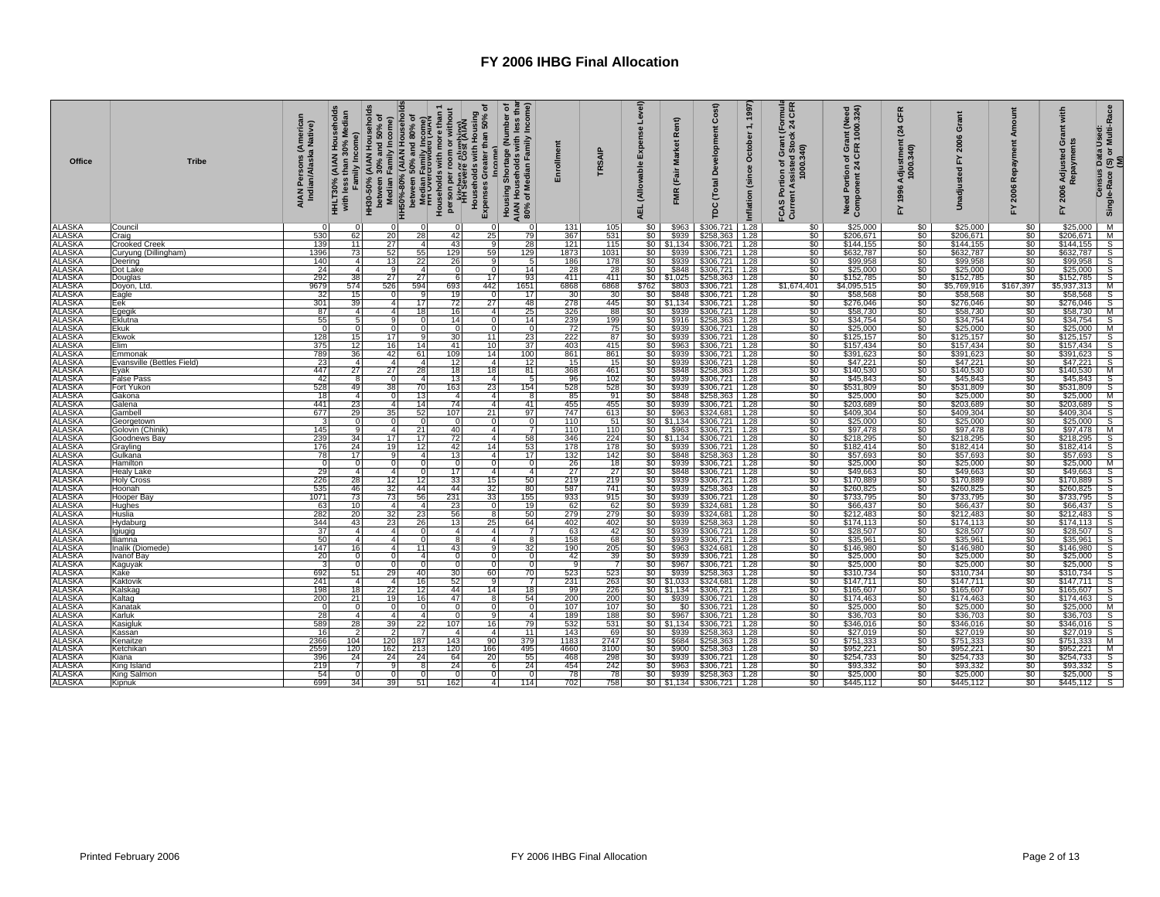| <b>Office</b>                  | <b>Tribe</b>                     | AIAN Persons (American<br>Indian/Alaska Native) | HH30-50% (AIAN Households<br>Household<br>ledian<br>Family Income)<br>Σ<br>30%<br>HHLT30% (AIAN H<br>with less than 30 |                       |                 | e herween 20%<br>Median Family Income)<br>Median Family Income)<br>Herween 50% and 80% of<br>Median Family Income)<br>Derween 50% and 80% of<br>Prince and 80% of<br>Prince and and and The Prince of the Section of the Anti-<br>Person pe | Housing Shortage (Number of<br>AIAN Households with less than<br>80% of Median Family Income)<br>Income) | Enrollment       | <b>TRSAIP</b>     | Level)<br>Expense<br>(Allowable<br>긊 | Rent)<br><b>Market</b><br>(Fair<br><b>FMR</b> | Cost)<br>Development<br>(Total<br>рc                                                                                                     | 1, 1997<br>October<br>Inflation (since | TER<br>CFR<br>24<br>FCAS Portion or<br>Current Assisted Stock 2<br>1000.340) | Need Portion of Grant (Need<br>Component 24 CFR 1000.324) | CFR<br>24<br>Adjustment<br>1000.340)<br>1996<br>놊 | ō<br>2006<br>놊<br>adjusted<br>5 | œ<br>2006<br>놊            | with<br>Grant<br>Adjusted<br>epayme<br>2006<br>놊 | Census Data Used:<br>Single-Race (S) or Multi-Race<br>(M)             |
|--------------------------------|----------------------------------|-------------------------------------------------|------------------------------------------------------------------------------------------------------------------------|-----------------------|-----------------|---------------------------------------------------------------------------------------------------------------------------------------------------------------------------------------------------------------------------------------------|----------------------------------------------------------------------------------------------------------|------------------|-------------------|--------------------------------------|-----------------------------------------------|------------------------------------------------------------------------------------------------------------------------------------------|----------------------------------------|------------------------------------------------------------------------------|-----------------------------------------------------------|---------------------------------------------------|---------------------------------|---------------------------|--------------------------------------------------|-----------------------------------------------------------------------|
| <b>ALASKA</b>                  | Council                          |                                                 |                                                                                                                        |                       |                 | O                                                                                                                                                                                                                                           |                                                                                                          | 131              | 105               | \$0                                  | \$963                                         | \$306,721                                                                                                                                | 1.28                                   | \$0                                                                          | \$25,000                                                  | \$0                                               | \$25,000                        | \$0                       | \$25,000                                         |                                                                       |
| <b>ALASKA</b>                  | Craig                            | 530                                             | 62                                                                                                                     | 20                    | 28              | 42                                                                                                                                                                                                                                          | 79<br>25                                                                                                 | 367              | 531               | \$0                                  | \$939                                         | \$258,363                                                                                                                                | 1.28                                   | \$0                                                                          | \$206,671                                                 | $\overline{\$0}$                                  | \$206,671                       | \$0                       | \$206,671                                        |                                                                       |
| <b>ALASKA</b>                  | <b>Crooked Creek</b>             | 139                                             | 11                                                                                                                     | 27                    | $\overline{4}$  | 43                                                                                                                                                                                                                                          | 28<br>q                                                                                                  | 121              | 115               |                                      | $$0$ $$1,134$                                 | \$306,721 1.28                                                                                                                           |                                        | \$0                                                                          | \$144,155                                                 | $\frac{$0}{$0}$                                   | \$144,155                       | $\frac{$0}{$0}$           | \$144,155                                        |                                                                       |
| <b>ALASKA</b><br><b>ALASKA</b> | Curyung (Dillingham)             | 1396<br>140                                     | 73<br>$\overline{4}$                                                                                                   | 52<br>13              | 55<br>22        | 129<br>26                                                                                                                                                                                                                                   | 59<br>129<br>91<br>-5                                                                                    | 1873<br>186      | 1031<br>178       | \$0<br>\$0                           | \$939<br>\$939                                | $$306,721$ 1.28                                                                                                                          |                                        | \$0<br>\$0                                                                   | \$632,787<br>\$99,958                                     | \$0                                               | \$632,787<br>\$99,958           | \$0                       | \$632,787<br>\$99,958                            |                                                                       |
| <b>ALASKA</b>                  | Deering<br>Dot Lake              | 24                                              | $\overline{4}$                                                                                                         | q                     | $\overline{4}$  | $\Omega$                                                                                                                                                                                                                                    | 14<br>$\Omega$                                                                                           | 28               | 28                | \$0                                  |                                               | \$306,721 1.28<br>\$848 \$306,721 1.28                                                                                                   |                                        | \$0                                                                          | \$25,000                                                  | \$0                                               | \$25,000                        | \$0                       | \$25,000                                         | o o o o o o o o                                                       |
| <b>ALASKA</b>                  | Douglas                          | 292                                             | 38                                                                                                                     | 27                    | 27              | 6                                                                                                                                                                                                                                           | 93<br>17 <sup>1</sup>                                                                                    | 411              | 411               |                                      |                                               | $$0$ $$1,025$ $$258,363$ 1.28                                                                                                            |                                        | \$0                                                                          | \$152,785                                                 | \$0                                               | \$152,785                       | \$0                       | \$152,785                                        |                                                                       |
| <b>ALASKA</b>                  | Doyon, Ltd                       | 9679                                            | 574                                                                                                                    | 526                   | 594             | 693                                                                                                                                                                                                                                         | 442<br>1651                                                                                              | 6868             | 6868              | \$762                                |                                               | \$803 \$306,721 1.28                                                                                                                     |                                        | \$1,674,401                                                                  | \$4,095,515                                               | \$0                                               | \$5,769,916                     | \$167,397                 | \$5,937,313                                      | M                                                                     |
| <b>ALASKA</b>                  | Eagle                            | 32                                              | 15                                                                                                                     | $\Omega$              | 9               | 19                                                                                                                                                                                                                                          | $\Omega$<br>17                                                                                           | 30               | 30                | \$0                                  | \$848                                         | $$306,721$ 1.28                                                                                                                          |                                        | \$0                                                                          | \$58,568                                                  | \$0                                               | \$58,568                        | \$0                       | \$58,568                                         | S                                                                     |
| <b>ALASKA</b>                  | Eek                              | 301                                             | 39                                                                                                                     | $\boldsymbol{\Delta}$ | 17              | 72                                                                                                                                                                                                                                          | 27<br>48                                                                                                 | 278              | 445               |                                      | $$0$ $$1,134$                                 | $$306,721$ 1.28                                                                                                                          |                                        | \$0                                                                          | \$276,046                                                 | $\frac{$0}{$0}$                                   | \$276,046                       | \$0                       | \$276,046                                        | $\frac{\mathsf{S}}{\mathsf{M}}$                                       |
| <b>ALASKA</b>                  | Egegik                           | 87                                              | $\overline{4}$                                                                                                         | $\Delta$              | 18              | 16                                                                                                                                                                                                                                          | 25<br>$\overline{4}$                                                                                     | 326              | 88                | \$0                                  | \$939                                         | $$306,721$ 1.28                                                                                                                          |                                        | \$0                                                                          | \$58,730                                                  |                                                   | \$58,730                        | \$0                       | \$58,730                                         |                                                                       |
| <b>ALASKA</b>                  | Eklutna                          | 55                                              |                                                                                                                        |                       | $\overline{0}$  | 14                                                                                                                                                                                                                                          | 14<br>$\Omega$                                                                                           | 239              | 199               | $\frac{$0}{$0}$                      |                                               | \$916 \$258,363 1.28                                                                                                                     |                                        | $\frac{$0}{$0}$                                                              | \$34,754<br>\$25,000                                      | $\frac{$0}{$0}$                                   | \$34,754<br>\$25,000            | $\frac{$0}{$0}$           | \$34,754                                         | $\frac{S}{M}$                                                         |
| <b>ALASKA</b>                  | Ekuk                             | $\Omega$                                        |                                                                                                                        |                       | $\mathbf 0$     | $\Omega$                                                                                                                                                                                                                                    | $\Omega$                                                                                                 | 72               | 75                |                                      |                                               | \$939 \$306,721 1.28                                                                                                                     |                                        |                                                                              |                                                           |                                                   |                                 |                           | \$25,000                                         |                                                                       |
| <b>ALASKA</b>                  | Ekwok                            | 128                                             | 15                                                                                                                     | 17                    | 9               | 30                                                                                                                                                                                                                                          | 23<br>11<br>$\overline{37}$                                                                              | 222              | 87                | \$0<br>\$0                           |                                               | \$939 \$306,721 1.28<br>\$963 \$306,721 1.28                                                                                             |                                        | \$0                                                                          | \$125,157                                                 | \$0<br>$\overline{\$0}$                           | \$125,157                       | \$0                       | \$125,157                                        |                                                                       |
| ALASKA<br>ALASKA               | Elim<br>Emmonak                  | 375<br>789                                      | 12<br>36                                                                                                               | 16<br>42              | 14<br>61        | 41<br>109                                                                                                                                                                                                                                   | 10 <sup>1</sup><br>14<br>100                                                                             | 403<br>861       | 415<br>861        | \$0 I                                |                                               | \$939 \$306,721 1.28                                                                                                                     |                                        | \$0<br>\$0                                                                   | \$157,434<br>\$391,623                                    | \$0                                               | \$157,434<br>\$391,623          | $\frac{50}{50}$           | \$157,434<br>\$391,623                           |                                                                       |
| <b>ALASKA</b>                  | Evansville (Bettles Field)       |                                                 | $\overline{4}$                                                                                                         | $\overline{a}$        | $\overline{4}$  | 12                                                                                                                                                                                                                                          | 12<br>4 <sup>1</sup>                                                                                     | 15               | 15                |                                      |                                               | \$939 \$306,721 1.28                                                                                                                     |                                        | \$0                                                                          | \$47,221                                                  |                                                   | \$47,221                        |                           | \$47,221                                         |                                                                       |
|                                | Eyak                             | $\frac{23}{447}$                                | 27                                                                                                                     | 27                    |                 | 18                                                                                                                                                                                                                                          | 81                                                                                                       |                  | 461               |                                      |                                               |                                                                                                                                          |                                        |                                                                              | \$140,530                                                 |                                                   |                                 |                           | \$140,530                                        |                                                                       |
| ALASKA<br>ALASKA               | False Pass                       | 42                                              | 8                                                                                                                      | $\overline{0}$        | $\frac{28}{4}$  | 13                                                                                                                                                                                                                                          | $\frac{18}{4}$                                                                                           | $\frac{368}{96}$ | 102               | $\frac{$0}{$0}{$0}{$0 $}$            |                                               | \$848 \$258,363 1.28<br>\$939 \$306,721 1.28                                                                                             |                                        | $\frac{50}{50}$                                                              | \$45,843                                                  | $rac{$0}{60}$<br>$rac{$0}{60}$                    | $$140,530$<br>\$45,843          | $\frac{$0}{$0}{$0}{$0 $}$ | \$45,843                                         |                                                                       |
|                                | Fort Yukon                       | 528                                             | 49                                                                                                                     | 38                    | 70              | 163                                                                                                                                                                                                                                         | 23<br>154                                                                                                | 528              | 528               | \$0                                  |                                               |                                                                                                                                          |                                        | \$0<br>\$0                                                                   | \$531,809                                                 | $\frac{$0}{$0}$                                   | \$531,809                       |                           | \$531,809                                        |                                                                       |
|                                | Gakona                           | 18                                              | 4                                                                                                                      |                       | 13              | $\overline{a}$                                                                                                                                                                                                                              | 4                                                                                                        | $rac{85}{455}$   | 91                | \$0                                  |                                               | \$939 \$306,721 1.28<br>\$848 \$258,363 1.28                                                                                             |                                        |                                                                              | \$25,000                                                  |                                                   | $$25,000$<br>\$203,689          | $\frac{$0}{$0}{$0}{$0 $$  | \$25,000                                         | o   a   a   a   a   a   a   a   a   a                                 |
| ALASKA<br>ALASKA<br>ALASKA     | Galena                           | 441                                             | 23                                                                                                                     | $\mathbf{4}$          | 14              | 74                                                                                                                                                                                                                                          | 41<br>$\mathbf{A}$                                                                                       |                  | 455               | $\overline{50}$                      |                                               | \$939 \$306,721 1.28                                                                                                                     |                                        | $\overline{\$0}$                                                             | \$203,689                                                 | $\overline{\$0}$                                  |                                 |                           | \$203,689                                        |                                                                       |
| <b>ALASKA</b>                  | Gambell                          | 677                                             | 29                                                                                                                     | 35                    | 52              | 107                                                                                                                                                                                                                                         | 21<br>97                                                                                                 | 747              | 613               |                                      |                                               |                                                                                                                                          |                                        | \$0<br>\$0                                                                   | \$409,304<br>\$25,000                                     | \$0<br>\$0                                        | $\frac{$409,304}{$25,000}$      | $\frac{$0}{$0}$           | \$409,304                                        |                                                                       |
| <b>ALASKA</b>                  | Georgetown                       | $\overline{3}$                                  |                                                                                                                        | n                     | $\overline{0}$  | $\mathbf{0}$                                                                                                                                                                                                                                | $\Omega$<br>$\Omega$                                                                                     | 110<br>110       | 51                |                                      |                                               |                                                                                                                                          |                                        |                                                                              |                                                           |                                                   |                                 |                           | \$25,000                                         |                                                                       |
| ALASKA<br>ALASKA               | Golovin (Chinik)<br>Goodnews Bay | 145<br>239                                      | 34                                                                                                                     | $\mathbf{4}$<br>17    | 21<br>17        | 40<br>72                                                                                                                                                                                                                                    | $\overline{4}$<br>58<br>4                                                                                | 346              | 110<br>224        |                                      |                                               | <b>80 \$963 \$324,681 1.28</b><br><b>80 \$1,134 \$306,721 1.28</b><br><b>80 \$963 \$306,721 1.28</b><br><b>80 \$1,134 \$306,721 1.28</b> |                                        | \$0<br>$\$0$                                                                 | \$97,478<br>\$218,295                                     | $\frac{$0}{$0}$                                   | \$218,295                       | $\frac{50}{50}$           | \$97,478<br>\$218,295                            | o o o o ⊠ o o o o o o o                                               |
| <b>ALASKA</b>                  | Grayling                         | 176                                             | 24                                                                                                                     | 19                    | 12              | 42                                                                                                                                                                                                                                          | 53<br>14                                                                                                 | 178              | 178               | \$0                                  |                                               | \$939 \$306,721 1.28                                                                                                                     |                                        | \$0                                                                          | \$182,414                                                 | \$0                                               | \$182,414                       | \$0                       | \$182,414                                        |                                                                       |
| <b>ALASKA</b>                  | Gulkana                          | 78                                              | 17                                                                                                                     | a                     | $\overline{4}$  | 13                                                                                                                                                                                                                                          | 17<br>4 <sup>1</sup>                                                                                     | 132              | 142               | \$0                                  |                                               | \$848 \$258,363 1.28                                                                                                                     |                                        | \$0                                                                          | \$57,693                                                  |                                                   | \$57,693                        |                           | \$57,693                                         |                                                                       |
| <b>ALASKA</b>                  | Hamilton                         | 0                                               | $\Omega$                                                                                                               | $\Omega$              | ō               | $\Omega$                                                                                                                                                                                                                                    | $\Omega$<br>$\Omega$                                                                                     | 26               | 18                | \$0                                  | \$939                                         | $$306,721$ 1.28                                                                                                                          |                                        | \$0                                                                          | \$25,000                                                  | $\frac{$0}{$0}$                                   | \$25,000                        | $$^{6}_{50}$              | \$25,000                                         |                                                                       |
| <b>ALASKA</b>                  | Healy Lake                       | 29                                              | $\boldsymbol{\Lambda}$                                                                                                 | $\boldsymbol{\Delta}$ | 0               | 17                                                                                                                                                                                                                                          | $\overline{4}$<br>$\overline{4}$                                                                         | 27               | 27                | \$0                                  | \$848                                         | $$306,721$ 1.28                                                                                                                          |                                        | \$0                                                                          | \$49,663                                                  | \$0                                               | \$49,663                        | \$0                       | \$49,663                                         |                                                                       |
| <b>ALASKA</b>                  | <b>Holy Cross</b>                | 226                                             | 28                                                                                                                     | 12                    | $\frac{12}{44}$ | 33                                                                                                                                                                                                                                          | $\frac{50}{80}$<br>15                                                                                    | 219              | 219               | $\frac{$0}{$0}$                      |                                               | \$939 \$306,721 1.28<br>\$939 \$258,363 1.28                                                                                             |                                        | $\frac{$0}{$0}$                                                              | \$170,889                                                 | $\frac{1}{50}$                                    | \$170,889                       | $\frac{1}{50}$            | \$170,889                                        |                                                                       |
| <b>ALASKA</b>                  | Hoonah                           | 535                                             | 46                                                                                                                     | 32                    |                 | 44                                                                                                                                                                                                                                          | 32                                                                                                       | 587              | 741               |                                      |                                               |                                                                                                                                          |                                        |                                                                              | \$260,825                                                 |                                                   | \$260,825                       |                           | \$260,825                                        |                                                                       |
| <b>ALASKA</b>                  | Hooper Bay                       | 1071                                            | 73                                                                                                                     | 73                    | 56              | 231                                                                                                                                                                                                                                         | 33<br>155                                                                                                | 933              | 915               | \$0                                  | \$939                                         | \$306,721 1.28                                                                                                                           |                                        | \$0                                                                          | \$733,795                                                 | \$0                                               | \$733,795                       | \$0                       | \$733,795                                        |                                                                       |
| <b>ALASKA</b>                  | Hughes                           | 63                                              | 10                                                                                                                     | $\overline{a}$        | $\overline{4}$  | 23                                                                                                                                                                                                                                          | 19<br>$\Omega$                                                                                           | 62               | -62 l             | \$0                                  |                                               | \$939 \$324,681 1.28                                                                                                                     |                                        | \$0                                                                          | \$66,437                                                  | \$0                                               | \$66,437                        |                           | \$66,437                                         |                                                                       |
| <b>ALASKA</b><br><b>ALASKA</b> | Huslia<br>Hydaburg               | 282<br>344                                      | 20<br>43                                                                                                               | 32 <sub>1</sub><br>23 | 23<br>26        | 56<br>13                                                                                                                                                                                                                                    | 50<br>8<br>25<br>64                                                                                      | 279<br>402       | 279<br>402        | $rac{$0}{$0}$                        | \$939                                         | \$939 \$324,681 1.28<br>\$258,363                                                                                                        | 1.28                                   | \$0<br>\$0                                                                   | \$212,483<br>\$174,113                                    | $\frac{$0}{$0}$                                   | \$212,483<br>\$174,113          | $\frac{$0}{$0}{$0}{$0 $$  | \$212,483<br>\$174,113                           | s<br>S<br>S                                                           |
| <b>ALASKA</b>                  | <i>Igiugig</i>                   | 37                                              | $\overline{4}$                                                                                                         | 4 <sup>1</sup>        | $\overline{0}$  | 4 <sup>1</sup>                                                                                                                                                                                                                              | -7<br>$\overline{4}$                                                                                     |                  | 42                |                                      |                                               | \$306,721 1.28                                                                                                                           |                                        | \$0                                                                          |                                                           |                                                   |                                 |                           |                                                  |                                                                       |
| <b>ALASKA</b>                  | liamna                           | 50                                              | $\overline{a}$                                                                                                         | $\Delta$              | $\overline{0}$  | 8                                                                                                                                                                                                                                           | 4<br>8                                                                                                   | $\frac{63}{158}$ | 68                | $\frac{$0}{$0}$                      | $$939$<br>$$939$                              | \$306,721 1.28                                                                                                                           |                                        | \$0                                                                          | \$28,507<br>\$35,961                                      | $\frac{$0}{$0}$                                   | \$28,507<br>\$35,961            | $\frac{$0}{$0}$           | \$28,507<br>\$35,961                             | $\leq$ $\omega$ $\omega$ $\omega$ $\omega$ $\omega$ $\omega$ $\omega$ |
| <b>ALASKA</b>                  | nalik (Diomede)                  | 147                                             | 16                                                                                                                     | $\Delta$              | 11              | 43                                                                                                                                                                                                                                          | 32<br>$\mathbf{Q}$                                                                                       | 190              | 205               | \$0                                  | \$963                                         | \$324,681 1.28                                                                                                                           |                                        | \$0                                                                          | \$146,980                                                 | \$0                                               | \$146,980                       | \$0                       | \$146,980                                        |                                                                       |
| <b>ALASKA</b>                  | vanof Bay                        | 20                                              | $\Omega$                                                                                                               | $\Omega$              | 4 <sup>1</sup>  | $\Omega$                                                                                                                                                                                                                                    | $\Omega$<br>$\Omega$                                                                                     | 42               | 39 <sup>°</sup>   | \$0                                  |                                               | $$939$ $$306,721$ 1.28                                                                                                                   |                                        | \$0                                                                          | \$25,000                                                  | $\overline{\$0}$                                  | $$25,000$<br>$$25,000$          | \$0                       | \$25,000                                         |                                                                       |
| <b>ALASKA</b>                  | Kaguyak                          | $\overline{3}$                                  | $\Omega$                                                                                                               | $\Omega$              | $\mathbf 0$     | $\overline{0}$                                                                                                                                                                                                                              | $\Omega$<br>- 0                                                                                          | -9               | $\overline{7}$    | \$0                                  |                                               | \$967 \$306,721 1.28                                                                                                                     |                                        | $\overline{\$0}$                                                             | \$25,000                                                  | $\overline{\$0}$                                  |                                 | $\overline{\$0}$          | \$25,000                                         |                                                                       |
| <b>ALASKA</b>                  | Kake                             | 692                                             | 51                                                                                                                     | 29                    | 40              | 30 <sup>1</sup>                                                                                                                                                                                                                             | 60<br>70                                                                                                 | 523              | 523               |                                      |                                               |                                                                                                                                          |                                        | \$0                                                                          | \$310,734                                                 | \$0                                               | \$310,734                       |                           | \$310,734                                        |                                                                       |
| <b>ALASKA</b><br><b>ALASKA</b> | Kaktovik                         | 241                                             | $\overline{4}$<br>18                                                                                                   | $\overline{4}$<br>22  | $\frac{16}{12}$ | 52                                                                                                                                                                                                                                          | a<br>14<br>18                                                                                            | 231<br>99        | $\frac{263}{226}$ |                                      |                                               | <b>30</b> \$939 \$258,363 1.28<br>\$0 \$1,033 \$324,681 1.28<br>\$0 \$1,134 \$306,721 1.28                                               |                                        | \$0<br>\$0                                                                   | \$147,711                                                 | $\frac{50}{50}$                                   | \$147,711                       | $\frac{$0}{$0}{$0}{$0 $}$ | \$147,711                                        |                                                                       |
|                                | Kalskag                          | 198                                             |                                                                                                                        | 19                    |                 | 44<br>47                                                                                                                                                                                                                                    |                                                                                                          |                  |                   |                                      |                                               |                                                                                                                                          |                                        |                                                                              | \$165,607                                                 |                                                   | \$165,607                       |                           | \$165,607                                        |                                                                       |
| <b>ALASKA</b><br>ALASKA        | Kaltag<br>Kanatak                | 200<br>0                                        | 21                                                                                                                     |                       | 16<br>0         | $\Omega$                                                                                                                                                                                                                                    | 54<br>8                                                                                                  | 200<br>107       | 200<br>107        | \$0<br>\$0                           |                                               | \$939 \$306,721 1.28<br>\$0 \$306,721 1.28                                                                                               |                                        | \$0<br>\$0                                                                   | \$174,463                                                 | $\frac{1}{20}$<br>$\frac{1}{20}$                  | \$174,463                       | $\frac{60}{100}$          | \$174,463                                        |                                                                       |
| <b>ALASKA</b>                  | Karluk                           | 28                                              | 4                                                                                                                      | 4                     | $\overline{4}$  | $\Omega$                                                                                                                                                                                                                                    | $\overline{4}$                                                                                           | 189              | 188               | \$0                                  |                                               | \$967 \$306,721 1.28                                                                                                                     |                                        | $\overline{\$0}$                                                             | \$25,000<br>\$36,703                                      |                                                   | \$25,000<br>\$36,703            |                           | $$25,000$<br>$$36,703$                           |                                                                       |
| <b>ALASKA</b>                  | Kasigluk                         | 589                                             | 28                                                                                                                     | 39                    | 22              | 107                                                                                                                                                                                                                                         | 79<br>16                                                                                                 | 532              | 531               |                                      |                                               |                                                                                                                                          |                                        | \$0                                                                          | \$346,016                                                 |                                                   | \$346,016                       |                           | \$346,016                                        | თ∣s∏s                                                                 |
| <b>ALASKA</b>                  | Kassan                           | 16                                              |                                                                                                                        |                       |                 | $\mathbf{4}$                                                                                                                                                                                                                                | 11<br>$\overline{a}$                                                                                     | 143              | 69                |                                      |                                               | \$0 \$1,134 \$306,721 1.28<br>\$0 \$939 \$258,363 1.28                                                                                   |                                        | \$0                                                                          | \$27,019                                                  | $\frac{\$0}{\$0}$                                 | \$27,019                        | $\frac{$0}{$0}$           | \$27,019                                         |                                                                       |
|                                | Kenaitze                         | 2366<br>2559                                    | 104                                                                                                                    | 120                   | 187             | 143                                                                                                                                                                                                                                         | 379<br>90                                                                                                | 1183             | 2747              | $\frac{1}{50}$                       | \$684                                         | \$258,363 1.28<br>\$258,363 1.28                                                                                                         |                                        | $\frac{$0}{\$0}$                                                             | \$751,333<br>\$952,221                                    | $\frac{$0}{$0}$                                   | \$751,333<br>\$952,221          | $\frac{$0}{$0}$           | \$751,333                                        |                                                                       |
| ALASKA<br>ALASKA               | Ketchikan                        |                                                 | 120                                                                                                                    | 162                   | 213             | 120                                                                                                                                                                                                                                         | 495<br>166                                                                                               | 4660             | 3100              |                                      | \$900                                         |                                                                                                                                          |                                        |                                                                              |                                                           |                                                   |                                 |                           |                                                  |                                                                       |
| <b>ALASKA</b>                  | Kiana                            | 396                                             | 24                                                                                                                     | 24                    | 24              | 64                                                                                                                                                                                                                                          | 55<br>20                                                                                                 | 468              | 298               | \$0                                  |                                               | \$939 \$306,721 1.28                                                                                                                     |                                        | \$0                                                                          | \$254,733                                                 | \$0                                               | \$254,733                       | \$0                       | \$254,733                                        |                                                                       |
| ALASKA<br>ALASKA               | King Island                      | 219                                             |                                                                                                                        |                       | <b>R</b>        | 24                                                                                                                                                                                                                                          | 24                                                                                                       | 454              | 242               | $rac{$0}{$0}$                        |                                               | \$963 \$306,721 1.28<br>\$939 \$258,363 1.28                                                                                             |                                        | \$0                                                                          | \$93,332<br>\$25,000                                      | $\frac{\$0}{\$0}$                                 | \$93,332<br>\$25,000            | \$0                       | \$93,332                                         | $rac{1}{s}$                                                           |
|                                | <b>King Salmon</b>               | 54<br>699                                       | 34                                                                                                                     | 39 <sup>1</sup>       | 0               | $\Omega$                                                                                                                                                                                                                                    | $\overline{4}$<br>114                                                                                    | 78<br>702        | 78<br>758         |                                      |                                               |                                                                                                                                          |                                        | \$0<br>$\$0$                                                                 |                                                           | $\boldsymbol{\mathsf{S}}$                         |                                 | \$0<br>$\frac{1}{2}$      | \$25,000                                         |                                                                       |
| <b>ALASKA</b>                  | Kipnuk                           |                                                 |                                                                                                                        |                       | 51              | 162                                                                                                                                                                                                                                         |                                                                                                          |                  |                   |                                      |                                               | $$0 \mid $1,134 \mid $306,721 \mid 1.28$                                                                                                 |                                        |                                                                              | \$445,112                                                 |                                                   | \$445,112                       |                           | \$445,112                                        |                                                                       |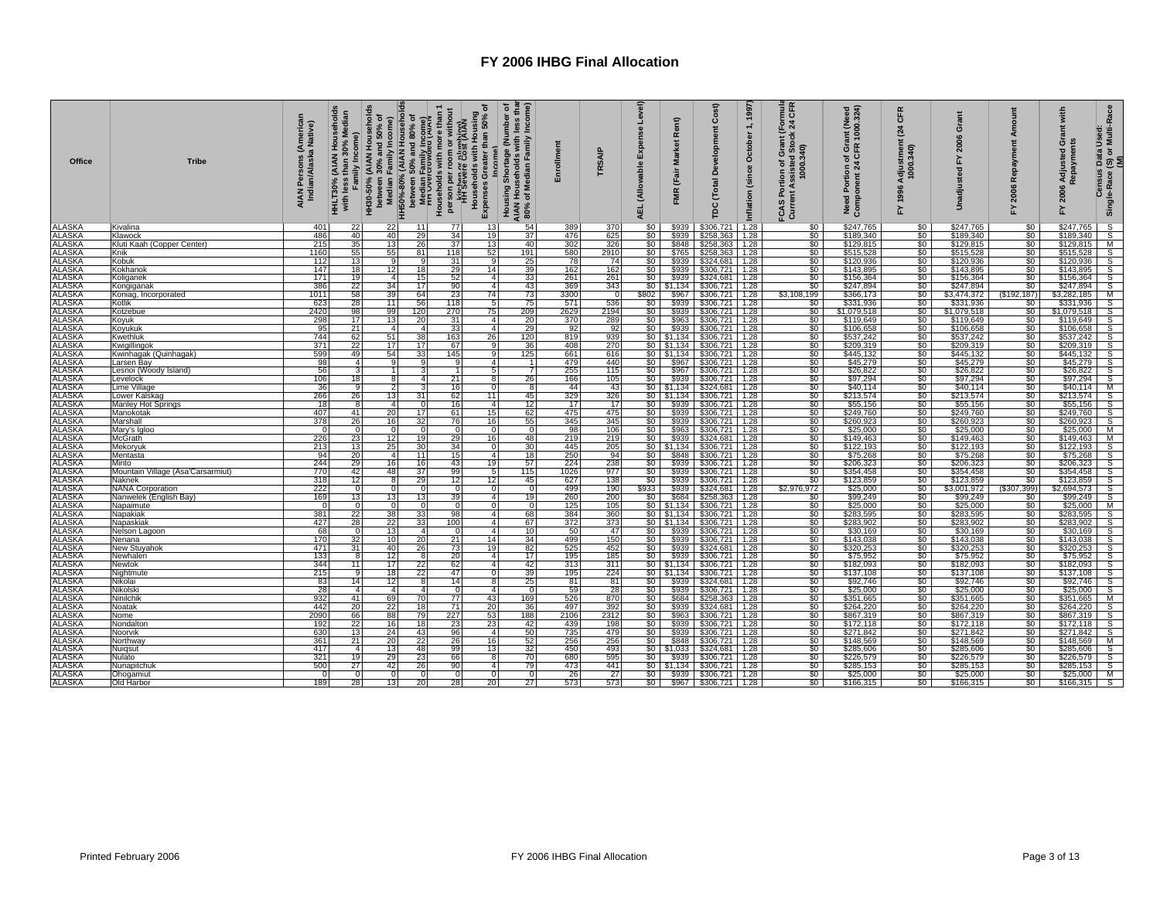| <b>Office</b>                  | <b>Tribe</b>                               | AIAN Persons (American<br>Indian/Alaska Native) | Household<br>edian<br>Family Income)<br>30%<br>(AIAN<br>than 3<br>HHLT30% (<br>with less 1 | HH30-50% (AIAN Households |                 | י ושפאו או האפשר או בי האפשר את האפשר או בי האפשר או בי האפשר או בי האפשר או בי האפשר או בי האפשר או בי האפשר<br>אין האפשר או בי האפשר או בי האפשר או בי האפשר או בי האפשר או בי האפשר או בי האפשר או בי האפשר או בי האפשר או ב<br>ncome) | (Income<br>৳<br>less that<br>Housing Shortage (Number<br>AIAN Households with less t<br>80% of Median Family Incom | Enrollment         | TRSAIP     | Level)<br>Expense<br>(Allowable<br><b>AEL</b> | Rent)<br><b>Market</b><br>(Fair<br><b>FMR</b> | Cost)<br>Development<br>(Total<br>rpc                                                                                                                               | 1,1997<br>October<br>(since<br>Inflation | mula<br>CFR<br>$F$ or<br>FCAS Portion of Grant (F<br>Current Assisted Stock 2<br>1000.340) | Need Portion of Grant (Need<br>Component 24 CFR 1000.324) | CFR<br>$\mathbf{z}$<br>Adjustment<br>1000.340)<br>1996<br>놊 | ō<br>$\overline{a}$<br><b>Gd</b><br>£ | Amount<br>Repayment<br>2006<br>놊       | with<br>Grant<br>Adjusted (<br>Repaymen<br>ayme<br>FY 2006 | (S) or Multi-Race<br>(M)<br><b>Census Data Used</b><br>Single-Race |
|--------------------------------|--------------------------------------------|-------------------------------------------------|--------------------------------------------------------------------------------------------|---------------------------|-----------------|-------------------------------------------------------------------------------------------------------------------------------------------------------------------------------------------------------------------------------------------|--------------------------------------------------------------------------------------------------------------------|--------------------|------------|-----------------------------------------------|-----------------------------------------------|---------------------------------------------------------------------------------------------------------------------------------------------------------------------|------------------------------------------|--------------------------------------------------------------------------------------------|-----------------------------------------------------------|-------------------------------------------------------------|---------------------------------------|----------------------------------------|------------------------------------------------------------|--------------------------------------------------------------------|
| <b>ALASKA</b>                  | Kivalina                                   | 401                                             | 22                                                                                         | 22                        | 11              | 77<br>13                                                                                                                                                                                                                                  | 54                                                                                                                 | 389                | 370        | \$0                                           | \$939                                         | \$306,721                                                                                                                                                           | 1.28                                     | \$0                                                                                        | \$247,765                                                 |                                                             | \$247,765                             |                                        | \$247,765                                                  |                                                                    |
| <b>ALASKA</b>                  | Klawock                                    | 486                                             | 40                                                                                         | 40                        |                 | 19<br>34                                                                                                                                                                                                                                  | 37                                                                                                                 | 476                | 625        | \$0                                           | \$939                                         | \$258,363                                                                                                                                                           | 1.28                                     | \$0                                                                                        | \$189,340                                                 | $\frac{$0}{$0}$                                             | \$189,340                             | $\frac{$0}{$0}$                        | \$189,340                                                  |                                                                    |
| <b>ALASKA</b>                  | Kluti Kaah (Copper Center)                 | 215                                             | 35                                                                                         | 13                        | $\frac{29}{26}$ | 37<br>13                                                                                                                                                                                                                                  | 40                                                                                                                 | 302                | 326        | \$0                                           | \$848                                         | \$258,363                                                                                                                                                           | 1.28                                     | \$0                                                                                        | \$129,815                                                 | \$0                                                         | \$129,815                             | \$0                                    | \$129,815                                                  |                                                                    |
| <b>ALASKA</b>                  | Knik                                       | 1160                                            | 55                                                                                         | 55                        | 81              | 52<br>118                                                                                                                                                                                                                                 | 191                                                                                                                | 580                | 2910       | \$0                                           | \$765                                         | \$258,363                                                                                                                                                           | 1.28                                     | \$0                                                                                        | \$515,528                                                 | \$0                                                         | \$515,528                             | \$0                                    | \$515,528                                                  | s<br>s<br>s<br>s                                                   |
| <b>ALASKA</b>                  | Kobuk                                      | 112                                             | 13                                                                                         | 9                         | 9               | 31<br>9                                                                                                                                                                                                                                   | 25                                                                                                                 | 78                 | 74         | \$0                                           | \$939                                         | \$324,681 1.28                                                                                                                                                      |                                          | \$0                                                                                        | \$120,936                                                 | $\overline{\$0}$                                            | \$120,936                             | \$0                                    | \$120,936                                                  |                                                                    |
| <b>ALASKA</b>                  | Kokhanok                                   | 147                                             | 18 <sup>1</sup>                                                                            | 12 <sup>1</sup>           | 18              | 29<br>14                                                                                                                                                                                                                                  | 39                                                                                                                 | 162                | 162        | $\frac{$0}{$0}{$0}{$0 $}$                     |                                               | \$939 \$306,721                                                                                                                                                     | 1.28                                     | \$0                                                                                        | \$143,895                                                 | \$0                                                         | \$143,895                             |                                        | \$143,895                                                  | s<br>s                                                             |
| <b>ALASKA</b>                  | Koliganek                                  | 171                                             | 19 <sup>1</sup>                                                                            | $\mathbf{4}$              | 15              | 52<br>$\mathbf{4}$                                                                                                                                                                                                                        | 33                                                                                                                 | 261                | 261        |                                               | \$939                                         | \$324,681                                                                                                                                                           | 1.28                                     | $\frac{$0}{$0}$                                                                            | \$156,364                                                 | \$0<br>\$0                                                  | \$156,364                             |                                        | \$156,364                                                  |                                                                    |
| <b>ALASKA</b>                  | Kongiganak                                 | 386                                             | 22                                                                                         | 34                        | 17              | 90<br>4                                                                                                                                                                                                                                   | 43                                                                                                                 | 369                | 343        |                                               | \$1,134                                       | \$306,721                                                                                                                                                           | 1.28                                     |                                                                                            | \$247,894                                                 |                                                             | \$247,894                             |                                        | \$247,894                                                  | S                                                                  |
| <b>ALASKA</b>                  | Koniag, Incorporated                       | 1011                                            | $\frac{58}{28}$                                                                            | 39                        | $\frac{64}{56}$ | 23<br>74                                                                                                                                                                                                                                  | $\frac{73}{75}$                                                                                                    | $\frac{3300}{571}$ | o          | \$802                                         | \$967                                         | \$306,721 1.28<br>\$306,721 1.28                                                                                                                                    |                                          | \$3,108,199                                                                                | \$366,173<br>\$331,936                                    | $\frac{$0}{$0}$                                             | \$3,474,372                           | ( \$192, 187)                          | \$3,282,185                                                | м                                                                  |
| ALASKA<br>ALASKA               | Kotlik                                     | 623                                             |                                                                                            | 11                        |                 | 118                                                                                                                                                                                                                                       |                                                                                                                    |                    | 536        | $\frac{$0}{$0}$                               | \$939                                         |                                                                                                                                                                     |                                          | \$0                                                                                        |                                                           |                                                             | \$331,936                             | $\frac{$0}{0}$                         | \$331,936                                                  | $rac{1}{s}$                                                        |
|                                | Kotzebue                                   | 2420                                            | 98                                                                                         | 99                        | 120             | 270<br>75                                                                                                                                                                                                                                 | 209                                                                                                                |                    | 2194       |                                               |                                               | \$939 \$306,721 1.28                                                                                                                                                |                                          | $\overline{\$0}$                                                                           | \$1,079,518                                               | SO I                                                        | \$1,079,518                           |                                        | \$1,079,518                                                |                                                                    |
| <b>ALASKA</b><br>ALASKA        | Koyuk                                      | 298<br>95                                       | 17<br>21                                                                                   | 13                        | 20              | 31<br>$\overline{4}$<br>33                                                                                                                                                                                                                | $\frac{20}{29}$                                                                                                    | 370                | 289        | $rac{$0}{0}$                                  |                                               | \$963 \$306,721 1.28                                                                                                                                                |                                          | \$0<br>$\$0$                                                                               | \$119,649                                                 | \$0                                                         | \$119,649                             | \$0<br>\$0                             | \$119,649                                                  | s<br>s                                                             |
|                                | <u>Koyukuk</u>                             | 744                                             |                                                                                            | $\overline{a}$<br>51      | $\overline{a}$  | $\overline{4}$<br>26                                                                                                                                                                                                                      |                                                                                                                    | 92                 | 92         |                                               |                                               | \$939 \$306,721 1.28                                                                                                                                                |                                          |                                                                                            | \$106,658                                                 | \$0                                                         | \$106,658                             |                                        | \$106,658                                                  |                                                                    |
| <b>ALASKA</b><br><b>ALASKA</b> | Kwethluk                                   | 371                                             | 62<br>22                                                                                   | 17                        | $\frac{38}{17}$ | 163<br>67                                                                                                                                                                                                                                 | 120                                                                                                                | 819<br>408         | 939<br>270 |                                               |                                               | \$0 \$1,134 \$306,721 1.28                                                                                                                                          |                                          | \$0<br>$\overline{\boldsymbol{50}}$                                                        | \$537,242<br>\$209,319                                    | $\frac{$0}{$0}{$0 $}$                                       | \$537,242<br>\$209,319                | $\frac{$0}{$0}{$0}{$0 $$               | \$537,242<br>\$209,319                                     |                                                                    |
| <b>ALASKA</b>                  | Kwigillingok<br>Kwinhagak (Quinhagak)      | 599                                             | 49                                                                                         | 54                        | 33              | 145                                                                                                                                                                                                                                       | $\frac{36}{125}$                                                                                                   | 661                | 616        |                                               |                                               | \$0 \$1,134 \$306,721 1.28<br>\$0 \$1,134 \$306,721 1.28                                                                                                            |                                          | \$0                                                                                        | \$445,132                                                 |                                                             | \$445,132                             |                                        | \$445,132                                                  |                                                                    |
|                                | arsen Bay                                  | 98                                              | $\overline{4}$                                                                             | $\mathfrak{g}$            | $\mathbf{Q}$    | 4                                                                                                                                                                                                                                         | $\overline{1}$                                                                                                     | 479                | 440        | \$0                                           |                                               | \$967 \$306,721 1.28                                                                                                                                                |                                          | \$0                                                                                        |                                                           |                                                             |                                       |                                        |                                                            |                                                                    |
| ALASKA<br>ALASKA               | esnoi (Woody Island).                      | 56                                              |                                                                                            |                           |                 |                                                                                                                                                                                                                                           |                                                                                                                    | 255                | 115        | \$0                                           |                                               | \$967 \$306,721                                                                                                                                                     | 1.28                                     | \$0                                                                                        | \$45,279<br>\$26,822                                      | $\frac{$0}{$0}$                                             | \$45,279<br>\$26,822                  | $\frac{$0}{$0}$                        | \$45,279<br>\$26,822                                       | s<br>S<br>S<br>S                                                   |
| <b>ALASKA</b>                  | Levelock                                   | 106                                             | 18                                                                                         | 8                         | 4               | 21<br>81                                                                                                                                                                                                                                  | 26                                                                                                                 | 166                | 105        | \$0 I                                         |                                               | \$939 \$306,721                                                                                                                                                     | 1.28                                     | $\$0$                                                                                      | \$97,294                                                  | \$0                                                         | \$97,294                              | \$0                                    | \$97,294                                                   | $\overline{\mathsf{s}}$                                            |
| <b>ALASKA</b>                  | ime Village                                | 36                                              | <b>q</b>                                                                                   | 2                         |                 | 16<br>$\Omega$                                                                                                                                                                                                                            | 8                                                                                                                  | 44                 | 43         |                                               | $$0$ $$1,134$                                 | \$324,681                                                                                                                                                           | 1.28                                     | \$0                                                                                        | \$40,114                                                  |                                                             | \$40,114                              | \$0                                    | \$40,114                                                   |                                                                    |
| <b>ALASKA</b>                  | Lower Kalskag                              | 266                                             | 26                                                                                         | 13                        | 31              | 62<br>11                                                                                                                                                                                                                                  | 45                                                                                                                 | 329                | 326        |                                               |                                               | \$0 \$1,134 \$306,721                                                                                                                                               | 1.28                                     | $\$0$                                                                                      | \$213,574                                                 | \$0<br>\$0                                                  | \$213,574                             | \$0                                    | \$213,574                                                  | M<br>S                                                             |
| <b>ALASKA</b>                  | <b>Manley Hot Springs</b>                  | 18                                              | $\overline{8}$                                                                             | $\blacktriangle$          | $\overline{0}$  | 16<br>$\overline{4}$                                                                                                                                                                                                                      | 12                                                                                                                 | 17                 | 17         | \$0                                           |                                               | \$939 \$306,721                                                                                                                                                     | 1.28                                     | \$0                                                                                        | \$55,156                                                  | \$0                                                         | \$55,156                              | \$0                                    | \$55,156                                                   | S                                                                  |
| <b>ALASKA</b>                  | Manokotak                                  | 407                                             | 41                                                                                         | 20                        | 17              | 15<br>61                                                                                                                                                                                                                                  | $\frac{62}{55}$                                                                                                    | 475                | 475        | $\frac{$0}{$0}$                               | \$939                                         | \$306,721                                                                                                                                                           | 1.28                                     | \$0                                                                                        | \$249,760                                                 | $\frac{1}{50}$                                              | \$249,760                             | $\frac{$0}{$0}$                        | \$249,760                                                  | $\frac{S}{S}$                                                      |
| <b>ALASKA</b>                  | Marshall                                   | 378                                             | 26                                                                                         | 16                        | 32              | 76<br>16                                                                                                                                                                                                                                  |                                                                                                                    | 345                | 345        |                                               | \$939                                         | \$306,721                                                                                                                                                           | 1.28                                     | \$0                                                                                        | \$260,923                                                 |                                                             | \$260,923                             |                                        | \$260,923                                                  |                                                                    |
| <b>ALASKA</b>                  | Mary's Igloo                               |                                                 | O                                                                                          | $\Omega$                  | $\mathbf 0$     | 0                                                                                                                                                                                                                                         | $\mathbf 0$                                                                                                        | 98                 | 106        | \$0                                           |                                               | \$963 \$306,721                                                                                                                                                     | 1.28                                     | \$0                                                                                        | \$25,000                                                  | \$0                                                         | \$25,000                              | \$0                                    | \$25,000                                                   | м                                                                  |
| <b>ALASKA</b>                  | McGrath                                    | 226                                             | 23                                                                                         | 12 <sub>l</sub>           | 19              | 29<br>16                                                                                                                                                                                                                                  | 48                                                                                                                 | 219                | 219        | $\overline{\$0}$                              |                                               | \$939 \$324,681 1.28                                                                                                                                                |                                          | \$0                                                                                        | \$149,463                                                 | \$0                                                         | \$149,463                             | \$0                                    | \$149,463                                                  | $\frac{\overline{M}}{\mathsf{S}}$                                  |
| <b>ALASKA</b>                  | Mekoryuk                                   | 213                                             | 13                                                                                         | 25 <sup>1</sup>           | 30              | 34<br>$\overline{0}$                                                                                                                                                                                                                      | 30 <sup>1</sup>                                                                                                    | 445                | 205        |                                               |                                               | $$0 \mid $1,134 \mid $306,721 \mid 1.28$                                                                                                                            |                                          | \$0                                                                                        | \$122,193                                                 | \$0                                                         | \$122,193                             | \$0                                    | \$122,193                                                  |                                                                    |
| <b>ALASKA</b><br><b>ALASKA</b> | Mentasta                                   | 94<br>244                                       | 20<br>29                                                                                   | $\overline{4}$<br>16      | 11              | 15<br>4 <sup>1</sup><br>19<br>43                                                                                                                                                                                                          | 18<br>57                                                                                                           | 250<br>224         | 94<br>238  | \$0<br>\$0                                    | \$848                                         | \$306,721<br>$$939$ $$306,721$ 1.28                                                                                                                                 | 1.28                                     | \$0<br>\$0                                                                                 | \$75,268<br>\$206,323                                     | $rac{$0}{$0}$<br>$rac{$0}{$0}$                              | \$75,268                              | \$0                                    | \$75,268                                                   | s<br>s                                                             |
| <b>ALASKA</b>                  | Minto<br>Mountain Village (Asa'Carsarmiut) | 770                                             | 42                                                                                         | 48                        | $\frac{16}{37}$ | $\overline{5}$<br>99                                                                                                                                                                                                                      | 115                                                                                                                | 1026               | 977        | \$0                                           | \$939                                         | $$306,721$ 1.28                                                                                                                                                     |                                          | $\overline{\$0}$                                                                           | \$354,458                                                 |                                                             | \$206,323<br>\$354,458                | $\frac{60}{50}$                        | $\frac{206,323}{3354,458}$                                 |                                                                    |
| <b>ALASKA</b>                  | Naknek                                     | 318                                             | 12                                                                                         | 8                         | 29              | 12<br>12                                                                                                                                                                                                                                  | 45                                                                                                                 | 627                | 138        | \$0                                           | \$939                                         | \$306,721                                                                                                                                                           | 1.28                                     | \$0                                                                                        | \$123,859                                                 | \$0                                                         | \$123,859                             | \$0                                    | \$123,859                                                  | S                                                                  |
| <b>ALASKA</b>                  | <b>NANA Corporation</b>                    | 222                                             | $\Omega$                                                                                   | $\Omega$                  | $\mathbf 0$     | $\Omega$<br>$\Omega$                                                                                                                                                                                                                      | $\mathbf 0$                                                                                                        | 499                | 190        | \$933                                         |                                               | \$939 \$324,681                                                                                                                                                     | 1.28                                     | \$2,976,972                                                                                | \$25,000                                                  | \$0                                                         | \$3,001,972                           | (\$307,399)                            | \$2,694,573                                                | S                                                                  |
| <b>ALASKA</b>                  | Nanwelek (English Bay)                     | 169                                             | 13                                                                                         | 13                        | 13              | 39<br>4 <sup>1</sup>                                                                                                                                                                                                                      | 19                                                                                                                 | 260                | 200        | \$0                                           | \$684                                         | \$258,363                                                                                                                                                           | 1.28                                     | \$0                                                                                        | \$99,249                                                  | \$0                                                         | \$99,249                              | \$0                                    | \$99,249                                                   | $\overline{\mathsf{s}}$                                            |
| <b>ALASKA</b>                  | Napaimute                                  | $\Omega$                                        | $\Omega$                                                                                   | $\Omega$                  | $\Omega$        | $\Omega$<br>$\Omega$                                                                                                                                                                                                                      | $\mathbf{0}$                                                                                                       | 125                | 105        |                                               | $$0$ $$1,134$                                 | \$306,721                                                                                                                                                           | 1.28                                     | \$0                                                                                        | \$25,000                                                  | \$0                                                         | \$25,000                              | \$0                                    | \$25,000                                                   |                                                                    |
| <b>ALASKA</b>                  | Napakiak                                   | 381                                             | 22                                                                                         | 38                        | $\frac{33}{33}$ | 98<br>4                                                                                                                                                                                                                                   | 68                                                                                                                 | 384                | 360        |                                               |                                               | $$0 \mid $1,134 \mid $306,721$                                                                                                                                      | 1.28                                     | \$0                                                                                        | \$283,595                                                 | $\frac{$0}{$0}$                                             | \$283,595                             | \$0                                    | \$283,595                                                  | $\frac{M}{S}$                                                      |
| <b>ALASKA</b>                  | Napaskiak                                  | 427                                             | 28                                                                                         | 22                        |                 | 100<br>4                                                                                                                                                                                                                                  | 67                                                                                                                 | 372                | 373        |                                               |                                               | $$0 \mid $1,134 \mid $306,721$                                                                                                                                      | 1.28                                     | \$0                                                                                        | \$283,902                                                 |                                                             | \$283,902                             | \$0                                    | \$283,902                                                  |                                                                    |
| <b>ALASKA</b>                  | Nelson Lagoon                              | 68                                              | $\Omega$                                                                                   | 13 <sup>1</sup>           | $\overline{4}$  |                                                                                                                                                                                                                                           | 10                                                                                                                 | $\frac{50}{499}$   | 47         | $\frac{$0}{$0}$                               |                                               | \$939 \$306,721<br>\$939 \$306,721                                                                                                                                  | 1.28                                     | \$0                                                                                        | \$30,169                                                  | $\frac{$0}{$0}$                                             | \$30,169                              | $\frac{1}{20}$                         | \$30,169                                                   | $rac{1}{s}$                                                        |
| <b>ALASKA</b>                  | Nenana                                     | 170                                             | 32                                                                                         | 10 <sup>1</sup>           | 20              | 21<br>14                                                                                                                                                                                                                                  | 34                                                                                                                 |                    | 150        |                                               |                                               |                                                                                                                                                                     | 1.28                                     | \$0                                                                                        | \$143,038                                                 |                                                             | \$143,038                             |                                        | \$143,038                                                  |                                                                    |
| <b>ALASKA</b>                  | <b>New Stuyahok</b>                        | 471                                             | 31                                                                                         | 40                        | 26              | 73<br>19                                                                                                                                                                                                                                  | 82                                                                                                                 | 525                | 452        |                                               |                                               |                                                                                                                                                                     |                                          | \$0                                                                                        | \$320,253                                                 | \$0                                                         | \$320,253                             | \$0                                    | \$320,253                                                  | S                                                                  |
| <b>ALASKA</b><br>ALASKA        | Newhalen                                   | 133<br>344                                      | 8<br>11                                                                                    | 12 <sup>1</sup><br>17     | 8               | 20<br>$\overline{\mathbf{A}}$<br>4 <sup>1</sup>                                                                                                                                                                                           | 17<br>42                                                                                                           | 195<br>313         | 185<br>311 |                                               |                                               | \$0 \$939 \$324,681 1.28<br>\$0 \$939 \$306,721 1.28<br>\$0 \$1,134 \$306,721 1.28                                                                                  |                                          | \$0<br>\$0                                                                                 | \$75,952                                                  | $\frac{\$0}{\$0}$                                           | \$75,952                              | \$0<br>\$0                             | \$75,952                                                   | s<br>s                                                             |
| <b>ALASKA</b>                  | Newtok<br>Nightmute                        | 215                                             | q                                                                                          | 18                        | 22<br>22        | 62<br>47<br>$\Omega$                                                                                                                                                                                                                      |                                                                                                                    | 195                | 224        |                                               |                                               |                                                                                                                                                                     |                                          | \$0                                                                                        | \$182,093<br>\$137,108                                    |                                                             | \$182,093<br>\$137,108                |                                        | \$182,093<br>\$137,108                                     |                                                                    |
|                                | Nikolai                                    |                                                 | 14                                                                                         | 12                        | $\overline{8}$  | 14                                                                                                                                                                                                                                        | $\frac{39}{25}$                                                                                                    |                    | 81         |                                               |                                               |                                                                                                                                                                     |                                          | \$0                                                                                        |                                                           |                                                             |                                       |                                        |                                                            |                                                                    |
| <b>ALASKA</b><br>ALASKA        | Nikolski                                   | $\frac{83}{28}$                                 | 4 <sup>1</sup>                                                                             | $\overline{4}$            | $\overline{4}$  | $\Omega$<br>$\overline{4}$                                                                                                                                                                                                                | $\overline{0}$                                                                                                     | $rac{81}{59}$      | 28         |                                               |                                               | <b>30 \$1,134 \$306,721 1.28<br/>\$0 \$939 \$324,681 1.28<br/>\$0 \$939 \$306,721 1.28</b><br>\$939 \$324,681 1.28<br>\$939 \$306,721 1.28                          |                                          | ŠŌ.                                                                                        | \$92,746<br>\$25,000                                      | $rac{1}{20}$<br>$rac{1}{20}$                                | \$92,746<br>\$25,000                  |                                        | $$92,746$<br>$$25,000$                                     | s<br>s<br>s                                                        |
| <b>ALASKA</b>                  | Ninilchik                                  | 932                                             | 41                                                                                         | 69                        | 70              | 77<br>43                                                                                                                                                                                                                                  | 169                                                                                                                | 526                | 870        | \$0                                           |                                               | \$684 \$258,363                                                                                                                                                     | 1.28                                     | \$0                                                                                        | \$351,665                                                 | \$0                                                         | \$351,665                             |                                        | \$351,665                                                  |                                                                    |
| <b>ALASKA</b>                  | Noatak                                     | 442                                             | 20                                                                                         | 22                        | 18              | 71<br>20                                                                                                                                                                                                                                  | 36                                                                                                                 | 497                | 392        | \$0                                           |                                               | \$939 \$324,681                                                                                                                                                     | 1.28                                     | 50                                                                                         | \$264,220                                                 | $\overline{\$0}$                                            | \$264,220                             | $\frac{\$0}{\$0}$<br>$\frac{\$0}{\$0}$ | \$264,220                                                  | $rac{M}{s}$                                                        |
| <b>ALASKA</b>                  | Nome                                       | 2090                                            | 66                                                                                         | 88                        | 79              | 227<br>53                                                                                                                                                                                                                                 | 188                                                                                                                | 2106               | 2312       | \$0                                           |                                               | \$963 \$306,721                                                                                                                                                     | 1.28                                     | \$0                                                                                        | \$867,319                                                 | \$0                                                         | \$867,319                             |                                        | \$867,319                                                  |                                                                    |
| <b>ALASKA</b>                  | Nondaltor                                  | 192                                             | 22                                                                                         | 16 <sup>1</sup>           | 18              | 23<br>23                                                                                                                                                                                                                                  | 42                                                                                                                 |                    | 198        |                                               | \$939                                         | \$306,721                                                                                                                                                           | 1.28                                     | \$0                                                                                        | \$172,118                                                 | \$0                                                         | \$172,118                             |                                        | \$172,118                                                  |                                                                    |
| <b>ALASKA</b>                  | Noorvik                                    | 630                                             | 13                                                                                         | 24                        | 43              | 96<br>$\overline{4}$                                                                                                                                                                                                                      | 50                                                                                                                 | 439<br>735         | 479        | \$0<br>\$0                                    | \$939                                         | \$306,721                                                                                                                                                           | 1.28                                     | \$0                                                                                        | \$271,842                                                 | \$0                                                         | \$271,842                             | \$0<br>\$0                             | \$271,842                                                  | s<br>s                                                             |
|                                | Northway                                   | 361                                             | 21                                                                                         | 20                        | 22              | 16<br>26                                                                                                                                                                                                                                  | $\frac{52}{32}$                                                                                                    | 256                | 256        |                                               |                                               | $\frac{20}{50}$ $\frac{2048}{5040}$ $\frac{206}{5040}$ $\frac{224}{5040}$ $\frac{224}{506}$ $\frac{224}{506}$ $\frac{204}{706}$ $\frac{204}{704}$ $\frac{128}{128}$ |                                          | \$0                                                                                        | \$148,569                                                 | $\frac{$0}{$0}$                                             | \$148,569                             | $\frac{$0}{$0}$                        | \$148,569                                                  | $\frac{M}{S}$                                                      |
| ALASKA<br>ALASKA               | Nuiqsut                                    | 417                                             | $\overline{a}$                                                                             | 13 <sup>1</sup>           | 48              | 13<br>99                                                                                                                                                                                                                                  |                                                                                                                    | 450                | 493        |                                               |                                               |                                                                                                                                                                     |                                          | SO.                                                                                        | \$285,606                                                 |                                                             | \$285,606                             |                                        | \$285,606                                                  |                                                                    |
| <b>ALASKA</b>                  | Nulato                                     | 321                                             | 19                                                                                         | 29                        | 23              | 66<br>8                                                                                                                                                                                                                                   | 70                                                                                                                 | 680                | 595        |                                               |                                               | \$0 \$939 \$306,721 1.28                                                                                                                                            |                                          | \$0                                                                                        | \$226,579                                                 | \$0                                                         | \$226,579                             | \$0                                    | \$226,579                                                  |                                                                    |
| <b>ALASKA</b>                  | Nunapitchul                                | 500                                             | 27                                                                                         | 42                        | 26              | 90<br>4 <sup>1</sup>                                                                                                                                                                                                                      | 79                                                                                                                 | 473                | 441        |                                               |                                               | \$0 \$1,134 \$306,721 1.28<br>\$0 \$939 \$306,721 1.28                                                                                                              |                                          | \$0                                                                                        | \$285,153                                                 | \$0                                                         | \$285,153                             | \$0                                    | \$285,153                                                  | $\frac{\mathsf{S}}{\mathsf{S}}$                                    |
| <b>ALASKA</b>                  | Ohogamiut                                  | $\mathbf{0}$                                    | $\Omega$                                                                                   | $\Omega$                  | $^{\circ}$      | $\Omega$                                                                                                                                                                                                                                  | $\Omega$                                                                                                           | 26                 | 27         |                                               |                                               |                                                                                                                                                                     |                                          | 50                                                                                         | \$25,000                                                  | \$0                                                         | \$25,000                              | \$0                                    | \$25,000                                                   |                                                                    |
| <b>ALASKA</b>                  | Old Harbor                                 | 189                                             | 28                                                                                         | 13                        | 20              | 20 <sup>1</sup><br>28                                                                                                                                                                                                                     | 27                                                                                                                 | 573                | 573        |                                               |                                               | $$0$ $$967$ $$306,721$ 1.28                                                                                                                                         |                                          | $\frac{1}{20}$                                                                             | \$166,315                                                 | 50 <sup>1</sup>                                             | \$166,315                             | \$0                                    | \$166,315                                                  |                                                                    |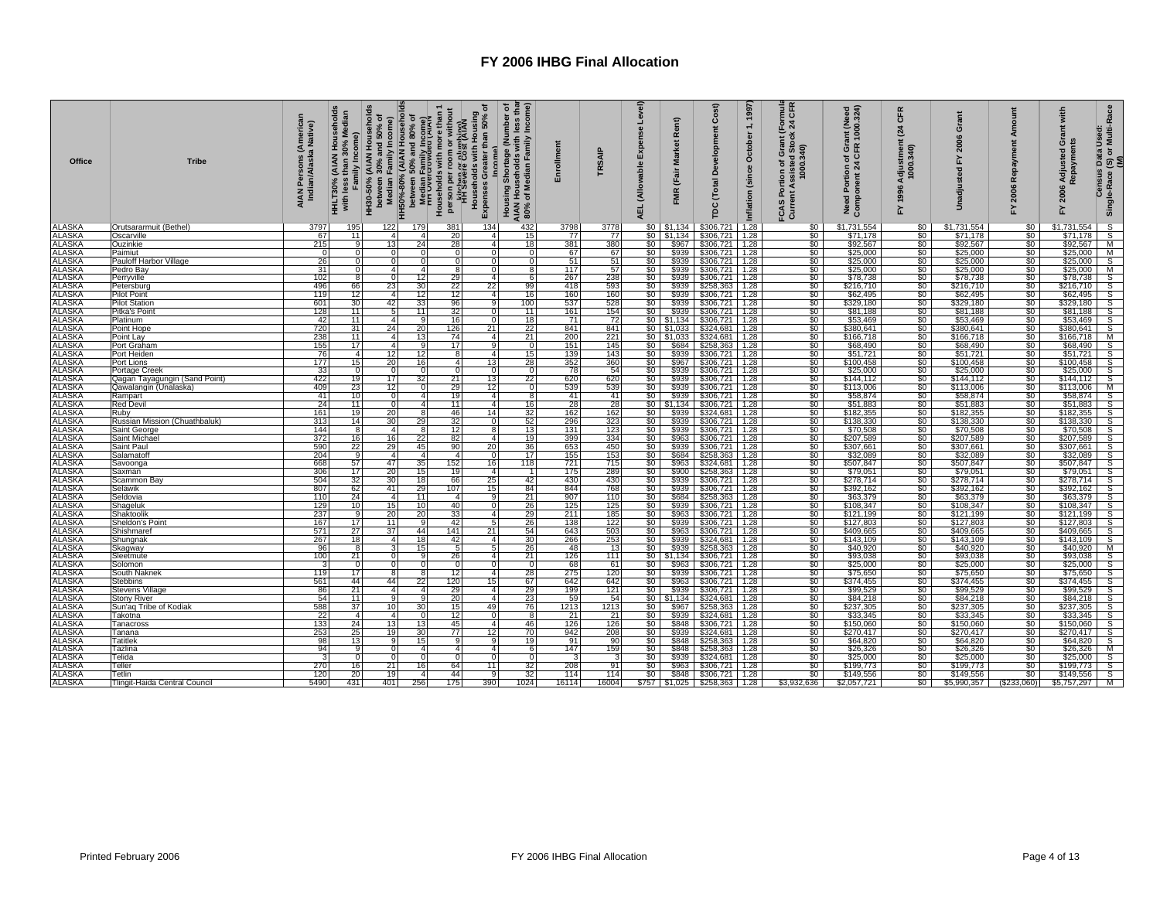| <b>Office</b>                  | <b>Tribe</b>                    | AIAN Persons (American<br>Indian/Alaska Native) | Median<br>Family Income)<br>than $30\%$<br>HHLT30%<br>with less 1 |                             |                        | HH30-50% (AIAN Households<br>between 30% and 50% of<br>a HH50%-80% (AIAN) Income<br>interveen 50% and 80% of<br>a HH50%-80% and 80% of<br>interveen 50% and 80% of<br>interveen 50% and 80% of<br>the person per common white<br>intervention of the H | <b>Income</b>              | Housing Shortage (Number of<br>AIAN Households with less than<br>80% of Median Family Income) | Enrollment | TRSAIP         | Level)<br>Expense<br>(Allowable<br>긊 | Rent)<br><b>Market</b><br>(Fair<br><b>FMR</b> | Cost)<br>Development<br><b>Total</b><br><b>PC</b>        | 1997<br>$\div$<br>October<br>(since<br>Inflation | nuis<br>CFR<br><u>ট শ্ল</u><br>ssisted Stock:<br>1000.340)<br>Grant<br>৽<br>rtion<br>Assis<br>FCAS Por<br>Current A | Portion of Grant (Need<br>onent 24 CFR 1000.324)<br>Need Portio<br>Component 2 | CFR<br>$\overline{a}$<br>Adjustment<br>1000.340)<br>1996<br>놊 | Grant<br>2006<br>놊<br>adjusted | Amount<br>Repayment<br>2006<br>놊 | with<br>ānt<br>ö<br>Adjusted<br>Repayme<br>2006<br>놊 | Census Data Used:<br>Ie-Race (S) or Multi-Race<br>(M)<br>Single-Race |
|--------------------------------|---------------------------------|-------------------------------------------------|-------------------------------------------------------------------|-----------------------------|------------------------|--------------------------------------------------------------------------------------------------------------------------------------------------------------------------------------------------------------------------------------------------------|----------------------------|-----------------------------------------------------------------------------------------------|------------|----------------|--------------------------------------|-----------------------------------------------|----------------------------------------------------------|--------------------------------------------------|---------------------------------------------------------------------------------------------------------------------|--------------------------------------------------------------------------------|---------------------------------------------------------------|--------------------------------|----------------------------------|------------------------------------------------------|----------------------------------------------------------------------|
| <b>ALASKA</b>                  | Orutsararmuit (Bethel)          | 3797                                            | 195                                                               | 122                         | 179                    | 381                                                                                                                                                                                                                                                    | 134                        | 432                                                                                           | 3798       | 3778           | \$0                                  | \$1,134                                       | \$306,721                                                | 1.28                                             | \$0                                                                                                                 | \$1,731,554                                                                    | \$0                                                           | \$1,731,554                    | \$0                              | \$1,731,554                                          | $\frac{s}{s}$                                                        |
| <b>ALASKA</b>                  | <b>Oscarville</b>               | 67                                              | 11                                                                | 4                           | -4                     | 20                                                                                                                                                                                                                                                     | 4                          | 15                                                                                            | 77         | 77             |                                      | $$0 \mid $1,134$                              | \$306,721 1.28                                           |                                                  | \$0                                                                                                                 | \$71,178                                                                       | \$0                                                           | \$71,178                       | \$0                              | \$71,178                                             |                                                                      |
| <b>ALASKA</b>                  | Ouzinkie                        | 215                                             | 9                                                                 | 13 <sub>l</sub>             | 24                     | 28                                                                                                                                                                                                                                                     | $\overline{4}$             | 18                                                                                            | 381        | 380            | \$0                                  | \$967                                         | \$306,721 1.28                                           |                                                  | \$0                                                                                                                 | \$92,567                                                                       | \$0                                                           | \$92,567                       | \$0                              | \$92,567                                             |                                                                      |
| <b>ALASKA</b>                  | Paimiut                         | $\overline{0}$                                  | $\Omega$                                                          | $\Omega$                    | $\Omega$               | $\Omega$                                                                                                                                                                                                                                               | $\Omega$                   | $\Omega$                                                                                      | 67         | 67             | \$0                                  |                                               | \$939 \$306,721 1.28                                     |                                                  | \$0                                                                                                                 | \$25,000                                                                       | \$0                                                           | \$25,000                       | \$0                              | \$25,000                                             | $\frac{\frac{3}{2}}{5}$                                              |
| <b>ALASKA</b>                  | Pauloff Harbor Village          | 26                                              | $\Omega$                                                          | $\Omega$                    | $\overline{0}$         | $\overline{0}$                                                                                                                                                                                                                                         | $\overline{0}$             | $\Omega$                                                                                      | 51         | 51             | \$0                                  |                                               | $$939$ $$306,721$ 1.28                                   |                                                  | \$0                                                                                                                 | \$25,000                                                                       | \$0                                                           | \$25,000                       | \$0                              | \$25,000                                             |                                                                      |
| ALASKA<br>ALASKA<br>ALASKA     | Pedro Bay<br>Perryville         | 31<br>102                                       | $\Omega$<br>8                                                     | $\overline{a}$<br>$\Omega$  | $\overline{4}$<br>12   | 8<br>29                                                                                                                                                                                                                                                | $\Omega$<br>4              | 8<br>6                                                                                        | 117<br>267 | 57<br>238      | \$0<br>\$0                           |                                               | \$939 \$306,721 1.28<br>\$939 \$306,721 1.28             |                                                  | \$0<br>\$0                                                                                                          | \$25,000<br>\$78,738                                                           | $\frac{$0}{$0}$                                               | \$25,000<br>\$78,738           | \$0<br>\$0                       | \$25,000<br>\$78,738                                 | $\frac{M}{S}$                                                        |
|                                | Petersburg                      | 496                                             | 66                                                                | 23                          | 30                     | 22                                                                                                                                                                                                                                                     | 22                         | 99                                                                                            | 418        | 593            | \$0                                  |                                               | \$939 \$258,363 1.28                                     |                                                  | \$0                                                                                                                 | \$216,710                                                                      | \$0                                                           | \$216,710                      | \$0                              | \$216,710                                            | S                                                                    |
|                                | <b>Pilot Point</b>              | 119                                             | 12                                                                | $\mathbf{4}$                | 12                     | 12                                                                                                                                                                                                                                                     | $\mathbf{4}$               | 16                                                                                            | 160        | 160            | \$0                                  |                                               | \$939 \$306,721 1.28                                     |                                                  | \$0                                                                                                                 | \$62,495                                                                       | \$0                                                           | \$62,495                       | \$0                              | \$62,495                                             |                                                                      |
| <b>ALASKA</b><br>ALASKA        | <b>Pilot Station</b>            | 601                                             | 30                                                                | 42                          | 33                     | 96                                                                                                                                                                                                                                                     |                            | 100                                                                                           | 537        | 528            | \$0 I                                |                                               | \$939 \$306,721 1.28                                     |                                                  | \$0                                                                                                                 | \$329,180                                                                      | \$0                                                           | \$329,180                      |                                  | \$329,180                                            | s<br>s<br>s                                                          |
| <b>ALASKA</b>                  | Pitka's Point                   | 128                                             | 11                                                                |                             | 11                     | 32                                                                                                                                                                                                                                                     |                            | 11                                                                                            | 161        | 154            | \$0                                  |                                               | \$939 \$306,721 1.28                                     |                                                  | $\overline{\$0}$                                                                                                    | \$81,188                                                                       | \$0                                                           | \$81,188                       | \$0<br>\$0                       | \$81,188                                             |                                                                      |
| ALASKA<br>ALASKA               | Platinum                        | 42                                              | 11                                                                |                             | g                      | 16                                                                                                                                                                                                                                                     |                            | 18                                                                                            | 71         | 72             |                                      |                                               | \$0 \$1,134 \$306,721 1.28<br>\$0 \$1,033 \$324,681 1.28 |                                                  | $\$0$                                                                                                               | \$53,469                                                                       | $\frac{$0}{$0}$                                               | \$53,469                       | \$0                              | \$53,469                                             | $\frac{S}{S}$                                                        |
|                                | Point Hope                      | 720                                             | 31                                                                | 24                          | 20                     | 126                                                                                                                                                                                                                                                    | 21                         | $\overline{22}$                                                                               | 841        | 841            |                                      |                                               |                                                          |                                                  | \$0                                                                                                                 | \$380,641                                                                      |                                                               | \$380,641                      | \$0                              | \$380,641                                            |                                                                      |
| ALASKA<br>ALASKA<br>ALASKA     | Point Lav                       | 238                                             | 11                                                                | 4                           | 13                     | 74                                                                                                                                                                                                                                                     | 4                          | 21                                                                                            | 200        | 221            |                                      |                                               | $$0 \mid $1,033 \mid $324,681 \mid 1.28$                 |                                                  | \$0                                                                                                                 | \$166,718                                                                      | \$0                                                           | \$166,718                      | \$0                              | \$166,718                                            | M                                                                    |
|                                | Port Graham<br>Port Heiden      | 155<br>76                                       | 17<br>$\overline{4}$                                              | $\boldsymbol{\Delta}$<br>12 | -9<br>12               | 17<br>8                                                                                                                                                                                                                                                | a<br>$\overline{a}$        | - 0<br>15                                                                                     | 151<br>139 | 145<br>143     | SO I                                 |                                               | \$684 \$258,363 1.28<br>\$939 \$306,721 1.28             |                                                  | \$0<br>\$0                                                                                                          | \$68,490<br>\$51,721                                                           | $\boldsymbol{\mathsf{S}}$<br>\$o I                            | \$68,490<br>\$51,721           | $\overline{50}$<br>\$0           | \$68,490<br>\$51,721                                 | $\frac{\overline{s}}{\overline{s}}$                                  |
|                                | Port Lions                      | 177                                             | 15                                                                | 20                          | 16                     | 4 <sup>1</sup>                                                                                                                                                                                                                                         | 13                         | 28                                                                                            |            | 360            | \$0  <br>\$0                         |                                               | \$967 \$306,721 1.28                                     |                                                  |                                                                                                                     | \$100,458                                                                      |                                                               | \$100,458                      |                                  | \$100,458                                            |                                                                      |
|                                | Portage Creek                   |                                                 | 7                                                                 |                             | $\overline{0}$         | $\overline{0}$                                                                                                                                                                                                                                         |                            |                                                                                               | 352<br>78  |                | $\overline{\$0}$                     |                                               |                                                          |                                                  |                                                                                                                     | \$25,000                                                                       |                                                               | \$25,000                       |                                  | \$25,000                                             |                                                                      |
| ALASKA<br>ALASKA<br>ALASKA     | Qagan Tayagungin (Sand Point)   | $\frac{33}{422}$                                | 19                                                                | 17                          | 32                     | 21                                                                                                                                                                                                                                                     | 13                         | 22                                                                                            | 620        | $rac{54}{620}$ | \$0                                  |                                               | \$939 \$306,721 1.28<br>\$939 \$306,721 1.28             |                                                  | $\frac{$0}{$0}{$0}{$0 $$                                                                                            | \$144,112                                                                      | $rac{60}{60}$<br>$rac{60}{60}$                                | \$144,112                      | $\frac{$0}{$0}{$0}$              | \$144,112                                            | $rac{S}{S}$                                                          |
|                                | Qawalangin (Unalaska)           | 409                                             | 23                                                                | 12                          | $\Omega$               | 29                                                                                                                                                                                                                                                     | 12                         |                                                                                               | 539        | 539            | \$0                                  |                                               | \$939 \$306,721 1.28<br>\$939 \$306,721 1.28             |                                                  | \$0<br>\$0                                                                                                          | \$113,006                                                                      | $\frac{$0}{$0}$                                               | \$113,006                      | \$0                              | \$113,006                                            |                                                                      |
| ALASKA<br>ALASKA<br>ALASKA     | Rampart                         | 41                                              | 10                                                                |                             |                        | 19 <sup>1</sup>                                                                                                                                                                                                                                        | 4                          |                                                                                               | 41         | 41             |                                      |                                               |                                                          |                                                  |                                                                                                                     | \$58,874                                                                       |                                                               | \$58,874                       | \$0                              | \$58,874                                             |                                                                      |
|                                | <b>Red Devil</b>                | 24                                              | 11                                                                |                             | $\boldsymbol{A}$       | 11                                                                                                                                                                                                                                                     | $\Delta$                   | 16                                                                                            | 28         | 28             |                                      |                                               | $$0 \mid $1,134 \mid $306,721 \mid 1.28$                 |                                                  | $\overline{\$0}$                                                                                                    | \$51,883                                                                       | \$0                                                           | \$51,883                       | $\overline{50}$                  | \$51,883                                             | o o o o o o o o                                                      |
| ALASKA<br>ALASKA               | Ruby                            | 161                                             | 19                                                                |                             |                        | 46                                                                                                                                                                                                                                                     | 14<br>$\Omega$             | 32<br>52                                                                                      | 162<br>296 | 162<br>323     | \$0                                  |                                               | \$939 \$324,681 1.28                                     |                                                  | \$0<br>\$0                                                                                                          | \$182,355                                                                      | $\frac{$0}{0}$                                                | \$182,355                      | \$0<br>\$0                       | \$182,355                                            |                                                                      |
|                                | Russian Mission (Chuathbaluk)   | 313<br>144                                      | 14<br>8                                                           | 30                          | 29                     | 32                                                                                                                                                                                                                                                     |                            | 13                                                                                            | 131        |                | \$0                                  |                                               | \$939 \$306,721 1.28                                     |                                                  |                                                                                                                     | \$138,330                                                                      |                                                               | \$138,330                      |                                  | \$138,330                                            |                                                                      |
| ALASKA<br>ALASKA<br>ALASKA     | Saint George<br>Saint Michae    | 372                                             | 16                                                                |                             | 22                     | 12<br>82                                                                                                                                                                                                                                               | 4                          | 19                                                                                            | 399        | 123<br>334     | \$0<br>\$0                           |                                               | \$939 \$306,721 1.28<br>\$963 \$306,721 1.28             |                                                  | \$0<br>\$0                                                                                                          | \$70,508<br>\$207,589                                                          | $\frac{$0}{$0}$                                               | \$70,508<br>\$207,589          |                                  | \$70,508<br>\$207,589                                |                                                                      |
|                                | Saint Paul                      | 590                                             | 22                                                                | 29                          | 45                     | 90                                                                                                                                                                                                                                                     | 20                         | 36                                                                                            | 653        | 450            | \$0                                  |                                               | \$939 \$306,721 1.28                                     |                                                  | $\overline{\$0}$                                                                                                    | \$307,661                                                                      | \$0                                                           | \$307,661                      | \$0                              | \$307,661                                            | $\overline{s}$                                                       |
|                                | Salamatoff                      | 204                                             | $\mathbf{Q}$                                                      | $\mathbf{4}$                | $\overline{4}$         | 4 <sup>1</sup>                                                                                                                                                                                                                                         |                            | 17                                                                                            | 155        | 153            | \$0                                  |                                               | \$684 \$258,363 1.28                                     |                                                  | \$0                                                                                                                 | \$32,089                                                                       |                                                               | \$32,089                       |                                  | \$32,089                                             |                                                                      |
| ALASKA<br>ALASKA<br>ALASKA     | Savoonga                        | 668                                             | 57                                                                | 47                          | 35                     | 152                                                                                                                                                                                                                                                    | 16                         | 118                                                                                           | 721        | 715            | $\$0$                                |                                               | \$963 \$324,681 1.28                                     |                                                  | $\overline{\$0}$                                                                                                    | \$507,847                                                                      | $\frac{$0}{$0}$                                               | \$507,847                      | \$0<br>\$0                       | \$507,847                                            | $rac{1}{s}$                                                          |
|                                | Saxman                          | 306                                             | 17                                                                | 20                          | 15                     | 19                                                                                                                                                                                                                                                     | 4 <sup>1</sup>             |                                                                                               | 175        | 289            | \$0                                  |                                               | $$900$ $$258,363$ 1.28                                   |                                                  | \$0                                                                                                                 | \$79,051                                                                       | \$0                                                           | \$79,051                       | \$0                              | \$79,051                                             |                                                                      |
| ALASKA<br>ALASKA<br>ALASKA     | Scammon Bay                     | 504                                             | 32                                                                | 30                          | 18                     | 66                                                                                                                                                                                                                                                     | 25                         | 42                                                                                            | 430        | 430            | \$0                                  |                                               | \$939 \$306,721 1.28                                     |                                                  | $\frac{1}{50}$                                                                                                      | \$278,714                                                                      | $rac{1}{50}$                                                  | \$278,714                      | \$0                              | \$278,714                                            | $\frac{S}{S}$                                                        |
|                                | Selawik                         | 807                                             | 62                                                                | 41                          | 29                     | 107                                                                                                                                                                                                                                                    | 15                         | 84                                                                                            | 844        | 768            | \$0                                  |                                               | \$939 \$306,721 1.28                                     |                                                  |                                                                                                                     | \$392,162                                                                      |                                                               | \$392,162                      | \$0                              | \$392,162                                            |                                                                      |
|                                | Seldovia                        | 110                                             | 24<br>10 <sup>1</sup>                                             | $\Delta$<br>15              | 11                     | $\overline{4}$<br>40                                                                                                                                                                                                                                   | g<br>$\Omega$              | 21<br>26                                                                                      | 907        | 110<br>125     | \$0<br>\$0                           |                                               | \$684 \$258,363 1.28                                     |                                                  | \$0<br>\$0                                                                                                          | \$63,379                                                                       | \$0<br>\$0                                                    | \$63,379                       | \$0<br>\$0                       | \$63,379                                             | S                                                                    |
| <b>ALASKA</b><br>ALASKA        | Shageluk<br>Shaktoolik          | 129<br>237                                      | 9                                                                 | 20                          | 10 <sup>1</sup><br>20  | 33                                                                                                                                                                                                                                                     | $\mathbf{4}$               | 29                                                                                            | 125<br>211 | 185            | \$0                                  | \$963                                         | \$939 \$306,721 1.28<br>\$306,721 1.28                   |                                                  | \$0                                                                                                                 | \$108,347<br>\$121,199                                                         | $\frac{1}{2}$                                                 | \$108,347<br>\$121,199         | \$0                              | \$108,347<br>\$121,199                               | s<br>s<br>s                                                          |
| <b>ALASKA</b>                  | Sheldon's Point                 | 167                                             | 17                                                                | 11                          | 9                      | 42                                                                                                                                                                                                                                                     | 5                          | 26                                                                                            | 138        | 122            | \$0                                  |                                               | \$939 \$306,721 1.28                                     |                                                  | \$0                                                                                                                 | \$127,803                                                                      | \$0                                                           | \$127,803                      | \$0                              | \$127,803                                            |                                                                      |
| <b>ALASKA</b>                  | Shishmaref                      | 571                                             | 27                                                                | 37                          | 44                     | 141                                                                                                                                                                                                                                                    | 21                         | $\frac{54}{30}$                                                                               | 643        | 503<br>253     | $\frac{$0}{$0}$                      |                                               | \$963 \$306,721 1.28                                     |                                                  | \$0                                                                                                                 | \$409,665                                                                      | $\frac{1}{50}$                                                | \$409,665                      | $\frac{$0}{$0}$                  | \$409,665                                            | $\frac{S}{S}$                                                        |
| ALASKA                         | Shungnak                        | 267                                             | 18                                                                | 4                           | 18                     | 42                                                                                                                                                                                                                                                     | $\overline{4}$             |                                                                                               | 266        |                |                                      |                                               | \$939 \$324,681                                          | 1.28                                             | šō                                                                                                                  | \$143,109                                                                      |                                                               | \$143,109                      |                                  | \$143,109                                            |                                                                      |
| <b>ALASKA</b>                  | Skagway                         | 96                                              | 8                                                                 |                             | 15                     | 5                                                                                                                                                                                                                                                      | 5                          | 26                                                                                            | 48         | 13             | \$0                                  |                                               | \$939 \$258,363                                          | 1.28                                             | \$0                                                                                                                 | \$40,920                                                                       | \$0                                                           | \$40,920                       | \$0                              | \$40,920                                             | M                                                                    |
| ALASKA                         | Sleetmute                       | 100                                             | 21                                                                |                             | -9                     | 26                                                                                                                                                                                                                                                     | $\overline{a}$             | 21                                                                                            | 126        | 111            |                                      |                                               | $$0$ $$1,134$ $$306,721$ 1.28                            |                                                  | \$0                                                                                                                 | \$93,038                                                                       | \$0                                                           | \$93,038                       | \$0                              | \$93,038                                             | $rac{S}{S}$                                                          |
|                                | Solomon                         | $\mathbf{3}$<br>119                             | $\Omega$                                                          | $\Omega$<br>8               | $\overline{0}$         | $\overline{0}$                                                                                                                                                                                                                                         | $\Omega$<br>4              | $\Omega$                                                                                      | 68         | 61             | \$0                                  |                                               | \$963 \$306,721 1.28                                     |                                                  | \$0                                                                                                                 | \$25,000                                                                       | \$0                                                           | \$25,000                       | \$0                              | \$25,000                                             |                                                                      |
| <b>ALASKA</b><br><b>ALASKA</b> | South Naknek<br><b>Stebbins</b> | 561                                             | 17<br>44                                                          | 44                          | $\boldsymbol{8}$<br>22 | 12<br>120                                                                                                                                                                                                                                              | 15                         | 28<br>67                                                                                      | 275<br>642 | 120<br>642     | \$0<br>\$0                           |                                               | \$939 \$306,721 1.28                                     |                                                  | \$0<br>\$0                                                                                                          | \$75,650<br>\$374,455                                                          | \$0                                                           | \$75,650<br>\$374,455          | \$0<br>\$0                       | \$75,650<br>\$374,455                                | $rac{5}{s}$                                                          |
| <b>ALASKA</b>                  | <b>Stevens Village</b>          | 86                                              | 21                                                                | A                           | $\overline{4}$         | 29                                                                                                                                                                                                                                                     | 4 <sup>1</sup>             | 29                                                                                            | 199        | 121            | \$0                                  |                                               | \$963 \$306,721 1.28<br>\$939 \$306,721 1.28             |                                                  | $\overline{\$0}$                                                                                                    | \$99,529                                                                       | $\frac{50}{50}$                                               | \$99,529                       | $\overline{\$0}$                 | \$99,529                                             |                                                                      |
|                                | <b>Stony River</b>              | 54                                              | 11                                                                | a                           | $\overline{9}$         | 20                                                                                                                                                                                                                                                     | $\Delta$                   | 23                                                                                            | 59         | 54             |                                      |                                               | $$0 \mid $1,134 \mid $324,681 \mid 1.28$                 |                                                  | \$0                                                                                                                 | \$84,218                                                                       | \$0                                                           | \$84,218                       | \$0                              | \$84,218                                             |                                                                      |
| ALASKA<br>ALASKA<br>ALASKA     | Sun'ag Tribe of Kodiak          | 588                                             | 37                                                                | 10 <sup>1</sup>             | 30                     | 15 <sup>1</sup>                                                                                                                                                                                                                                        | 49                         | 76                                                                                            | 1213       | 1213           | \$0 <sub>1</sub>                     |                                               | $$967$ $$258,363$ 1.28                                   |                                                  | \$0                                                                                                                 | \$237,305                                                                      | \$0                                                           | \$237,305                      | \$0                              | \$237,305                                            | lolololololol                                                        |
|                                | Takotna                         | 22                                              | $\overline{4}$                                                    | $\mathbf{4}$                | $\Omega$               | 12 <sup>1</sup>                                                                                                                                                                                                                                        | $\Omega$                   | -8                                                                                            | 21         | 21             | \$0                                  |                                               | $$939$ $$324,681$ 1.28                                   |                                                  | \$0                                                                                                                 | \$33,345                                                                       | \$0                                                           | \$33,345                       | $\overline{50}$                  | \$33,345                                             |                                                                      |
| <b>ALASKA</b>                  | Tanacross                       | 133                                             | 24                                                                | 13 <sub>1</sub>             | 13                     | 45                                                                                                                                                                                                                                                     | $\mathbf{A}$               | 46                                                                                            | 126        | 126            | \$0                                  |                                               | \$848 \$306,721 1.28                                     |                                                  | \$0                                                                                                                 | \$150,060                                                                      | $\frac{1}{2}$                                                 | \$150,060                      | \$0                              | \$150,060                                            |                                                                      |
| <b>ALASKA</b>                  | Tanana                          | 253                                             | 25                                                                | 19                          | 30                     | 77                                                                                                                                                                                                                                                     | 12                         | 70                                                                                            | 942        | 208            | \$0                                  |                                               | \$939 \$324,681 1.28                                     |                                                  | $\overline{\$0}$                                                                                                    | \$270,417                                                                      | \$0                                                           | \$270,417                      | \$0                              | \$270,417                                            |                                                                      |
| ALASKA<br>ALASKA<br>ALASKA     | <b>Tatitlek</b>                 | 98                                              | 13<br>9                                                           |                             | 15                     | 9                                                                                                                                                                                                                                                      | q<br>$\boldsymbol{\Delta}$ | 19                                                                                            | 91<br>147  | .90 l          | \$0<br>\$0                           |                                               | \$848 \$258,363 1.28                                     |                                                  | \$0<br>\$0                                                                                                          | \$64,820                                                                       | \$0                                                           | \$64,820                       | \$0<br>\$0                       | \$64,820                                             |                                                                      |
|                                | Tazlina<br>Telida               | 94<br>3                                         |                                                                   |                             | $\overline{4}$         | 4 <sup>1</sup><br>$\Omega$                                                                                                                                                                                                                             |                            |                                                                                               |            | 159            | \$0                                  |                                               | \$848 \$258,363 1.28<br>\$939 \$324,681 1.28             |                                                  | \$0                                                                                                                 | \$26,326<br>\$25,000                                                           | $\frac{1}{2}$<br>\$0                                          | \$26,326<br>\$25,000           | \$0                              | \$26,326<br>\$25,000                                 |                                                                      |
| <b>ALASKA</b>                  | Teller                          | 270                                             | 16 <sup>1</sup>                                                   | 21                          | 16 <sup>1</sup>        | 64                                                                                                                                                                                                                                                     | 11                         | 32                                                                                            | 208        | 91             |                                      |                                               |                                                          |                                                  | \$0                                                                                                                 | \$199,773                                                                      | \$0                                                           | \$199,773                      | \$0                              | \$199,773                                            |                                                                      |
| <b>ALASKA</b>                  | Tetlin                          | 120                                             | 20                                                                | 19                          | $\overline{4}$         | 44                                                                                                                                                                                                                                                     |                            | 32                                                                                            | 114        | 114            |                                      |                                               | \$0 \$963 \$306,721 1.28<br>\$0 \$848 \$306,721 1.28     |                                                  | \$0                                                                                                                 | \$149,556                                                                      |                                                               | \$149,556                      | \$0                              | \$149,556                                            | $rac{\overline{M}}{\overline{S}}$                                    |
| <b>ALASKA</b>                  | Tlingit-Haida Central Council   | 5490                                            | 431                                                               | 401                         | 256                    | 175                                                                                                                                                                                                                                                    | 390                        | 1024                                                                                          | 16114      | 16004          |                                      |                                               | $$757$ $$1,025$ $$258,363$ 1.28                          |                                                  | \$3,932,636                                                                                                         | \$2,057,721                                                                    | $\frac{$0}{$0}$                                               | \$5,990,357                    | (S233,060)                       | $$5,757,297$ M                                       |                                                                      |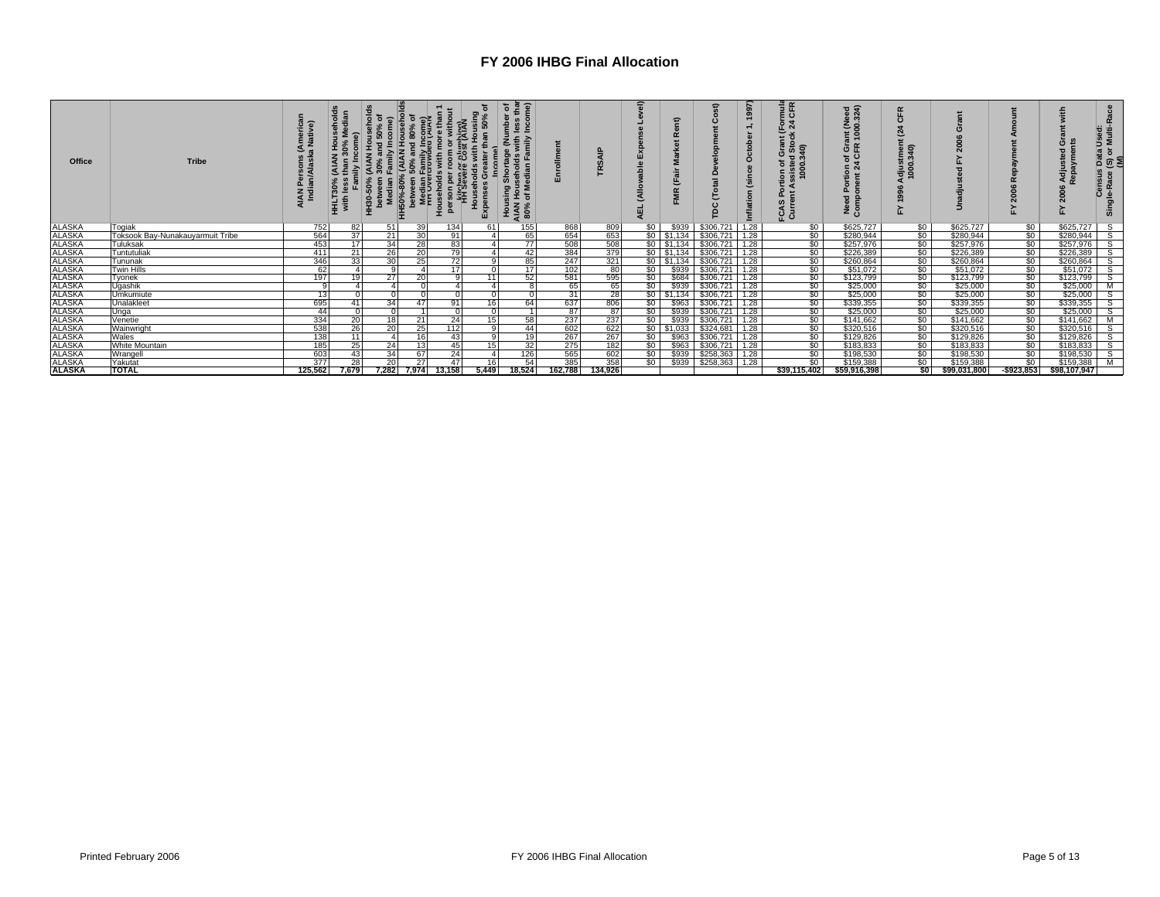| Office                         | <b>Tribe</b>                                 |            | 0%<br>HHLT30<br>with le | ន<br>$rac{6}{5}$ | əs.<br>Family İr<br>rcrowder<br>Median I<br>nn Over<br>န္<br><b>HH50%</b> | 75<br>ō<br>ē<br>오 | ъ<br>٥<br>ens<br>Exp<br>I | <u>ិ</u> ភ្ន<br>نو<br>ڊ ڳا<br>Ε.<br>Housing Shortage (<br>AIAN Households wi<br>80% of Median Fam |                   |            |                 | ε             | ٥                                                                  | ৯<br>$\overline{a}$<br>E | nuia<br>CFR<br>$\circ$<br>$\widehat{a}$<br>m<br>000<br>تونج<br>C | eed<br>324)<br>ant (N<br>1000.<br>δ£<br>ზ ი<br>$t$ tion<br>snt 24<br>$\overline{a}$<br>2 ని | djustment<br>1000.340) |                        |                                | £<br>ඏ<br>Adju<br>Repa<br>ខ្លី | Used:<br>Multi-Race<br>ŏ<br>$\overline{3}$<br>Census<br>Single-Race |
|--------------------------------|----------------------------------------------|------------|-------------------------|------------------|---------------------------------------------------------------------------|-------------------|---------------------------|---------------------------------------------------------------------------------------------------|-------------------|------------|-----------------|---------------|--------------------------------------------------------------------|--------------------------|------------------------------------------------------------------|---------------------------------------------------------------------------------------------|------------------------|------------------------|--------------------------------|--------------------------------|---------------------------------------------------------------------|
| <b>ALASKA</b><br><b>ALASKA</b> | Togiak                                       | 752<br>564 | 82<br>37                | 51<br>21         | 39<br>30                                                                  | 134<br>91         |                           | 155                                                                                               | 868               | 809<br>653 | \$0             | \$939         | \$306,721                                                          | 1.28                     | \$0                                                              | \$625,727                                                                                   | \$0<br>\$0             | \$625,727              | \$0                            | \$625,727<br>\$280,944         | $\overline{s}$                                                      |
|                                | Toksook Bay-Nunakauyarmuit Tribe<br>Tuluksak | 453        | 17                      | 34               | 28                                                                        | 83                |                           | 65<br>77                                                                                          | 654<br>508        | 508        |                 |               | $$0 \quad $1,134 \quad $306,721$<br>$$0 \mid $1,134 \mid $306,721$ | 1.28<br>1.28             | \$0<br>\$0                                                       | \$280,944<br>\$257,976                                                                      | \$0                    | \$280,944<br>\$257,976 | $\frac{60}{100}$               | \$257,976                      | S.<br>S                                                             |
| <b>ALASKA</b>                  | Tuntutuliak                                  | 411        | 21                      | 26               | 20                                                                        | 79                |                           | 42                                                                                                |                   | 379        |                 |               | $$0 \mid $1,134 \mid $306,721 \mid 1.28$                           |                          | \$0                                                              | \$226,389                                                                                   | \$0                    | \$226,389              |                                | \$226,389                      | s                                                                   |
| ALASKA<br>ALASKA               | Tununak                                      | 346        | 33                      | 30               | 25                                                                        | 72                |                           | 85                                                                                                | $\frac{384}{247}$ | 321        |                 | $$0$ $$1,134$ | \$306,721                                                          | 1.28                     | \$0                                                              | \$260,864                                                                                   | \$0                    | \$260,864              |                                | \$260,864                      | $\overline{\mathsf{s}}$                                             |
| <b>ALASKA</b>                  | <b>Twin Hills</b>                            | 62         |                         |                  |                                                                           | 17                |                           | 17                                                                                                |                   | 80         | \$0             | \$939         | \$306,721                                                          | 1.28                     | \$0                                                              | \$51,072                                                                                    | \$0                    | \$51,072               |                                | \$51,072                       | s                                                                   |
|                                | Tyonek                                       | 197        | 19                      | 27               | 20                                                                        |                   |                           | 52                                                                                                | $\frac{102}{581}$ | 595        |                 |               | \$684 \$306,721                                                    | 1.28                     |                                                                  | \$123,799                                                                                   |                        | \$123,799              |                                | \$123,799                      | s                                                                   |
|                                | Uqashik                                      |            |                         |                  |                                                                           |                   |                           |                                                                                                   | 65                | 65         | $\frac{$0}{$0}$ | \$939         | \$306,721                                                          | 1.28                     | $\frac{$0}{$0}$                                                  | \$25,000                                                                                    | $\frac{$0}{$0}$        | \$25,000               | $\frac{$0}{$0}{$0}{$0 $$       | \$25,000                       | М                                                                   |
| ALASKA<br>ALASKA<br>ALASKA     | <b>Umkumiute</b>                             | 13         |                         |                  |                                                                           |                   |                           |                                                                                                   |                   | 28         |                 |               | $\text{$}50$ \ $\text{$}51,134$ \ $\text{$}5306,721$ \ $1.28$      |                          |                                                                  | \$25,000                                                                                    | \$0                    | \$25,000               |                                | \$25,000                       | S                                                                   |
|                                | Unalakleet                                   | 695        | 41                      | 34               |                                                                           | Q <sub>1</sub>    |                           | 64                                                                                                | $\frac{31}{637}$  | 806        | \$0             |               | $$963$ $$306,721$                                                  | 1.28                     |                                                                  | \$339,355                                                                                   | \$0                    | \$339,355              |                                | \$339,355                      | $\mathsf{s}$                                                        |
| <b>ALASKA</b><br>ALASKA        | Unga                                         | 44         |                         |                  |                                                                           |                   |                           |                                                                                                   | 87                | 87         | \$0             | \$939         | \$306,721                                                          | 1.28                     | $\frac{$0}{$0}{$0 $}$                                            | \$25,000                                                                                    | \$0                    | \$25,000               | $rac{$0}{60}$<br>$rac{$0}{60}$ | \$25,000                       | S                                                                   |
| <b>ALASKA</b>                  | Venetie                                      | 334<br>538 | $\frac{20}{26}$         |                  | 21                                                                        | 24                |                           | 58                                                                                                | $\frac{237}{602}$ | 237        | \$0             | \$939         | \$306,721                                                          | 1.28                     | $\frac{$0}{$0}$                                                  | \$141,662                                                                                   | \$0                    | \$141,662              | $rac{$0}{$0}$                  | \$141,662                      | M                                                                   |
| <b>ALASKA</b>                  | Wainwright                                   |            |                         |                  | 25                                                                        | 112               |                           | 44                                                                                                |                   | 622        |                 |               | $$0 \mid $1,033 \mid $324,681$                                     | 1.28                     |                                                                  | \$320,516                                                                                   | \$0                    | \$320,516              |                                | \$320,516                      | s                                                                   |
| ALASKA<br>ALASKA<br>ALASKA     | Wales                                        | 138        | 11                      |                  | 16                                                                        | 43                |                           | 19                                                                                                | 267<br>275        | 267<br>182 | $\overline{50}$ | \$963         | \$306,721                                                          | 1.28                     | $rac{$0}{$0}$                                                    | \$129,826                                                                                   | $\frac{$0}{$0}$        | \$129,826              | $\frac{$0}{$0}{$0 $}$          | \$129,826                      | S.                                                                  |
|                                | <b>White Mountain</b>                        | 185        | 25                      | 24               | 13                                                                        | 45                |                           | 32                                                                                                |                   |            | \$0             | \$963         | \$306,721                                                          | 1.28                     |                                                                  | \$183,833                                                                                   |                        | \$183,833              |                                | \$183,833                      | $\overline{s}$                                                      |
|                                | Wrangell                                     | 603        | 43                      | 34               | 67                                                                        | 24                |                           | 126                                                                                               | 565               | 602        | \$0             | \$939         | \$258,363                                                          | 1.28                     | \$0                                                              | \$198,530                                                                                   | \$0                    | \$198,530              |                                | \$198,530                      | s                                                                   |
| <b>ALASKA</b>                  | Yakutat                                      | 377        | 28                      | 20               | 27                                                                        | 47                |                           | 54                                                                                                | 385               | 358        | \$0             | \$939         | \$258,363                                                          | 1.28                     | \$0                                                              | \$159,388                                                                                   | \$0                    | \$159,388              | \$0                            | \$159,388                      | M                                                                   |
| <b>ALASKA</b>                  | <b>TOTAL</b>                                 | 125,562    | 7.679                   | 7.282            | 7.974                                                                     | 13.158            | 5.449                     | 18,524                                                                                            | 162,788           | 134,926    |                 |               |                                                                    |                          | \$39,115,402                                                     | \$59,916,398                                                                                | \$O                    | \$99,031,800           | $-$923,853$                    | \$98,107,947                   |                                                                     |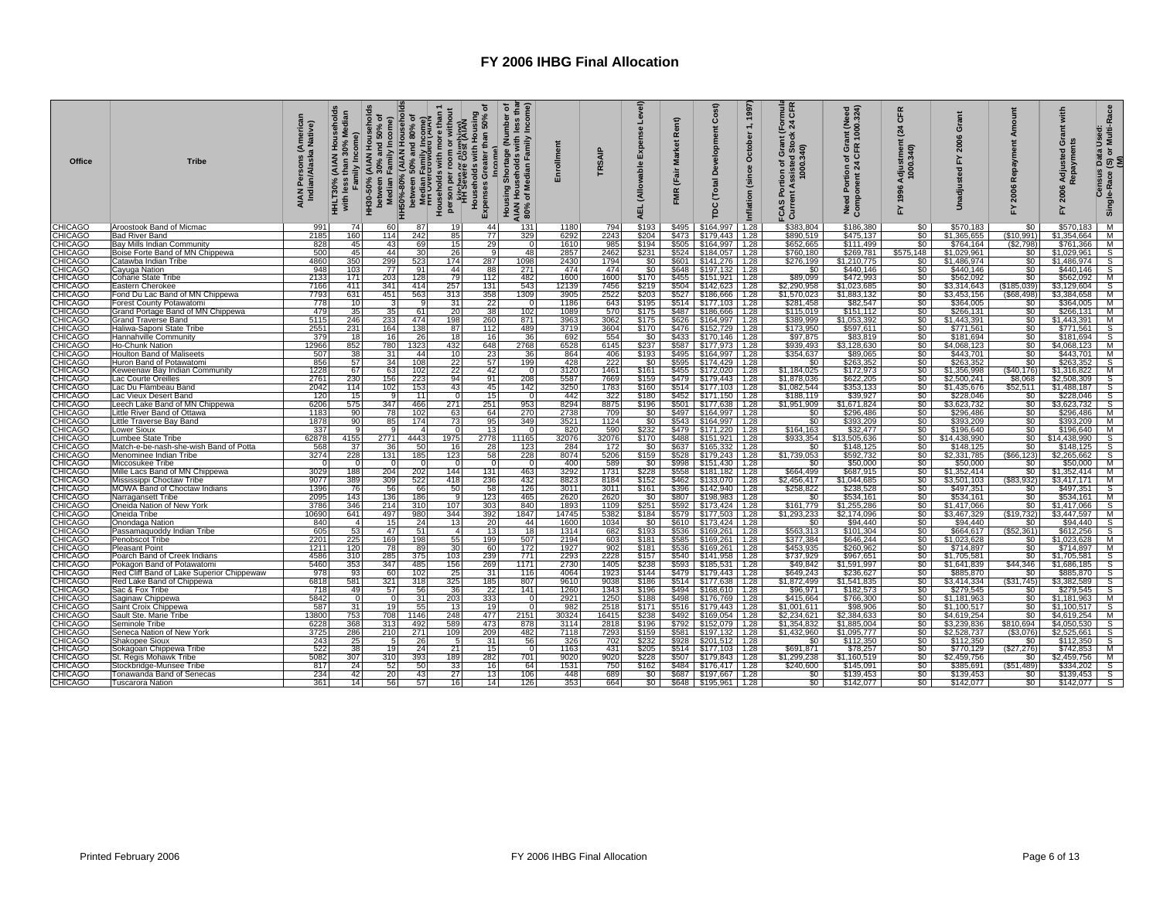| <b>Office</b>             | <b>Tribe</b>                                                           | AIAN Persons (American<br>Indian/Alaska Native) | Median<br>amily Income)<br>with less<br><b>HHLT30%</b> | HH30-50% (AIAN Households | between 30% and 50% of<br>HH50%-80% (AIAN Households<br>2. Median Family Income)<br>2. Median Family Income)<br>2. Median Family Income)<br>House Work Theory<br>House The Come of Whout<br>Person per room or without<br>Person per room or w | ৳<br>Housing<br>50%<br>than<br>Households with<br>Greater<br>Expenses | Income)<br>৽<br>Shortage (Number<br>₾<br>ds with<br>Family<br>Median<br>Pousing<br>훈등<br><b>AIAN</b><br>80% | Enrollment   | TRSAIP       | Level)<br>Expense<br>(Allowable<br><b>AEL</b> | Rent)<br><b>Market</b><br>(Fair<br>FMR | Cost)<br>Developm<br>Total<br>pc                     | 1, 1997<br>October<br>(since<br>nflation | mula<br>CFR<br><u> ទិ ។</u><br>č<br>ortion of Grant<br>: Assisted Stock<br>1000.340)<br>÷.<br>S<br>FCAS<br>Curr | rant (Need<br>२ 1000.324)<br>Portion of Gra<br>onent 24 CFR<br>Need Portion<br>Component 2 | CFR<br>$\mathbf{z}_4$<br>Adjustment<br>1000.340)<br>1996<br>놊 | ō<br>2006<br>고<br>5        | Amor<br>Repayment<br>2006<br>놊 | with<br>änt<br>ö<br>Adjusted<br>aym<br>2006<br>۲ | ata Used:<br>  or Multi-Race<br>i Data l<br>(S) or l<br>(M)<br>Census<br>Single-Race |
|---------------------------|------------------------------------------------------------------------|-------------------------------------------------|--------------------------------------------------------|---------------------------|------------------------------------------------------------------------------------------------------------------------------------------------------------------------------------------------------------------------------------------------|-----------------------------------------------------------------------|-------------------------------------------------------------------------------------------------------------|--------------|--------------|-----------------------------------------------|----------------------------------------|------------------------------------------------------|------------------------------------------|-----------------------------------------------------------------------------------------------------------------|--------------------------------------------------------------------------------------------|---------------------------------------------------------------|----------------------------|--------------------------------|--------------------------------------------------|--------------------------------------------------------------------------------------|
| <b>CHICAGO</b>            | Aroostook Band of Micmac                                               | 991                                             | 74                                                     | 60                        | 87                                                                                                                                                                                                                                             | 44<br>191                                                             | 131                                                                                                         | 1180         | 794          | \$193                                         | \$495                                  | \$164,997                                            | 1.28                                     | \$383,804                                                                                                       | \$186,380                                                                                  | \$0                                                           | \$570,183                  | \$0                            | \$570,183                                        | M                                                                                    |
| <b>CHICAGO</b>            | <b>Bad River Band</b>                                                  | 2185                                            | 160                                                    | 114                       | 242<br>85                                                                                                                                                                                                                                      | 77                                                                    | 329                                                                                                         | 6292         | 2243         | \$204                                         | \$473                                  | \$179,443 1.28                                       |                                          | \$890,519                                                                                                       | \$475,137                                                                                  | \$0                                                           | \$1,365,655                | (\$10,991)                     | \$1,354,664                                      | M                                                                                    |
| CHICAGO                   | Bay Mills Indian Community                                             | 828                                             | 45                                                     | 43                        | 69                                                                                                                                                                                                                                             | 15<br>29                                                              | $\mathbf 0$                                                                                                 | 1610         | 985          | \$194                                         | \$505                                  | \$164,997 1.28                                       |                                          | \$652,665                                                                                                       | \$111,499                                                                                  | \$0                                                           | \$764,164                  | (\$2,798)                      | \$761,366                                        | М                                                                                    |
| <b>CHICAGO</b>            | Boise Forte Band of MN Chippewa                                        | 500                                             | 45                                                     | 44                        | 26<br>30                                                                                                                                                                                                                                       | <b>q</b>                                                              | 48                                                                                                          | 2857         | 2462         | \$231                                         |                                        | $$524$   \$184,057   1.28                            |                                          | \$760,180                                                                                                       | \$269,781                                                                                  | \$575,148                                                     | \$1,029,961                | \$0                            | \$1,029,961                                      | S                                                                                    |
| CHICAGO                   | Catawba Indian Tribe                                                   | 4860                                            | 350                                                    | 299                       | 523<br>174                                                                                                                                                                                                                                     | 287                                                                   | 1098                                                                                                        | 2430         | 1794         | \$0                                           |                                        | $$601$ $$141,276$ 1.28                               |                                          | \$276,199                                                                                                       | \$1,210,775                                                                                | $\frac{1}{2}$                                                 | \$1,486,974                | \$0                            | \$1,486,974                                      | $\overline{s}$                                                                       |
| <b>CHICAGO</b>            | Cayuga Nation                                                          | 948<br>2133                                     | 103<br>171                                             | 77                        | 44<br>91<br>79                                                                                                                                                                                                                                 | 88<br>112                                                             | 271                                                                                                         | 474<br>1600  | 474<br>1600  | \$0<br>\$170                                  | <b>\$648</b>                           | \$197,132 1.28                                       |                                          | \$0<br>\$89,099                                                                                                 | \$440,146<br>\$472,993                                                                     | \$0<br>SO I                                                   | \$440,146<br>\$562,092     | \$0<br>\$0                     | \$440.146<br>\$562,092                           | S                                                                                    |
| <b>CHICAGO</b><br>CHICAGO | Coharie State Tribe<br>Eastern Cherokee                                | 7166                                            | 411                                                    | 203<br>341                | 128<br>257<br>414                                                                                                                                                                                                                              | 131                                                                   | 482<br>543                                                                                                  | 12139        | 7456         | \$219                                         |                                        | $$455$ $$151,921$ 1.28<br>$$504$ $$142,623$ 1.28     |                                          | \$2,290,958                                                                                                     | \$1,023,685                                                                                | $\overline{\$0}$                                              | \$3,314,643                | (\$185,039)                    | \$3,129,604                                      | M<br>$\mathsf{s}$                                                                    |
| CHICAGO                   | Fond Du Lac Band of MN Chippewa                                        | 7793                                            | 631                                                    | 451                       | 313<br>563                                                                                                                                                                                                                                     | 358                                                                   | 1309                                                                                                        | 3905         | 2522         | \$203                                         |                                        | $$527$ $$186,666$                                    | 1.28                                     | \$1,570,023                                                                                                     | \$1,883,132                                                                                | \$0                                                           | \$3,453,156                | (S68.498)                      | \$3,384,658                                      | M                                                                                    |
| CHICAGO                   | Forest County Potawatomi                                               | 778                                             | 10                                                     |                           | 31                                                                                                                                                                                                                                             | 22                                                                    | $\Omega$                                                                                                    | 1186         | 643          | \$195                                         |                                        | $$514$ $$177,103$ 1.28                               |                                          | \$281,458                                                                                                       | \$82,547                                                                                   |                                                               | \$364,005                  | \$0                            | \$364,005                                        | M                                                                                    |
| CHICAGO                   | Grand Portage Band of MN Chippewa                                      | 479                                             | 35                                                     | 35                        | 20<br>61                                                                                                                                                                                                                                       | 38                                                                    | 102                                                                                                         | 1089         | 570          | \$175                                         |                                        | \$487 \$186,666 1.28                                 |                                          | \$115,019                                                                                                       | \$151,112                                                                                  | $\overline{\$0}$                                              | \$266,131                  | \$0                            | \$266,131                                        | M                                                                                    |
| <b>CHICAGO</b>            | Grand Traverse Band                                                    | 5115                                            | 246                                                    | 233                       | 198<br>474                                                                                                                                                                                                                                     | 260                                                                   | 871                                                                                                         | 3963         | 3062         | \$175                                         |                                        | \$626 \$164,997 1.28                                 |                                          | \$389,999                                                                                                       | \$1,053,392                                                                                | \$0                                                           | \$1,443,391                | \$0                            | \$1,443,391                                      | M                                                                                    |
| CHICAGO                   | Haliwa-Saponi State Tribe                                              | 2551                                            | 231                                                    | 164                       | 138<br>87                                                                                                                                                                                                                                      | 112                                                                   | 489                                                                                                         | 3719         | 3604         | \$170                                         |                                        | \$476 \$152,729 1.28                                 |                                          | \$173,950                                                                                                       | \$597,611                                                                                  | \$0                                                           | \$771,561                  | \$0                            | \$771,561                                        | $\mathsf{s}$                                                                         |
| CHICAGO                   | Hannahville Community                                                  | 379                                             | 18                                                     | 16                        | 26<br>18                                                                                                                                                                                                                                       | 16                                                                    | 36                                                                                                          | 692          | 554          | $\frac{$0}{237}$                              |                                        | \$433 \$170,146 1.28                                 |                                          | \$97,875                                                                                                        | \$83,819                                                                                   | $\frac{$80}{$80}$                                             | \$181,694                  | \$0                            | $$181,694$ S<br>$$4,068,123$ M                   |                                                                                      |
| CHICAGO                   | Ho-Chunk Nation                                                        | 12966                                           | 852                                                    | 780                       | 432<br>1323                                                                                                                                                                                                                                    | 648                                                                   | 2768                                                                                                        | 6528         | 6145         |                                               |                                        | $$587$ $$177,973$ 1.28                               |                                          | \$939.493                                                                                                       | \$3,128,630                                                                                |                                                               | \$4,068,123                | $\frac{50}{50}$                |                                                  |                                                                                      |
| CHICAGO                   | <b>Houlton Band of Maliseets</b>                                       | 507                                             | 38                                                     | 31                        | 44<br>10                                                                                                                                                                                                                                       | 23                                                                    | 36                                                                                                          | 864          | 406          | \$193                                         |                                        | \$495 \$164,997 1.28                                 |                                          | \$354,637                                                                                                       | \$89,065                                                                                   |                                                               | \$443,701                  |                                | \$443,701                                        | M                                                                                    |
| CHICAGO                   | Huron Band of Potawatomi                                               | 856                                             | 57                                                     | 34                        | 108<br>22                                                                                                                                                                                                                                      | 57                                                                    | 199                                                                                                         | 428          | 222          | \$0                                           |                                        | $$595$ $$174,429$ 1.28                               |                                          | \$0                                                                                                             | \$263,352                                                                                  | \$0                                                           | \$263,352                  | \$0                            | \$263.352                                        | S                                                                                    |
| CHICAGO<br><b>CHICAGO</b> | Keweenaw Bay Indian Community                                          | 1228                                            | 67                                                     | 63                        | 102<br>94                                                                                                                                                                                                                                      | 22<br>42<br>911                                                       | - 0<br>208                                                                                                  | 3120<br>5587 | 1461         | \$161                                         |                                        | $$455$ $$172,020$ 1.28                               |                                          | \$1,184,025                                                                                                     | \$172,973                                                                                  | \$0 <sub>1</sub>                                              | \$1,356,998                | (S40, 176)                     | \$1,316,822                                      | M<br>S                                                                               |
| CHICAGO                   | Lac Courte Oreilles                                                    | 2761<br>2042                                    | 230<br>114                                             | 156<br>102                | 223<br>153<br>43                                                                                                                                                                                                                               | 45                                                                    | 142                                                                                                         | 3250         | 7669<br>1783 | \$159<br>\$160                                |                                        | $$514$ $$177,103$ 1.28                               |                                          | \$1,878,036<br>\$1,082,544                                                                                      | \$622,205<br>\$353,133                                                                     | \$0                                                           | \$2,500,241<br>\$1,435,676 | \$8,068<br>\$52,511            | \$2,508,309<br>\$1,488,187                       |                                                                                      |
| CHICAGO                   | Lac Du Flambeau Band<br>Lac Vieux Desert Band                          | 120                                             | 15                                                     |                           | 11                                                                                                                                                                                                                                             | 15<br>$\Omega$                                                        | $\Omega$                                                                                                    | 442          | 322          | \$180                                         |                                        | \$171,150 1.28                                       |                                          | \$188,119                                                                                                       | \$39.927                                                                                   | Ŝ0                                                            | \$228,046                  | \$0                            | \$228,046                                        | $\frac{\mathsf{s}}{\mathsf{s}}$                                                      |
| CHICAGO                   | Leech Lake Band of MN Chippewa                                         | 6206                                            | 575                                                    | 347                       | 271<br>466                                                                                                                                                                                                                                     | 251                                                                   | 953                                                                                                         | 8294         | 8875         | \$196                                         |                                        | $$501$ $$177,638$ 1.28                               |                                          | \$1,951,909                                                                                                     | \$1,671,824                                                                                | $\frac{1}{20}$                                                | \$3,623,732                | $\overline{50}$                | \$3,623,732                                      | ड                                                                                    |
| CHICAGO                   | ittle River Band of Ottawa                                             | 1183                                            | 90                                                     | 78                        | 102<br>63                                                                                                                                                                                                                                      | 64                                                                    | 270                                                                                                         | 2738         | 709          | \$0                                           |                                        | \$497   \$164,997   1.28                             |                                          | \$0                                                                                                             | \$296,486                                                                                  | \$0                                                           | \$296,486                  | \$0                            | \$296,486                                        | M                                                                                    |
| CHICAGO                   | Little Traverse Bay Band                                               | 1878                                            | 90                                                     | 85                        | 174<br>73                                                                                                                                                                                                                                      | 95                                                                    | 349                                                                                                         | 3521         | 1124         | \$0                                           |                                        | $$543$ $$164,997$ 1.28                               |                                          | \$0                                                                                                             | \$393,209                                                                                  | \$0                                                           | \$393,209                  | \$0                            | \$393,209                                        | M                                                                                    |
| <b>CHICAGO</b>            | Lower Sioux                                                            | 337                                             | <b>q</b>                                               |                           |                                                                                                                                                                                                                                                | $\Omega$<br>13                                                        | $\Omega$                                                                                                    | 820          | 590          | \$232                                         |                                        | \$479   \$171,220   1.28                             |                                          | \$164,163                                                                                                       | \$32,477                                                                                   |                                                               | \$196,640                  | \$0                            | \$196,640                                        | M                                                                                    |
| <b>CHICAGO</b>            | Lumbee State Tribe                                                     | 62878                                           | 4155                                                   | 2771                      | 1975<br>4443                                                                                                                                                                                                                                   | 2778                                                                  | 11165                                                                                                       | 32076        | 32076        | \$170                                         | \$488                                  | \$151,921 1.28                                       |                                          | \$933,354                                                                                                       | \$13,505,636                                                                               | $rac{$0}{$0}$                                                 | \$14,438,990               | \$0                            | \$14,438,990                                     | S                                                                                    |
| CHICAGO                   | Match-e-be-nash-she-wish Band of Potta                                 | 568                                             | 37                                                     | 36                        | 50<br>16                                                                                                                                                                                                                                       | 28                                                                    | 123                                                                                                         | 284          | 172          | \$0                                           |                                        | \$637 \$165,332 1.28                                 |                                          | \$0                                                                                                             | \$148,125                                                                                  | \$0                                                           | \$148,125                  | \$0                            | \$148,125                                        | S                                                                                    |
| CHICAGO                   | Menominee Indian Tribe                                                 | 3274                                            | 228                                                    | 131                       | 123<br>185                                                                                                                                                                                                                                     | 58                                                                    | 228                                                                                                         | 8074         | 5206         | \$159                                         | \$528                                  | \$179,243 1.28                                       |                                          | \$1,739,053                                                                                                     | \$592,732                                                                                  | $\frac{$0}{$0}$                                               | \$2,331,785                | (\$66, 123)                    | \$2,265,662                                      | S                                                                                    |
| CHICAGO                   | Miccosukee Tribe                                                       | $\overline{0}$                                  | $\Omega$                                               |                           |                                                                                                                                                                                                                                                | $\Omega$<br>$\Omega$                                                  | $\mathbf 0$                                                                                                 | 400          | 589          | \$0                                           | \$998                                  | \$151,430 1.28                                       |                                          | \$0                                                                                                             | \$50,000                                                                                   |                                                               | \$50,000                   | \$0                            | \$50,000                                         | M                                                                                    |
| CHICAGO<br>CHICAGO        | Mille Lacs Band of MN Chippewa                                         | 3029<br>9077                                    | 188<br>389                                             | 204<br>309                | 144<br>202<br>522<br>418                                                                                                                                                                                                                       | 131<br>236                                                            | 463<br>432                                                                                                  | 3292<br>8823 | 1731<br>8184 | \$228<br>\$152                                | \$558                                  | \$181,182 1.28                                       |                                          | \$664,499                                                                                                       | \$687,915<br>\$1,044,685                                                                   | \$0<br>\$0                                                    | \$1,352,414<br>\$3,501,103 | \$0<br>(S83.932)               | \$1,352,414                                      | м<br>M                                                                               |
| CHICAGO                   | Mississippi Choctaw Tribe<br>MOWA Band of Choctaw Indians              | 1396                                            | 76                                                     | 56                        | 50<br>66                                                                                                                                                                                                                                       | 58                                                                    | 126                                                                                                         | 3011         | 3011         | \$161                                         |                                        | \$462   \$133,070   1.28<br>\$396   \$142,940   1.28 |                                          | \$2,456,417<br>\$258,822                                                                                        | \$238,528                                                                                  | \$0                                                           | \$497,351                  | \$0                            | \$3,417,171<br>\$497,351                         | $\overline{s}$                                                                       |
| CHICAGO                   | Narragansett Tribe                                                     | 2095                                            | 143                                                    | 136                       | 186                                                                                                                                                                                                                                            | 123<br>-91                                                            | 465                                                                                                         | 2620         | 2620         | \$0                                           |                                        | \$807 \$198,983 1.28                                 |                                          | \$0                                                                                                             | \$534,161                                                                                  | \$0                                                           | \$534,161                  | \$0                            | \$534,161                                        | м                                                                                    |
| CHICAGO                   | Oneida Nation of New York                                              | 3786                                            | 346                                                    | 214                       | 107<br>310                                                                                                                                                                                                                                     | 303                                                                   | 840                                                                                                         | 1893         | 1109         | \$251                                         | \$592                                  | $$173,424$ 1.28                                      |                                          | \$161,779                                                                                                       | \$1,255,286                                                                                | \$0                                                           | \$1,417,066                | \$0                            | \$1,417,066                                      |                                                                                      |
| CHICAGO                   | Oneida Tribe                                                           | 10690                                           | 641                                                    | 497                       | 344<br>980                                                                                                                                                                                                                                     | 392                                                                   | 1847                                                                                                        | 14745        | 5382         | \$184                                         |                                        | \$579 \$177,503                                      | 1.28                                     | \$1,293,233                                                                                                     | \$2,174,096                                                                                | $\frac{50}{50}$                                               | \$3,467,329                | (\$19,732)                     | \$3,447,597                                      | S<br>M                                                                               |
| CHICAGO                   | Onondaga Nation                                                        | 840                                             | $\overline{4}$                                         | 15                        | 24<br>13                                                                                                                                                                                                                                       | 20                                                                    | 44                                                                                                          | 1600         | 1034         | \$0                                           |                                        | \$610 \$173,424                                      | 1.28                                     | \$0                                                                                                             | \$94,440                                                                                   |                                                               | \$94,440                   | \$0                            | \$94,440                                         | $\overline{s}$                                                                       |
| CHICAGO                   | Passamaquoddy Indian Tribe                                             | 605                                             | 53                                                     | 47                        | 51                                                                                                                                                                                                                                             | 13<br>$\overline{4}$                                                  | 18                                                                                                          | 1314         | 682          | \$193                                         | \$536                                  | \$169,261 1.28                                       |                                          | \$563,313                                                                                                       | \$101,304                                                                                  | \$0                                                           | \$664,617                  | (S52.361)                      | \$612,256                                        | $\mathbf{s}$                                                                         |
| CHICAGO                   | Penobscot Tribe                                                        | 2201                                            | 225                                                    | 169                       | 55<br>198                                                                                                                                                                                                                                      | 199                                                                   | 507                                                                                                         | 2194         | 603          | \$181                                         |                                        | $$585$ $$169,261$ 1.28                               |                                          | \$377,384                                                                                                       | \$646,244                                                                                  | \$0                                                           | \$1,023,628                | \$0                            | \$1,023,628                                      | M                                                                                    |
| CHICAGO                   | <b>Pleasant Point</b>                                                  | 1211                                            | 120                                                    | 78                        | 30<br>89                                                                                                                                                                                                                                       | 60                                                                    | 172                                                                                                         | 1927         | 902          | \$181                                         |                                        | \$536   \$169,261   1.28                             |                                          | \$453,935                                                                                                       | \$260,962                                                                                  | \$0                                                           | \$714,897                  | \$0                            | \$714,897                                        | M                                                                                    |
| CHICAGO<br>CHICAGO        | Poarch Band of Creek Indians                                           | 4586                                            | 310<br>353                                             | 285<br>347                | 103<br>375<br>485<br>156                                                                                                                                                                                                                       | 239                                                                   | 771<br>1171                                                                                                 | 2293<br>2730 | 2228<br>1405 | \$157<br>\$238                                |                                        | \$540 \$141,958 1.28                                 |                                          | \$737,929                                                                                                       | \$967,651<br>\$1,591,997                                                                   | \$0<br>\$0                                                    | \$1,705,581<br>\$1,641,839 | \$0<br>\$44,346                | \$1,705,581                                      | $\frac{\mathsf{s}}{\mathsf{s}}$                                                      |
| <b>CHICAGO</b>            | Pokagon Band of Potawatomi                                             | 5460<br>978                                     | 93                                                     | 60                        | 102<br>25                                                                                                                                                                                                                                      | 269<br>31                                                             | 116                                                                                                         | 4064         | 1923         | \$144                                         | \$593<br>\$479                         | \$185,531 1.28<br>\$179,443 1.28                     |                                          | \$49,842<br>\$649,243                                                                                           | \$236,627                                                                                  | \$0                                                           | \$885,870                  | \$0                            | \$1,686,185<br>\$885,870                         |                                                                                      |
| CHICAGO                   | Red Cliff Band of Lake Superior Chippewaw<br>Red Lake Band of Chippewa | 6818                                            | 581                                                    | 321                       | 325<br>318                                                                                                                                                                                                                                     | 185                                                                   | 807                                                                                                         | 9610         | 9038         | \$186                                         |                                        | \$514 \$177,638 1.28                                 |                                          | \$1,872,499                                                                                                     | \$1,541,835                                                                                | \$0                                                           | \$3,414,334                | (S31, 745)                     | \$3,382,589                                      | S<br>S                                                                               |
| CHICAGO                   | Sac & Fox Tribe                                                        | 718                                             | 49                                                     | 57                        | 56<br>36                                                                                                                                                                                                                                       | 22                                                                    | 141                                                                                                         | 1260         | 1343         | \$196                                         |                                        | \$494   \$168,610   1.28                             |                                          | \$96,971                                                                                                        | \$182,573                                                                                  | \$0                                                           | \$279,545                  | \$0                            | \$279,545                                        | S                                                                                    |
| <b>CHICAGO</b>            | Saginaw Chippewa                                                       | 5842                                            | $\Omega$                                               |                           | 203<br>31                                                                                                                                                                                                                                      | 333                                                                   | $\Omega$                                                                                                    | 2921         | 1250         | \$188                                         |                                        | \$498 \$176,769 1.28                                 |                                          | \$415,664                                                                                                       | \$766,300                                                                                  | \$0                                                           | \$1,181,963                | \$0                            | \$1,181,963                                      | м                                                                                    |
| CHICAGO                   | Saint Croix Chippewa                                                   | 587                                             | 31                                                     | 19                        | 55<br>13 <sup>1</sup>                                                                                                                                                                                                                          | 19                                                                    | $\Omega$                                                                                                    | 982          | 2518         | \$171                                         |                                        | $$516$ $$179,443$ 1.28                               |                                          | \$1,001,611                                                                                                     | \$98,906                                                                                   | so                                                            | \$1,100,517                | \$0                            | \$1.100.517                                      | S                                                                                    |
| CHICAGO                   | Sault Ste. Marie Tribe                                                 | 13800                                           | 753                                                    | 708                       | 248<br>1146                                                                                                                                                                                                                                    | 477                                                                   | 2151                                                                                                        | 30324        | 16415        | \$238                                         | \$492                                  | \$169,054 1.28                                       |                                          | \$2,234,621                                                                                                     | \$2,384,633                                                                                | SO I                                                          | \$4,619,254                | \$0                            | \$4,619,254                                      | м                                                                                    |
| CHICAGO                   | Seminole Tribe                                                         | 6228                                            | 368                                                    | 313                       | 589<br>492                                                                                                                                                                                                                                     | 473                                                                   | 878                                                                                                         | 3114         | 2818         | \$196                                         |                                        | $$792$ $$152,079$ 1.28                               |                                          | \$1,354,832                                                                                                     | \$1,885,004                                                                                | \$0                                                           | \$3,239,836                | \$810,694                      | \$4,050,530                                      | $\frac{\mathsf{s}}{\mathsf{s}}$                                                      |
| CHICAGO                   | Seneca Nation of New York                                              | 3725                                            | 286                                                    | 210                       | 109<br>271                                                                                                                                                                                                                                     | 209                                                                   | 482                                                                                                         | 7118         | 7293         | \$159                                         |                                        | \$581 \$197,132 1.28                                 |                                          | \$1,432,960                                                                                                     | \$1,095,777                                                                                | <b>S</b> O                                                    | \$2,528,737                | (\$3,076)                      | \$2,525,661                                      |                                                                                      |
| <b>CHICAGO</b>            | Shakopee Sioux                                                         | 243                                             | 25                                                     | -5                        | 26                                                                                                                                                                                                                                             | 31<br>- 51                                                            | 56                                                                                                          | 326          | 702          | \$232                                         |                                        | \$928 \$201,512 1.28                                 |                                          | \$0                                                                                                             | \$112,350                                                                                  | \$0                                                           | \$112,350                  | \$0                            | \$112,350                                        | s                                                                                    |
| CHICAGO                   | <u>Sokagoan Chippewa Tribe</u>                                         | 522                                             | 38                                                     | 10                        | 21<br>24                                                                                                                                                                                                                                       | 15                                                                    | $\Omega$                                                                                                    | 1163         | 431          | \$205                                         |                                        | \$514 \$177,103 1.28                                 |                                          | \$691.871                                                                                                       | \$78,257                                                                                   |                                                               | \$770.129                  | \$27,276                       | \$742.853                                        | M                                                                                    |
| CHICAGO                   | St. Regis Mohawk Tribe                                                 | 5082<br>817                                     | 307                                                    | 310                       | 393<br>189<br>50                                                                                                                                                                                                                               | 282                                                                   | 701                                                                                                         | 9020         | 9020         | 6228                                          |                                        | \$507 \$179,843 1.28                                 |                                          | \$1,299,238                                                                                                     | \$1,160,519                                                                                | <b>s</b> o                                                    | \$2,459,756                | \$0                            | \$2,459,756                                      | M                                                                                    |
| CHICAGO<br><b>CHICAGO</b> | Stockbridge-Munsee Tribe<br>Tonawanda Band of Senecas                  | 234                                             | 24<br>42                                               | 52<br>20                  | $\frac{33}{27}$<br>43                                                                                                                                                                                                                          | 16<br>13                                                              | 64<br>106                                                                                                   | 1531<br>448  | 750<br>689   | \$162                                         |                                        | \$484 \$176,417 1.28<br>\$687 \$197,667 1.28         |                                          | \$240,600<br>$\$0$                                                                                              | \$145,091<br>\$139.453                                                                     |                                                               | \$385,691<br>\$139.453     | (S51, 489)                     | \$334,202<br>\$139.453                           |                                                                                      |
| <b>CHICAGO</b>            | Tuscarora Nation                                                       | 361                                             | 14                                                     | 56                        | 57                                                                                                                                                                                                                                             | 16 <sup>1</sup><br>14                                                 | 126                                                                                                         | 353          | 664          | $rac{$0}{$0}$                                 |                                        | $$648$ $$195,961$ 1.28                               |                                          | $\overline{\$0}$                                                                                                | \$142,077                                                                                  | $\frac{$0}{$0}{$0}{$0$                                        | \$142,077                  | $\frac{$0}{$0}$                | \$142,077                                        | s<br>s<br>s                                                                          |
|                           |                                                                        |                                                 |                                                        |                           |                                                                                                                                                                                                                                                |                                                                       |                                                                                                             |              |              |                                               |                                        |                                                      |                                          |                                                                                                                 |                                                                                            |                                                               |                            |                                |                                                  |                                                                                      |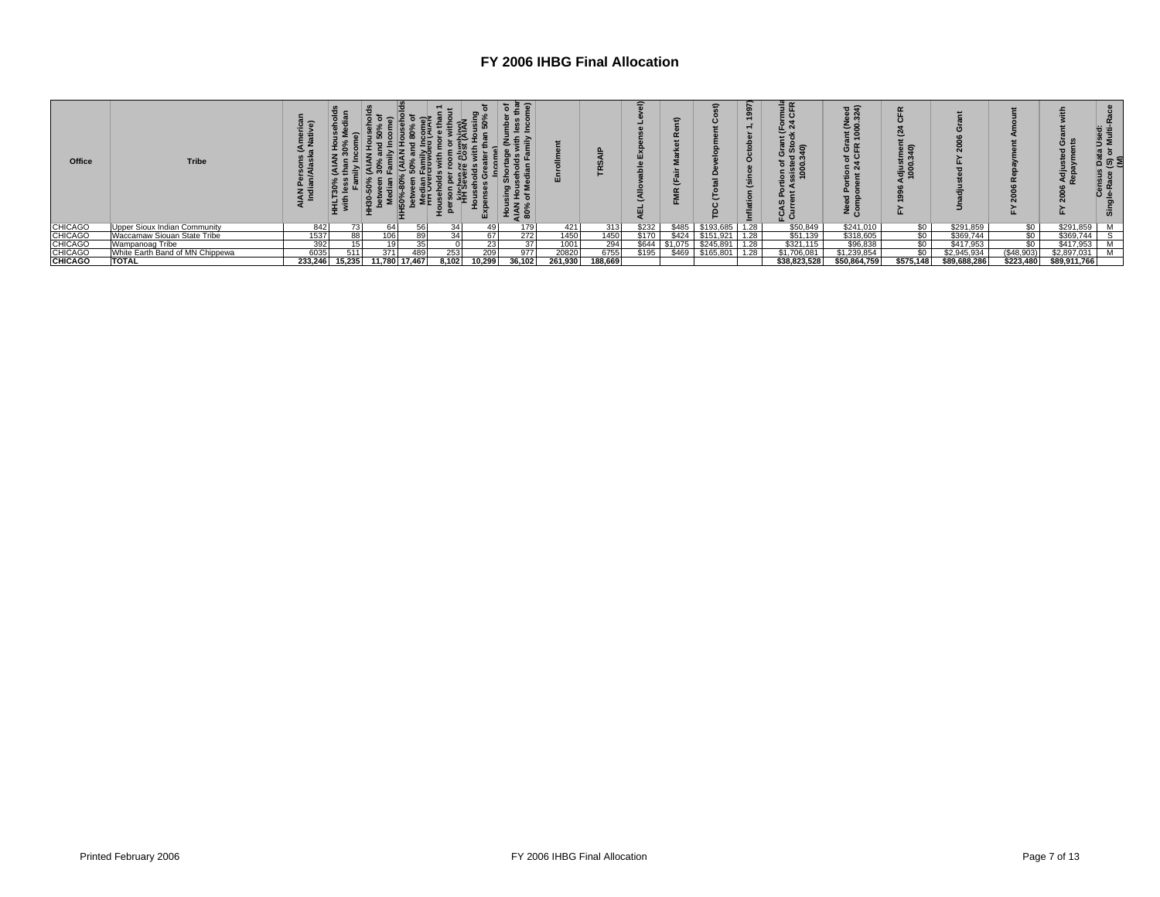| Office         | <b>Tribe</b>                    |         | 들 들    |               |                 | ш               | $\overline{\phantom{a}}$<br>¤ ¤<br>문료<br>च≖.<br>ä z<br>≠ ⇒ ≌ |         |         |       |         |           |      | Ξf<br>5 5<br>.គី 6<br>ဦ ဒီ | $\overline{a}$<br>٤g<br>혼 <u>후</u><br>ច ៥<br>ზ ი<br>ن z | ∍ັ ຊ<br>కెన<br>ooo<br>1000 |              |            | ن ن          | ¤ຶ ⊛ິ ≋<br>ō. |
|----------------|---------------------------------|---------|--------|---------------|-----------------|-----------------|--------------------------------------------------------------|---------|---------|-------|---------|-----------|------|----------------------------|---------------------------------------------------------|----------------------------|--------------|------------|--------------|---------------|
| <b>CHICAGO</b> | Upper Sioux Indian Community    | 842     | 73     | 64            | 56              | 34              | 179<br>49                                                    | 421     | 313     | \$232 | \$485   | \$193,685 | 1.28 | \$50,849                   | \$241,010                                               | S <sub>0</sub>             | \$291,859    | \$0        | \$291.859    | м             |
| <b>CHICAGO</b> | Waccamaw Siouan State Tribe     | 1537    | 88     | Ubl           | 89              | 34              | 272<br>67                                                    | 1450    | 1450    | \$170 | \$424   | \$151,921 | 1.28 | \$51,139                   | \$318,605                                               | \$0                        | \$369,744    | \$0        | \$369,744    |               |
| <b>CHICAGO</b> | Wampanoag Tribe                 | 392     |        |               | 35 <sup>1</sup> |                 | 37<br>23                                                     | 1001    | 294     | \$644 | \$1.075 | \$245.891 | .28  | \$321,115                  | \$96,838                                                | \$0                        | \$417,953    | \$0        | \$417.953    |               |
| <b>CHICAGO</b> | White Earth Band of MN Chippewa | 6035    | 511    | 371           | 489             | 209<br>253      | 977                                                          | 20820   | 6755    | \$195 | \$469   | \$165,801 | 1.28 | \$1,706,081                | \$1,239,854                                             | \$0                        | \$2,945,934  | (S48, 903) | \$2,897,031  |               |
| <b>CHICAGO</b> | <b>TOTAL</b>                    | 233.246 | 15,235 | 11,780 17,467 |                 | 10,299<br>3,102 | 36.102                                                       | 261,930 | 188,669 |       |         |           |      | \$38,823,528               | \$50,864,759                                            | \$575,148                  | \$89,688,286 | \$223,480  | \$89,911,766 |               |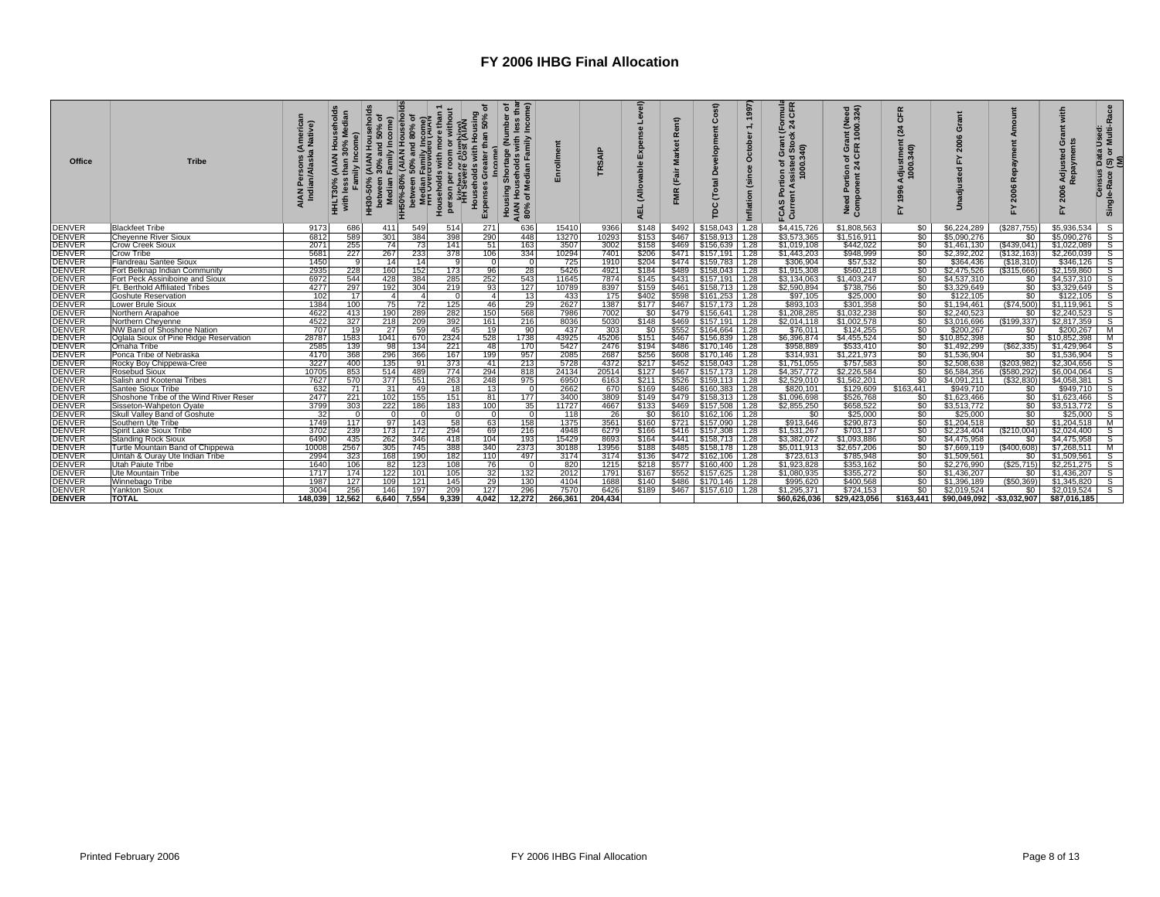| Office        | <b>Tribe</b>                           | America<br>Native)<br>AIAN I<br>India | with     | ablone<br>Incom<br>ន<br>HH30-50%<br>Median | <del>: H50%-80% (AIAN Househo</del><br>hetween 50% and 80% of<br>ි<br>dian Family Incom<br>Overcrowded IAIA | ining)<br>(AllAr<br>with more<br>an or plum<br>Were Cost<br>Households<br>person per r<br>httpsper | ទ្ធា<br>50%<br>ian<br>Expenses<br>й<br>Э | ss thar<br>come)<br>৳<br>with<br>mily<br>$\sigma$<br>seholds<br>eibe<br>あ<br>Housing<br>AIAN Hous<br>80% of Me<br>$rac{1}{2}$ | 5       | $\Omega$<br>डू<br>ऽ<br>œ | $\frac{1}{6}$<br>(Allov<br>긊<br>$\blacktriangleleft$ | Rent)<br>arket<br>ž<br>$\frac{1}{a}$<br>Ë<br><b>FMR</b> | $\Omega$<br>$\circ$<br>ā   | 1997<br>ctob<br>Ŏ<br>d:<br>(since<br>ã<br>nflati | mula<br>CFR<br>$\overline{a}$<br>340)<br>8<br><u>়</u><br>Š<br>Č | eed<br>324)<br>ant (Ne<br>- 1000<br>ĞΕ<br>'ত ত<br>Ê.<br>$\circ$<br>ᇾ<br><b>DES</b><br>Comp | Æ<br>ō<br>24<br>Adjustmen<br>1000.340)<br>இ<br>놊 |                          |                | with<br>ö<br>Adjusted<br>Renavmer<br>2006<br>≿ | Used:<br>Multi-Race<br>ŏ<br>$\overline{3}$<br>Census<br>Single-Race |
|---------------|----------------------------------------|---------------------------------------|----------|--------------------------------------------|-------------------------------------------------------------------------------------------------------------|----------------------------------------------------------------------------------------------------|------------------------------------------|-------------------------------------------------------------------------------------------------------------------------------|---------|--------------------------|------------------------------------------------------|---------------------------------------------------------|----------------------------|--------------------------------------------------|------------------------------------------------------------------|--------------------------------------------------------------------------------------------|--------------------------------------------------|--------------------------|----------------|------------------------------------------------|---------------------------------------------------------------------|
| <b>DENVER</b> | <b>Blackfeet Tribe</b>                 | 9173                                  | 686      | 411                                        | 549                                                                                                         | 514                                                                                                | 271                                      | 636                                                                                                                           | 15410   | 9366                     | \$148                                                |                                                         | \$492 \$158,043            | 1.28                                             | \$4,415,726                                                      | \$1,808,563                                                                                | \$0                                              | \$6,224,289              | (\$287,755)    | \$5,936,534                                    | S                                                                   |
| <b>DENVER</b> | <b>Cheyenne River Sioux</b>            | 6812                                  | 589      | 301                                        | 384                                                                                                         | 398                                                                                                | 290                                      | 448                                                                                                                           | 13270   | 10293                    | \$153                                                |                                                         | \$467 \$158,913 1.28       |                                                  | \$3,573,365                                                      | \$1,516,911                                                                                | $\frac{1}{2}$                                    | \$5,090,276              | \$0            | \$5,090,276                                    | S                                                                   |
| <b>DENVER</b> | <b>Crow Creek Sioux</b>                | 2071                                  | 255      | 74                                         | 73                                                                                                          | 141                                                                                                | 51                                       | 163                                                                                                                           | 3507    | 3002                     | \$158                                                |                                                         | \$469    \$156,639    1.28 |                                                  | \$1,019,108                                                      | \$442,022                                                                                  | $\frac{1}{2}$                                    | \$1,461,130              | $($ \$439,041) | \$1,022,089                                    | $\mathbf{s}$                                                        |
| <b>DENVER</b> | <b>Crow Tribe</b>                      | 5681                                  | 227      | 267                                        | 233                                                                                                         | 378                                                                                                | 106                                      | 334                                                                                                                           | 10294   | 7401                     | \$206                                                |                                                         | $$471$ $$157,191$ 1.28     |                                                  | \$1,443,203                                                      | \$948,999                                                                                  | $\boldsymbol{\mathsf{S}}$                        | \$2,392,202              | (\$132, 163)   | \$2,260,039                                    | S                                                                   |
| <b>DENVER</b> | Flandreau Santee Sioux                 | 1450                                  | ۰Q       | 14                                         | 14                                                                                                          | $\circ$                                                                                            | $\Omega$                                 | $\Omega$                                                                                                                      | 725     | 1910                     | \$204                                                |                                                         | \$474 \$159,783 1.28       |                                                  | \$306,904                                                        | \$57,532                                                                                   | \$0                                              | \$364,436                | (\$18,310)     | \$346,126                                      | S                                                                   |
| <b>DENVER</b> | Fort Belknap Indian Community          | 2935                                  | 228      | 160                                        | 152                                                                                                         | 173                                                                                                | 96                                       | 28                                                                                                                            | 5426    | 4921                     | \$184                                                |                                                         | \$489    \$158,043   1.28  |                                                  | \$1,915,308                                                      | \$560,218                                                                                  | $\boldsymbol{\mathsf{S}}$                        | \$2,475,526              | (S315,666)     | \$2,159,860                                    | S                                                                   |
| <b>DENVER</b> | Fort Peck Assiniboine and Sioux        | 6972                                  | 544      | 428                                        | 384                                                                                                         | 285                                                                                                | 252                                      | 543                                                                                                                           | 11645   | 7874                     | \$145                                                |                                                         | \$431   \$157,191   1.28   |                                                  | \$3,134,063                                                      | \$1,403,247                                                                                | $\boldsymbol{\mathsf{S}}$                        | \$4,537,310              | \$0            | \$4,537,310                                    | S                                                                   |
| <b>DENVER</b> | Ft. Berthold Affiliated Tribes         | 4277                                  | 297      | 192                                        | 304                                                                                                         | 219                                                                                                | 93                                       | 127                                                                                                                           | 10789   | 8397                     | \$159                                                |                                                         | \$461 \ \$158,713 \ 1.28   |                                                  | \$2,590.894                                                      | \$738,756                                                                                  | \$0                                              | \$3,329,649              | \$0            | \$3,329,649                                    | S                                                                   |
| <b>DENVER</b> | <b>Goshute Reservation</b>             | 102                                   | 17       | $\Delta$                                   | $\overline{a}$                                                                                              | $\Omega$                                                                                           | $\overline{4}$                           | 13                                                                                                                            | 433     | 175                      | \$402                                                |                                                         | \$598 \$161.253 1.28       |                                                  | \$97.105                                                         | \$25,000                                                                                   | \$0                                              | \$122,105                | \$0            | \$122,105                                      | s                                                                   |
| <b>DENVER</b> | Lower Brule Sioux                      | 1384                                  | 100      | 75                                         | 72                                                                                                          | 125                                                                                                | 46                                       | 29                                                                                                                            | 2627    | 1387                     | \$177                                                | \$467                                                   | \$157,173 1.28             |                                                  | \$893,103                                                        | \$301,358                                                                                  | \$0                                              | \$1,194,461              | (S74, 500)     | \$1,119,961                                    | s                                                                   |
| <b>DENVER</b> | Northern Arapahoe                      | 4622                                  | 413      | 190                                        | 289                                                                                                         | 282                                                                                                | 150                                      | 568                                                                                                                           | 7986    | 7002                     | $\frac{1}{2}$                                        |                                                         | \$479 \$156,641 1.28       |                                                  | \$1,208,285                                                      | \$1,032,238                                                                                | \$0                                              | \$2,240,523              | \$0            | \$2,240,523                                    | S                                                                   |
| <b>DENVER</b> | Northern Chevenne                      | 4522                                  | 327      | 218                                        | 209                                                                                                         | 392                                                                                                | 161                                      | 216                                                                                                                           | 8036    | 5030                     | \$148                                                | \$469                                                   | \$157,191 1.28             |                                                  | \$2.014.118                                                      | \$1,002.578                                                                                | $\frac{1}{2}$                                    | \$3,016,696              | (S199, 337)    | \$2,817,359                                    | s                                                                   |
| <b>DENVER</b> | NW Band of Shoshone Nation             | 707                                   | 19       | 27                                         | 59                                                                                                          | 45                                                                                                 | 19                                       | 90                                                                                                                            | 437     | 303                      | \$0                                                  |                                                         | \$552 \$164,664 1.28       |                                                  | \$76,011                                                         | \$124,255                                                                                  | \$0                                              | \$200,267                | \$0            | \$200,267                                      | M                                                                   |
| <b>DENVER</b> | Oglala Sioux of Pine Ridge Reservation | 28787                                 | 1583     | 1041                                       | 670                                                                                                         | 2324                                                                                               | 528                                      | 1738                                                                                                                          | 43925   | 45206                    | \$151                                                |                                                         | \$467 \$156,839 1.28       |                                                  | \$6,396,874                                                      | \$4,455,524                                                                                | \$0                                              | \$10,852,398             | \$0            | \$10,852,398                                   | M                                                                   |
| <b>DENVER</b> | Omaha Tribe                            | 2585                                  | 139      | 98                                         | 134                                                                                                         | 221                                                                                                | 48                                       | 170                                                                                                                           | 5427    | 2476                     | \$194                                                |                                                         | \$486 \$170.146 1.28       |                                                  | \$958,889                                                        | \$533,410                                                                                  | $\boldsymbol{\mathsf{S}}$                        | \$1,492,299              | (S62, 335)     | \$1,429,964                                    | S.                                                                  |
| <b>DENVER</b> | Ponca Tribe of Nebraska                | 4170                                  | 368      | 296                                        | 366                                                                                                         | 167                                                                                                | 199                                      | 957                                                                                                                           | 2085    | 2687                     | \$256                                                |                                                         | \$608 \$170.146 1.28       |                                                  | \$314.931                                                        | \$1,221,973                                                                                | \$0 <sub>1</sub>                                 | \$1,536,904              | \$0            | \$1,536,904                                    | S                                                                   |
| <b>DENVER</b> | Rocky Boy Chippewa-Cree                | 3227                                  | 400      | 135                                        | 91                                                                                                          | 373                                                                                                | 41                                       | 213                                                                                                                           | 5728    | 4372                     | \$217                                                |                                                         | $$452$ $$158.043$ 1.28     |                                                  | \$1,751,055                                                      | \$757,583                                                                                  | \$0 <sub>1</sub>                                 | \$2,508,638              | (S203, 982)    | \$2,304,656                                    | s                                                                   |
| <b>DENVER</b> | <b>Rosebud Sioux</b>                   | 10705                                 | 853      | 514                                        | 489                                                                                                         | 774                                                                                                | 294                                      | 818                                                                                                                           | 24134   | 20514                    | \$127                                                |                                                         | $$467$ $$157,173$ 1.28     |                                                  | \$4,357,772                                                      | \$2,226,584                                                                                | $\frac{1}{2}$                                    | \$6,584,356              | (\$580,292)    | \$6,004,064                                    | s                                                                   |
| <b>DENVER</b> | Salish and Kootenai Tribes             | 7627                                  | 570      | 377                                        | 551                                                                                                         | 263                                                                                                | 248                                      | 975                                                                                                                           | 6950    | 6163                     | \$211                                                | \$526                                                   | \$159,113 1.28             |                                                  | \$2,529,010                                                      | \$1,562,201                                                                                | \$0                                              | \$4,091,211              | (S32.830)      | \$4,058,381                                    | S                                                                   |
| <b>DENVER</b> | Santee Sioux Tribe                     | 632                                   | 71       | 31                                         | 49                                                                                                          | 18                                                                                                 | 13                                       | $\overline{0}$                                                                                                                | 2662    | 670                      | \$169                                                |                                                         | \$486 \$160,383 1.28       |                                                  | \$820,101                                                        | \$129,609                                                                                  | \$163,441                                        | \$949,710                | \$0            | \$949,710                                      | S                                                                   |
| <b>DENVER</b> | Shoshone Tribe of the Wind River Reser | 2477                                  | 221      | 102                                        | 155                                                                                                         | 151                                                                                                | 81                                       | 177                                                                                                                           | 3400    | 3809                     | \$149                                                |                                                         |                            |                                                  | \$1,096,698                                                      | \$526,768                                                                                  | \$0                                              | \$1,623,466              | \$0            | \$1,623,466                                    | $\mathsf{s}$                                                        |
| <b>DENVER</b> | Sisseton-Wahpeton Oyate                | 3799                                  | 303      | 222                                        | 186                                                                                                         | 183                                                                                                | 100                                      | 35                                                                                                                            | 11727   | 4667                     | \$133                                                |                                                         | \$469 \$157,508 1.28       |                                                  | \$2,855,250                                                      | \$658,522                                                                                  | 50                                               | \$3,513,772              | \$0            | \$3,513,772                                    | $\mathsf{s}$                                                        |
| <b>DENVER</b> | Skull Valley Band of Goshute           | 32                                    | $\Omega$ | n                                          |                                                                                                             |                                                                                                    | $\Omega$                                 | $\Omega$                                                                                                                      | 118     | 26                       | SO <sub>1</sub>                                      |                                                         | \$610 \ \$162,106 \ 1.28   |                                                  | \$0                                                              | \$25,000                                                                                   | $\$0$                                            | \$25,000                 | \$0            | \$25,000                                       | S.                                                                  |
| <b>DENVER</b> | Southern Ute Tribe                     | 1749                                  | 117      | 97                                         | 143                                                                                                         | 58                                                                                                 | 63                                       | 158                                                                                                                           | 1375    | 3561                     | \$160                                                |                                                         | \$721 \$157,090 1.28       |                                                  | \$913,646                                                        | \$290,873                                                                                  | $\boldsymbol{\mathsf{S}}$                        | \$1,204,518              | \$0            | \$1,204,518                                    | M                                                                   |
| <b>DENVER</b> | Spirit Lake Sioux Tribe                | 3702                                  | 239      | 173                                        | 172                                                                                                         | 294                                                                                                | 69                                       | 216                                                                                                                           | 4948    | 6279                     | \$166                                                |                                                         | \$416 \$157,308 1.28       |                                                  | \$1,531,267                                                      | \$703,137                                                                                  | $\boldsymbol{\mathsf{S}}$                        | \$2,234,404              | (S210.004)     | \$2,024,400                                    | S                                                                   |
| <b>DENVER</b> | <b>Standing Rock Sioux</b>             | 6490                                  | 435      | 262                                        | 346                                                                                                         | 418                                                                                                | 104                                      | 193                                                                                                                           | 15429   | 8693                     | \$164                                                |                                                         | $$441$ $$158,713$ 1.28     |                                                  | \$3,382,072                                                      | \$1,093,886                                                                                |                                                  | \$4,475,958              | \$0            | \$4,475,958                                    | S                                                                   |
| <b>DENVER</b> | Turtle Mountain Band of Chippewa       | 10008                                 | 2567     | 305                                        | 745                                                                                                         | 388                                                                                                | 340                                      | 2373                                                                                                                          | 30188   | 13956                    | \$188                                                |                                                         | \$485 \$158,178 1.28       |                                                  | \$5.011.913                                                      | \$2,657,206                                                                                | SO I                                             | \$7,669,119              | (S400.608)     | \$7,268,511                                    | м                                                                   |
| <b>DENVER</b> | Uintah & Ourav Ute Indian Tribe        | 2994                                  | 323      | 168                                        | 190                                                                                                         | 182                                                                                                | 110                                      | 497                                                                                                                           | 3174    | 3174                     | \$136                                                |                                                         | $$472$ $$162,106$ 1.28     |                                                  | \$723,613                                                        | \$785,948                                                                                  | \$0                                              | \$1,509,561              | \$0            | \$1,509,561                                    | S                                                                   |
| <b>DENVER</b> | <b>Utah Paiute Tribe</b>               | 1640                                  | 106      | 82                                         | 123                                                                                                         | 108                                                                                                | 76                                       | $\Omega$                                                                                                                      | 820     | 1215                     | \$218                                                |                                                         | \$577 \$160,400 1.28       |                                                  | \$1,923,828                                                      | \$353,162                                                                                  | \$0 <sub>1</sub>                                 | \$2,276,990              | (\$25,715)     | \$2,251,275                                    | s                                                                   |
| <b>DENVER</b> | Ute Mountain Tribe                     | 1717                                  | 174      | 122                                        | 101                                                                                                         | 105                                                                                                | 32 <sub>1</sub>                          | 132                                                                                                                           | 2012    | 1791                     | \$167                                                |                                                         | \$552 \$157,625 1.28       |                                                  | \$1,080,935                                                      | \$355,272                                                                                  | \$0                                              | \$1,436,207              | \$0            | \$1,436,207                                    | S                                                                   |
| <b>DENVER</b> | Winnebago Tribe                        | 1987                                  | 127      | 109                                        | 121                                                                                                         | 145                                                                                                | 29                                       | 130                                                                                                                           | 4104    | 1688                     | \$140                                                |                                                         | \$486 \$170.146 1.28       |                                                  | \$995,620                                                        | \$400.568                                                                                  | \$0 <sub>1</sub>                                 | \$1,396,189              | (S50.369)      | \$1,345,820                                    | S.                                                                  |
| <b>DENVER</b> | <b>Yankton Sioux</b>                   | 3004                                  | 256      | 146                                        | 197                                                                                                         | 209                                                                                                | 127                                      | 296                                                                                                                           | 7570    | 6426                     | \$189                                                |                                                         | \$467 \$157,610 1.28       |                                                  | \$1,295,371                                                      | \$724.153                                                                                  | $\boldsymbol{\mathsf{S}}$                        | \$2.019.524              | \$0            | \$2,019.524                                    | S                                                                   |
| <b>DENVER</b> | <b>TOTAL</b>                           | 148.039                               | 12.562   | 6.640                                      | 7.554                                                                                                       | 9.339                                                                                              | 4.042                                    | 12.272                                                                                                                        | 266.361 | 204.434                  |                                                      |                                                         |                            |                                                  | \$60.626.036                                                     | \$29.423.056                                                                               | \$163.441                                        | \$90.049.092 \$3.032.907 |                | \$87.016.185                                   |                                                                     |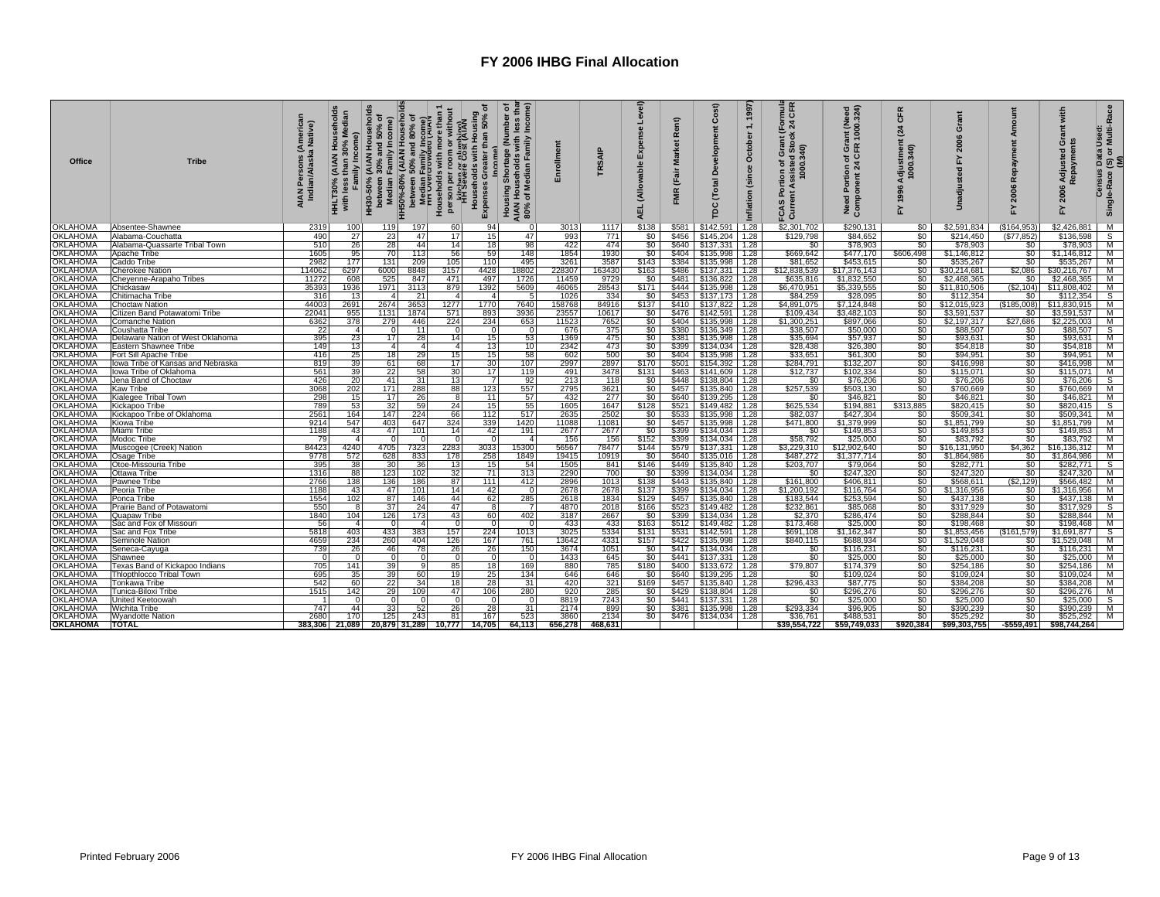| Office               | <b>Tribe</b>                            | (American<br>a Native)<br>AIAN Persons ( <i>A</i><br>Indian/Alaska | <b>HHLT30%</b><br>with | HH30-50% (AIAN Household<br>ъ<br>Income)<br>and<br>amily<br>between 30<br>Median Fa | Households with more than 1<br>person per room or without<br>Hit Severe Cost (AIAN<br>HH50%-80% (AIAN Household<br>between 50% and 80% of<br>Method Tamily Income<br>Fine Overcrowded (AIAN) | ъ<br>sing<br>50%<br>than<br>with<br>olds<br>Househ<br>Expenses | less thar<br>Income)<br>৽<br>(Number<br>ds with<br>Family<br>Shortage<br>seholds<br>Median<br>niaĕ<br>고려<br>Housing<br>AIAN Hous<br>80% of Me | Enrollment | TRSAIP      | Level)<br>Expense<br>(Allowable<br><b>AEL</b> | Rent)<br><b>Market</b><br>(Fair<br>FMR | st)<br>ပိ<br>elopr<br>Õ<br>Total<br>rpc | 1997<br>$\div$<br>October<br>(since<br>nflation | mula<br>CFR<br>ទី ដ<br>×<br>sisted Stc<br>1000.340)<br>⋖<br>Curre<br>ဖာ | ant (Need<br>1000.324)<br>Need Portion of Gra<br>Component 24 CFR | CFR<br>24<br>Adjustment<br>1000.340)<br>1996<br>놊 | ò<br>È                | œ<br>2006<br>놊  | with<br>O<br>Repayme<br>2006<br>걊 | s Data Used:<br>, (S) or Multi-Race<br>(M)<br>Census<br>Single-Race |
|----------------------|-----------------------------------------|--------------------------------------------------------------------|------------------------|-------------------------------------------------------------------------------------|----------------------------------------------------------------------------------------------------------------------------------------------------------------------------------------------|----------------------------------------------------------------|-----------------------------------------------------------------------------------------------------------------------------------------------|------------|-------------|-----------------------------------------------|----------------------------------------|-----------------------------------------|-------------------------------------------------|-------------------------------------------------------------------------|-------------------------------------------------------------------|---------------------------------------------------|-----------------------|-----------------|-----------------------------------|---------------------------------------------------------------------|
| <b>OKLAHOMA</b>      | Absentee-Shawnee                        | 2319                                                               | 100                    | 119                                                                                 | 197<br>60                                                                                                                                                                                    | 94                                                             | $\Omega$                                                                                                                                      | 3013       | 1117        | \$138                                         | \$581                                  | \$142,591                               | 1.28                                            | \$2,301,702                                                             | \$290,131                                                         | \$0                                               | \$2,591,834           | (\$164,953      | \$2,426,881                       | M                                                                   |
| <b>OKLAHOMA</b>      | Alabama-Couchatta                       | 490                                                                | 27                     | 23                                                                                  | 47<br>17                                                                                                                                                                                     | 15                                                             | 47                                                                                                                                            | 993        | 771         | \$0                                           | \$456                                  | \$145,204                               | 1.28                                            | \$129,798                                                               | \$84,652                                                          | \$0                                               | \$214,450             | (\$77,852)      | \$136,598                         | S                                                                   |
| <b>OKLAHOMA</b>      | Alabama-Quassarte Tribal Town           | 510                                                                | 26                     | 28                                                                                  | 14<br>44                                                                                                                                                                                     | 18                                                             | 98                                                                                                                                            | 422        | 474         | \$0                                           | \$640                                  | \$137,331                               | 1.28                                            | \$0                                                                     | \$78,903                                                          | \$0                                               | \$78,903              | \$0             | \$78,903                          | M                                                                   |
| <b>OKLAHOMA</b>      | Apache Tribe                            | 1605                                                               | 95                     | 70                                                                                  | 113<br>56                                                                                                                                                                                    | 59                                                             | 148                                                                                                                                           | 1854       | 1930        | \$0                                           | \$404                                  | \$135,998                               | 1.28                                            | \$669,642                                                               | \$477.170                                                         | \$606,498                                         | \$1,146,812           | $\frac{1}{2}$   | \$1,146,812                       | M                                                                   |
| <b>OKLAHOMA</b>      | Caddo Tribe                             | 2982                                                               | 177                    | 131                                                                                 | 209<br>105                                                                                                                                                                                   | 110                                                            | 495                                                                                                                                           | 3261       | 3587        | \$143                                         | \$384                                  | \$135,998                               | 1.28                                            | \$81,652                                                                | \$453,615                                                         | \$0                                               | \$535,267             | \$0             | \$535,267                         | M                                                                   |
| OKLAHOMA             | <b>Cherokee Nation</b>                  | 114062                                                             | 6297                   | 6000                                                                                | 8848<br>3157                                                                                                                                                                                 | 4428                                                           | 18802                                                                                                                                         | 228307     | 163430      | \$163                                         | \$486                                  | \$137.331                               | 1.28                                            | \$12,838,539                                                            | \$17,376,143                                                      | \$0                                               | \$30.214.681          | \$2,086         | \$30,216,767                      | M                                                                   |
| <b>OKLAHOMA</b>      | Chevenne-Arapaho Tribes                 | 11272                                                              | 608                    | 525                                                                                 | 847<br>471                                                                                                                                                                                   | 497                                                            | 1726                                                                                                                                          | 11459      | 9729        | SO <sub>1</sub>                               |                                        | \$481    \$136,822   1.28               |                                                 | \$635,816                                                               | \$1,832,550                                                       | \$0                                               | \$2,468,365           | \$0             | $$2,468,365$ M                    |                                                                     |
| <b>OKLAHOMA</b>      | Chickasaw                               | 35393                                                              | 1936                   | 1971                                                                                | 3113<br>879                                                                                                                                                                                  | 1392                                                           | 5609                                                                                                                                          | 46065      | 28543       | \$171                                         | \$444                                  | \$135,998                               | 1.28                                            | \$6,470,951                                                             | \$5,339,555                                                       | \$0                                               | \$11,810,506          | (S2, 104)       | \$11,808,402                      | M                                                                   |
| <b>OKLAHOMA</b>      | Chitimacha Tribe                        | 316                                                                | 13                     |                                                                                     | -21<br>$\sim$                                                                                                                                                                                | $\overline{4}$                                                 | -51                                                                                                                                           | 1026       | 334         | \$0                                           | \$453                                  | \$137,173 1.28                          |                                                 | \$84,259                                                                | \$28,095                                                          | $\overline{\$0}$                                  | \$112,354             | \$0             | \$112.354                         | s                                                                   |
| <b>OKLAHOMA</b>      | <b>Choctaw Nation</b>                   | 44003                                                              | 2691                   | 2674                                                                                | 3653<br>1277                                                                                                                                                                                 | 1770                                                           | 7640                                                                                                                                          | 158768     | 84916       | \$137                                         | \$410                                  | \$137,822                               | 1.28                                            | \$4,891,075                                                             | \$7,124,848                                                       | \$0                                               | \$12,015,923          | (\$185,008)     | \$11,830,915                      | M                                                                   |
| OKLAHOMA             | Citizen Band Potawatomi Tribe           | 22041                                                              | 955                    | 1131                                                                                | 1874<br>571                                                                                                                                                                                  | 893                                                            | 3936                                                                                                                                          | 23557      | 10617       | \$0                                           | \$476                                  | \$142.591                               | 1.28                                            | \$109,434                                                               | \$3,482,103                                                       | \$0                                               | \$3,591,537           | \$0             | \$3,591,537                       | M                                                                   |
| OKLAHOMA             | Comanche Nation                         | 6362                                                               | 378                    | 279                                                                                 | 224<br>446                                                                                                                                                                                   | 234                                                            | 653                                                                                                                                           | 11523      | 7652        | \$0                                           |                                        | \$404   \$135,998   1.28                |                                                 | \$1,300,251                                                             | \$897,066                                                         |                                                   | \$2,197,317           | \$27,686        | $$2,225,003$ M                    |                                                                     |
| OKLAHOMA             | Coushatta Tribe                         | 22                                                                 | $\overline{a}$         | $\Omega$                                                                            | $111$<br>$\Omega$                                                                                                                                                                            |                                                                | $\Omega$                                                                                                                                      | 676        | 375         | $\frac{1}{20}$                                | \$380                                  | $$136,349$ 1.28                         |                                                 | \$38,507                                                                | \$50,000                                                          | \$0<br>\$0                                        | \$88,507              | \$0             | \$88,507                          | $\overline{\mathbf{s}}$                                             |
| OKLAHOMA             | Delaware Nation of West Oklahoma        | 395                                                                | 23                     | 17                                                                                  | 28<br>14                                                                                                                                                                                     | 15                                                             | 53                                                                                                                                            | 1369       | 475         | \$0                                           |                                        | \$381    \$135,998   1.28               |                                                 | \$35,694                                                                | \$57,937                                                          | \$0                                               | \$93,631              | \$0             | $$93,631$ M                       |                                                                     |
| <b>OKLAHOMA</b>      | Eastern Shawnee Tribe                   | 149                                                                | 13                     | $\boldsymbol{A}$                                                                    | $\overline{a}$<br>$\overline{a}$                                                                                                                                                             | 13                                                             | 10                                                                                                                                            | 2342       | 473         | \$0                                           |                                        | \$399 \$134,034 1.28                    |                                                 | \$28,438                                                                | \$26,380                                                          | $\overline{\$0}$                                  | \$54,818              | \$0             | \$54,818 M                        |                                                                     |
| <b>OKLAHOMA</b>      | Fort Sill Apache Tribe                  | 416                                                                | 25                     | 18                                                                                  | 29<br>15                                                                                                                                                                                     | 15 <sup>1</sup>                                                | 58                                                                                                                                            | 602        | 500         | \$0                                           | \$404                                  | \$135,998                               | 1.28                                            | \$33.651                                                                | \$61,300                                                          | \$0                                               | \$94.951              | \$0             | \$94.951                          | M                                                                   |
| OKLAHOMA             | Iowa Tribe of Kansas and Nebraska       | 819                                                                | 39                     | 61                                                                                  | 17<br>68                                                                                                                                                                                     | 30                                                             | 107                                                                                                                                           | 2997       | 2897        | \$170                                         |                                        | \$501 \$154,392 1.28                    |                                                 | \$284,791                                                               | \$132,207                                                         |                                                   | \$416,998             |                 | \$416,998 M                       |                                                                     |
| OKLAHOMA             | Iowa Tribe of Oklahoma                  | 561                                                                | 39                     | 22                                                                                  | 30<br>58                                                                                                                                                                                     | 17                                                             | 119                                                                                                                                           | 491        | 3478        | \$131                                         |                                        | \$463    \$141,609    1.28              |                                                 | \$12,737                                                                | \$102,334                                                         | \$0<br>\$0                                        | \$115,071             | $\frac{$0}{$0}$ | $$115,071$ M                      |                                                                     |
| <b>OKLAHOMA</b>      | Jena Band of Choctaw                    | 426                                                                | 20                     | 41                                                                                  | 31 <sup>1</sup><br>13                                                                                                                                                                        | <sup>7</sup>                                                   | 92                                                                                                                                            | 213        | 118         | \$0                                           | \$448                                  | \$138,804 1.28                          |                                                 | \$0                                                                     | \$76,206                                                          | \$0                                               | \$76,206              | \$0             | \$76,206                          | <b>S</b>                                                            |
| <b>OKLAHOMA</b>      | Kaw Tribe                               | 3068                                                               | 202                    | 171                                                                                 | 288<br>88                                                                                                                                                                                    | 123                                                            | 557                                                                                                                                           | 2795       | 3621        | \$0 <sub>1</sub>                              |                                        | \$457    \$135,840   1.28               |                                                 | \$257,539                                                               | \$503,130                                                         | \$0                                               | \$760,669             | \$0             | \$760,669 M                       |                                                                     |
| <b>OKLAHOMA</b>      | Kialegee Tribal Town                    | 298                                                                | 15                     | 17                                                                                  | 26<br>-8                                                                                                                                                                                     | 11                                                             | 57                                                                                                                                            | 432        | 277         | \$0                                           |                                        | \$640 \$139,295 1.28                    |                                                 | \$0                                                                     | \$46,821                                                          | \$0                                               | \$46,821              | \$0             | $$46,821$ M                       |                                                                     |
| OKLAHOMA             | Kickapoo Tribe                          | 789                                                                | 53                     | 32                                                                                  | 59<br>24                                                                                                                                                                                     | 15                                                             | 55                                                                                                                                            | 1605       | 1647        | \$128                                         | \$521                                  | \$149,482 1.28                          |                                                 | \$625,534                                                               | \$194,881                                                         | \$313,885                                         | \$820,415             | \$0             | \$820,415                         | -S                                                                  |
| <b>OKLAHOMA</b>      | Kickapoo Tribe of Oklahoma              | 2561                                                               | 164                    | 147                                                                                 | 224<br>66                                                                                                                                                                                    | 112                                                            | 517                                                                                                                                           | 2635       | 2502        | SO I                                          |                                        | \$533 \$135,998 1.28                    |                                                 | \$82,037                                                                | \$427,304                                                         | \$0                                               | \$509,341             | $\frac{1}{2}$   | \$509,341 M                       |                                                                     |
| <b>OKLAHOMA</b>      | Kiowa Tribe                             | 9214                                                               | 547                    | 403                                                                                 | 324<br>647                                                                                                                                                                                   | 339                                                            | 1420                                                                                                                                          | 11088      | 11081       | \$0                                           |                                        | \$457   \$135,998   1.28                |                                                 | \$471,800                                                               | \$1,379,999                                                       | \$0                                               | \$1,851,799           | \$0             | \$1,851,799                       | M                                                                   |
| <b>OKLAHOMA</b>      | Miami Tribe                             | 1188                                                               | 43                     | 47                                                                                  | 101<br>14                                                                                                                                                                                    | 42                                                             | 191                                                                                                                                           | 2677       | 2677        | \$0                                           | \$399                                  | \$134,034 1.28                          |                                                 | \$0                                                                     | \$149,853                                                         | \$0                                               | \$149,853             | $\frac{1}{2}$   | $$149,853$ M                      |                                                                     |
| <b>OKLAHOMA</b>      | Modoc Tribe                             | 79                                                                 |                        |                                                                                     | $\Omega$                                                                                                                                                                                     |                                                                | $\overline{a}$                                                                                                                                | 156        | 156         | \$152                                         | \$399 I                                | \$134,034 1.28                          |                                                 | \$58,792                                                                | \$25,000                                                          | \$0                                               | \$83,792              | \$0             | $$83,792$ M                       |                                                                     |
| OKLAHOMA             | Muscogee (Creek) Nation                 | 84423                                                              | 4240                   | 4705                                                                                | 7323<br>2283                                                                                                                                                                                 | 3033                                                           | 15300                                                                                                                                         | 56567      | 78477       | \$144                                         | \$579                                  | \$137.331   1.28                        |                                                 | \$3,229,310                                                             | \$12,902,640                                                      | 50 <sup>1</sup>                                   | \$16,131,950          | \$4,362 I       | $$16,136,312$ M                   |                                                                     |
| <b>OKLAHOMA</b>      | Osage Tribe                             | 9778                                                               | 572                    | 628                                                                                 | 833<br>178                                                                                                                                                                                   | 258                                                            | 1849                                                                                                                                          | 19415      | 10919       | \$0                                           |                                        | \$640 \$135,016 1.28                    |                                                 | \$487,272                                                               | \$1,377,714                                                       | \$0                                               | \$1,864,986           | \$0             | $$1,864,986$ M                    |                                                                     |
| OKLAHOMA             | Otoe-Missouria Tribe                    | 395                                                                | 38                     | 30                                                                                  | 13<br>36                                                                                                                                                                                     | 15                                                             | 54                                                                                                                                            | 1505       | 841         | \$146                                         | \$449                                  | \$135,840 1.28                          |                                                 | \$203,707                                                               | \$79,064                                                          | \$0                                               | \$282,771             | \$0             | $$282,771$ S                      |                                                                     |
| <b>OKLAHOMA</b>      | Ottawa Tribe                            | 1316                                                               | 88                     | 123                                                                                 | 102<br>32                                                                                                                                                                                    | 71                                                             | 313                                                                                                                                           | 2290       | 700         | \$0                                           | \$399                                  | \$134,034 1.28                          |                                                 | \$0                                                                     | \$247,320                                                         | \$0                                               | \$247,320             | \$0             | \$247,320 M                       |                                                                     |
| <b>OKLAHOMA</b>      | Pawnee Tribe                            | 2766                                                               | 138                    | 136                                                                                 | 186<br>87                                                                                                                                                                                    | 111                                                            | 412                                                                                                                                           | 2896       | 1013        | \$138                                         | \$443                                  | \$135,840 1.28                          |                                                 | \$161,800                                                               | \$406,811                                                         | Ś0                                                | \$568,611             | (\$2,129)       | \$566,482 M                       |                                                                     |
| <b>OKLAHOMA</b>      | Peoria Tribe                            | 1188                                                               | 43                     | 47                                                                                  | 101<br>14                                                                                                                                                                                    | 42                                                             | - 01                                                                                                                                          | 2678       | 2678        | \$137                                         | \$399                                  | \$134.034                               | 1.28                                            | \$1,200,192                                                             | \$116.764                                                         | \$0                                               | \$1,316,956           | \$0             | \$1,316,956                       | M                                                                   |
| <b>OKLAHOMA</b>      | Ponca Tribe                             | 1554<br>550                                                        | 102                    | 87                                                                                  | 146<br>44                                                                                                                                                                                    | 62                                                             | 285                                                                                                                                           | 2618       | 1834        | \$129                                         |                                        | \$457 \$135,840 1.28                    |                                                 | \$183,544                                                               | \$253,594                                                         | \$0<br>\$0                                        | \$437,138             | \$0             | \$437,138 M                       |                                                                     |
| OKLAHOMA             | Prairie Band of Potawatomi              |                                                                    |                        | 37                                                                                  | 24<br>47                                                                                                                                                                                     |                                                                | 7                                                                                                                                             | 4870       | 2018        | \$166                                         | \$523                                  | \$149,482 1.28                          |                                                 | \$232,861                                                               | \$85,068                                                          |                                                   | \$317,929             | \$0             | $$317,929$ S                      |                                                                     |
| <b>OKLAHOMA</b>      | Quapaw Tribe                            | 1840                                                               | 104                    | 126                                                                                 | 43<br>173                                                                                                                                                                                    | 60                                                             | 402                                                                                                                                           | 3187       | 2667        | \$0                                           |                                        | $$399$   \$134,034   1.28               |                                                 | \$2,370                                                                 | \$286,474                                                         | $\overline{\$0}$                                  | \$288.844             | \$0             | \$288,844 M                       |                                                                     |
| <b>OKLAHOMA</b>      | Sac and Fox of Missouri                 | 56                                                                 |                        |                                                                                     | $\boldsymbol{\Lambda}$                                                                                                                                                                       |                                                                | $\Omega$                                                                                                                                      | 433        | 433         | \$163                                         |                                        |                                         |                                                 | \$173,468                                                               | \$25,000                                                          | \$0                                               | \$198,468             | \$0             | \$198,468 M                       |                                                                     |
| OKLAHOMA             | Sac and Fox Tribe                       | 5818                                                               | 403<br>234             | 433                                                                                 | 383<br>157                                                                                                                                                                                   | 224                                                            | 1013                                                                                                                                          | 3025       | 5334        | \$131                                         | \$531                                  | \$142.591 1.28                          |                                                 | \$691,108                                                               | \$1,162,347                                                       | \$0<br>\$0                                        | \$1,853,456           | (\$161,579)     | \$1,691,877                       | s.                                                                  |
| <b>OKLAHOMA</b>      | Seminole Nation                         | 4659                                                               |                        | 260                                                                                 | 404<br>126                                                                                                                                                                                   | 167                                                            | 761                                                                                                                                           | 13642      | 4331        | \$157                                         |                                        |                                         |                                                 | \$840,115                                                               | \$688,934                                                         |                                                   | \$1,529,048           | \$0             | \$1,529,048                       | M                                                                   |
| <b>OKLAHOMA</b>      | Seneca-Cayuga                           | 739                                                                | 26                     | 46                                                                                  | 78<br>26                                                                                                                                                                                     | 26                                                             | 150                                                                                                                                           | 3674       | 1051        | \$0 <sub>1</sub>                              |                                        | $$417$ $$134,034$ 1.28                  |                                                 | \$0                                                                     | \$116,231                                                         | \$0                                               | \$116,231             | \$0             | $$116,231$ M                      |                                                                     |
| <b>OKLAHOMA</b>      | Shawnee                                 |                                                                    |                        | $\Omega$                                                                            | $\overline{0}$<br>0                                                                                                                                                                          | $\Omega$                                                       | $\overline{0}$                                                                                                                                | 1433       | 645         | \$0                                           | \$441                                  | \$137,331                               | 1.28                                            | \$0                                                                     | \$25,000                                                          | \$0                                               | \$25,000              | \$0             | \$25,000                          | M                                                                   |
| <b>OKLAHOMA</b>      | Texas Band of Kickapoo Indians          | 705                                                                | 141                    | 39                                                                                  | 85                                                                                                                                                                                           | 18                                                             | 169                                                                                                                                           | 880        | 785         | \$180                                         | \$400                                  | \$133,672                               | 1.28                                            | \$79,807                                                                | \$174,379                                                         | \$0                                               | \$254,186             | \$0             | \$254,186                         | M                                                                   |
| OKLAHOMA<br>OKLAHOMA | Thlopthlocco Tribal Town                | 695                                                                | 35<br>60               | 39<br>22                                                                            | 60<br>19                                                                                                                                                                                     | 25<br>28                                                       | 134                                                                                                                                           | 646        | 646         | \$0                                           | \$640                                  | \$139,295                               | 1.28                                            | \$0<br>\$296,433                                                        | \$109,024                                                         | \$0<br>\$0                                        | \$109,024             | \$0             | \$109,024<br>\$384,208 M          | M                                                                   |
| OKLAHOMA             | Tonkawa Tribe                           | 542<br>1515                                                        | 142                    | 29                                                                                  | 34<br>18<br>109<br>47                                                                                                                                                                        | 106                                                            | 31<br>280                                                                                                                                     | 420<br>920 | 321         | \$169                                         | \$457                                  | \$135,840 1.28                          |                                                 |                                                                         | \$87,775                                                          | \$0                                               | \$384,208             | \$0             |                                   | M                                                                   |
| <b>OKLAHOMA</b>      | Tunica-Biloxi Tribe<br>United Keetoowah |                                                                    |                        | $\Omega$                                                                            | $\Omega$                                                                                                                                                                                     |                                                                | $\Omega$                                                                                                                                      | 8819       | 285<br>7243 | \$0<br>$\$0$                                  | \$429<br>\$441                         | \$138,804 1.28<br>\$137,331             | 1.28                                            | \$0<br>\$0                                                              | \$296,276<br>\$25.000                                             | \$0                                               | \$296,276<br>\$25,000 | \$0<br>\$0      | \$296,276<br>\$25,000             | s.                                                                  |
| <b>OKLAHOMA</b>      | Wichita Tribe                           | 747                                                                | 44                     | 33                                                                                  | 26<br>52                                                                                                                                                                                     | 28                                                             | 31                                                                                                                                            | 2174       | 899         | \$0                                           | \$381                                  | \$135,998                               | 1.28                                            | \$293,334                                                               | \$96,905                                                          | \$0                                               | \$390,239             | \$0             | \$390,239                         | M                                                                   |
| <b>OKLAHOMA</b>      |                                         | 2680                                                               | 170                    | 125                                                                                 | 243<br>81                                                                                                                                                                                    | 167                                                            | 523                                                                                                                                           | 3860       | 2134        | \$0                                           |                                        | $$476$ $$134,034$ 1.28                  |                                                 | \$36,761                                                                | \$488,531                                                         | \$0                                               | \$525,292             | \$0             | \$525,292                         | M                                                                   |
| <b>OKLAHOMA</b>      | <b>Wyandotte Nation</b><br><b>TOTAL</b> | 383.306 21.089                                                     |                        | 20.879 31.289                                                                       | 10.777                                                                                                                                                                                       | 14.705                                                         | 64.113                                                                                                                                        | 656.278    | 468.631     |                                               |                                        |                                         |                                                 | \$39,554,722                                                            | \$59.749.033                                                      | \$920.384                                         | \$99.303.755          | $-$559.491$     | \$98.744.264                      |                                                                     |
|                      |                                         |                                                                    |                        |                                                                                     |                                                                                                                                                                                              |                                                                |                                                                                                                                               |            |             |                                               |                                        |                                         |                                                 |                                                                         |                                                                   |                                                   |                       |                 |                                   |                                                                     |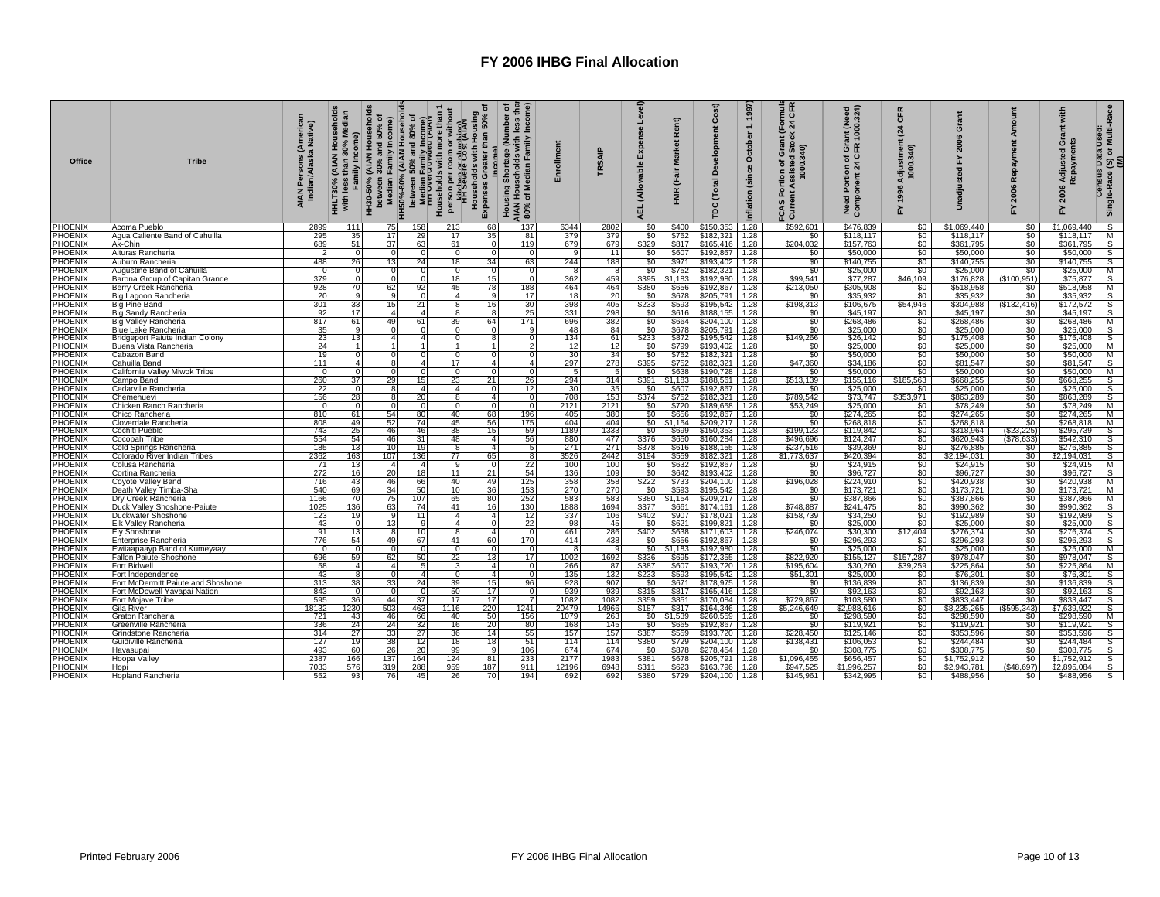| <b>Office</b>                    | <b>Tribe</b>                                 | (American<br>a Native)<br>AIAN Persons ( <i>A</i><br>Indian/Alaska | Median<br>Family Income)<br>with less |                       | HH3D-50% (AIAN Households<br>between 30% and 50% of<br>HH50%-50% (AIAN Households<br>HH50%-50% (AIAN Households<br>Bandlen Family Income)<br>Bandlen Family Income)<br>Households with more than 1<br>Playsege Cost (AIAN)<br>HH'sseege Cost (AIAN) | ъ<br>Households with Housing<br>than 50%<br>Expenses Greater | Income)<br>৽<br>(Number<br>ouseholds with I<br>Median Family I<br>Shortage<br>Housing <b>\$</b><br>AIAN Hous<br>80% of Me | Enrollment      | TRSAIP      | Level)<br>Expense<br>(Allowable<br><b>AEL</b> | Rent)<br><b>Market</b><br>(Fair<br>ΜŔ | Cost)<br>Developm<br>Total<br>g                       | 1997<br>$\div$<br>October<br>(since<br>nflation | mula<br>CFR<br>24<br>Grant<br>Assisted Stoc<br>1000.340)<br>៵<br>rtion<br>ဥ<br>Ë<br>FCAS<br>Curre | rant (Need<br>? 1000.324)<br>Gre<br>ER<br>৳ $\overline{9}$<br>Need Portion o<br>Component 24 | CFR<br>$\mathbf{z}_4$<br>Adjustment<br>1000.340)<br>1996<br>놊 | $\mathbf{C}$           | Amor<br>Repayment<br>2006<br>놊     | with<br>ant<br>ö<br>Adjusted<br>2006<br>≿ | s Data Used:<br>∍ (S) or Multi-Race<br>_ <u>(M)</u><br>Census<br>Single-Race |
|----------------------------------|----------------------------------------------|--------------------------------------------------------------------|---------------------------------------|-----------------------|-----------------------------------------------------------------------------------------------------------------------------------------------------------------------------------------------------------------------------------------------------|--------------------------------------------------------------|---------------------------------------------------------------------------------------------------------------------------|-----------------|-------------|-----------------------------------------------|---------------------------------------|-------------------------------------------------------|-------------------------------------------------|---------------------------------------------------------------------------------------------------|----------------------------------------------------------------------------------------------|---------------------------------------------------------------|------------------------|------------------------------------|-------------------------------------------|------------------------------------------------------------------------------|
| PHOENIX                          | Acoma Pueblo                                 | 2899                                                               | 111                                   | 75                    | 158<br>213                                                                                                                                                                                                                                          | 68                                                           | 137                                                                                                                       | 6344            | 2802        | \$0                                           | \$400                                 | $$150,353$ 1.28                                       |                                                 | \$592,601                                                                                         | \$476,839                                                                                    | \$0                                                           | \$1,069,440            | \$0                                | \$1,069,440                               | $\overline{s}$                                                               |
| <b>PHOENIX</b>                   | Agua Caliente Band of Cahuilla               | 295                                                                | 35                                    | 17                    | 29<br>17                                                                                                                                                                                                                                            | 35                                                           | 81                                                                                                                        | 379             | 379         | \$0                                           |                                       | $$752$ $$182,321$ 1.28                                |                                                 | \$0                                                                                               | \$118,117                                                                                    | \$0                                                           | \$118,117              | \$0                                | \$118,117                                 | M                                                                            |
| PHOENIX                          | Ak-Chin                                      | 689                                                                | 51                                    | 37                    | 61<br>63                                                                                                                                                                                                                                            | $\Omega$                                                     | 119                                                                                                                       | 679             | 679         | \$329                                         |                                       | \$817 \$165,416 1.28                                  |                                                 | \$204,032                                                                                         | \$157,763                                                                                    | \$0                                                           | \$361,795              | \$0                                | \$361,795                                 | S                                                                            |
| PHOENIX                          | Alturas Rancheria                            | $\overline{2}$                                                     | $\Omega$                              |                       |                                                                                                                                                                                                                                                     | $\Omega$<br>$\Omega$                                         | $\Omega$                                                                                                                  | <b>q</b>        | 11          | \$0                                           |                                       | \$607 \$192,867 1.28                                  |                                                 | \$0                                                                                               | \$50,000                                                                                     | \$0                                                           | \$50,000               | \$0                                | \$50,000                                  | s                                                                            |
| PHOENIX                          | Auburn Rancheria                             | 488                                                                | 26                                    | 13                    | 24<br>18                                                                                                                                                                                                                                            | 34                                                           | 63                                                                                                                        | 244             | 188         | \$0                                           |                                       | \$971 \$193,402 1.28                                  |                                                 | \$0                                                                                               | \$140,755                                                                                    | \$0                                                           | \$140,755              | \$0                                | \$140,755                                 | $\frac{S}{M}$                                                                |
| PHOENIX                          | <b>Augustine Band of Cahuilla</b>            | $\overline{0}$                                                     | $\Omega$                              |                       |                                                                                                                                                                                                                                                     | $\Omega$                                                     | $\Omega$                                                                                                                  |                 | -81         | \$0                                           |                                       | $$752$ $$182,321$ 1.28                                |                                                 | \$0                                                                                               | \$25,000                                                                                     | $\overline{\$0}$                                              | \$25,000               | \$0                                | \$25,000                                  |                                                                              |
| PHOENIX                          | Barona Group of Capitan Grande               | 379                                                                | $\Omega$                              |                       | 18 <sup>1</sup>                                                                                                                                                                                                                                     | 15 <sup>1</sup>                                              | $\Omega$                                                                                                                  | 362             | 459         |                                               |                                       | \$395   \$1,183   \$192,980   1.28                    |                                                 | \$99,541                                                                                          | \$77,287                                                                                     | \$46,109                                                      | \$176,828              | (\$100,951)                        | \$75,877                                  | $\overline{s}$                                                               |
| PHOENIX<br>PHOENIX               | Berry Creek Rancheria                        | 928<br>20                                                          | 70                                    | 62                    | 45<br>92                                                                                                                                                                                                                                            | 78                                                           | 188                                                                                                                       | 464             | 464<br>20   | \$380                                         |                                       | \$656 \$192,867 1.28                                  |                                                 | \$213,050                                                                                         | \$305,908                                                                                    | $\frac{$0}{\$0}$                                              | \$518,958              | $\frac{$0}{$0}$                    | \$518,958<br>\$35,932                     | M                                                                            |
| PHOENIX                          | Big Lagoon Rancheria                         | 3011                                                               | 33                                    | 15 <sub>l</sub>       | 21                                                                                                                                                                                                                                                  | 4<br>8<br>16 <sup>1</sup>                                    | 17<br>30                                                                                                                  | 18<br>398       | 405         | \$0<br>\$233                                  |                                       | \$678 \$205,791 1.28                                  |                                                 | \$0<br>\$198,313                                                                                  | \$35,932<br>\$106,675                                                                        | \$54,946                                                      | \$35,932<br>\$304.988  |                                    | \$172,572                                 | $\frac{1}{s}$                                                                |
| <b>PHOENIX</b>                   | Big Pine Band<br>Big Sandy Rancheria         | 92                                                                 | 17                                    | $\mathbf{4}$          | $\boldsymbol{\Lambda}$                                                                                                                                                                                                                              | 8                                                            | 25                                                                                                                        | 331             | 298         | \$0 <sub>1</sub>                              |                                       | \$593 \$195,542 1.28<br>\$616 \$188,155 1.28          |                                                 | \$0                                                                                               | \$45,197                                                                                     | \$0                                                           | \$45,197               | (\$132,416)<br>\$0                 | \$45,197                                  |                                                                              |
| <b>PHOENIX</b>                   | <b>Big Valley Rancheria</b>                  | 817                                                                | 61                                    | 49                    | 61<br>39                                                                                                                                                                                                                                            | 64                                                           | 171                                                                                                                       | 696             | 382         |                                               |                                       | $$664$ $$204,100$ 1.28                                |                                                 | \$0                                                                                               | \$268,486                                                                                    | Ŝ0                                                            | \$268,486              | \$0                                | \$268,486                                 | S<br>M                                                                       |
| PHOENIX                          | <b>Blue Lake Rancheria</b>                   | 35                                                                 | -91                                   | $\Omega$              |                                                                                                                                                                                                                                                     | $\Omega$<br>$\Omega$                                         | -9                                                                                                                        | 48              | 84          | SO <sub>1</sub>                               |                                       | \$678   \$205,791   1.28                              |                                                 | \$0                                                                                               | \$25,000                                                                                     | $\frac{1}{2}$                                                 | \$25,000               | \$0                                | \$25,000                                  | S                                                                            |
| <b>PHOENIX</b>                   | Bridgeport Paiute Indian Colony              |                                                                    | 13                                    | 4                     |                                                                                                                                                                                                                                                     | $\Omega$                                                     | $\Omega$                                                                                                                  | 134             | 61          | \$233                                         |                                       | \$872 \$195,542 1.28                                  |                                                 | \$149,266                                                                                         | \$26,142                                                                                     |                                                               | \$175,408              |                                    | \$175,408                                 |                                                                              |
| PHOENIX                          | Buena Vista Rancheria                        | $\frac{23}{24}$                                                    |                                       |                       |                                                                                                                                                                                                                                                     | 11                                                           | $\overline{2}$                                                                                                            | $\overline{12}$ | 12          | \$0                                           |                                       | \$799 \$193,402                                       | 1.28                                            | \$0                                                                                               | \$25,000                                                                                     | $\frac{$0}{$0}$                                               | \$25,000               | $\frac{60}{50}$                    | \$25,000                                  | $\frac{S}{M}$                                                                |
| PHOENIX                          | Cabazon Band                                 | 19                                                                 | $\Omega$                              |                       |                                                                                                                                                                                                                                                     | $\Omega$                                                     | $\Omega$                                                                                                                  | 30              | 34          | \$0                                           | \$752                                 | \$182,321                                             | 1.28                                            | \$0                                                                                               | \$50,000                                                                                     | \$0                                                           | \$50,000               | \$0                                | \$50,000                                  | M                                                                            |
| <b>PHOENIX</b>                   | Cahuilla Band                                | 111                                                                | $\overline{4}$                        |                       | $\boldsymbol{\Lambda}$                                                                                                                                                                                                                              | 17 <sup>1</sup><br>4 <sup>1</sup>                            | $\overline{4}$                                                                                                            | 297             | 278         | \$395                                         |                                       | $$752$ $$182,321$ 1.28                                |                                                 | \$47,360                                                                                          | \$34,186                                                                                     | $\overline{\$0}$                                              | \$81,547               | \$0                                | \$81,547                                  | $\mathsf{s}$                                                                 |
| PHOENIX                          | California Valley Miwok Tribe                | $\overline{0}$                                                     | $\Omega$                              |                       |                                                                                                                                                                                                                                                     | $\Omega$<br>$\Omega$                                         | $\Omega$                                                                                                                  | -5              | - 51        | \$0 <sub>1</sub>                              |                                       | \$638 \$190,728 1.28                                  |                                                 | \$0                                                                                               | \$50,000                                                                                     | \$0                                                           | \$50,000               | \$0                                | \$50,000                                  | M                                                                            |
| PHOENIX                          | Campo Band                                   | 260                                                                | 37                                    | 29                    | 23<br>15                                                                                                                                                                                                                                            | 21                                                           | 26                                                                                                                        | 294             | 314         | \$391                                         |                                       | $$1,183$ $$188,561$                                   | 1.28                                            | \$513,139                                                                                         | \$155,116                                                                                    | \$185,563                                                     | \$668,255              | \$0                                | \$668,255                                 | $\frac{S}{S}$                                                                |
| <b>PHOENIX</b>                   | Cedarville Rancheria                         | 22                                                                 | $\Omega$                              | 8                     | $\Delta$                                                                                                                                                                                                                                            | 4 <sup>1</sup><br>$\overline{0}$                             | 12                                                                                                                        | 30              | 35          | \$0                                           |                                       | \$607 \$192,867 1.28                                  |                                                 | \$0                                                                                               | \$25,000                                                                                     | \$0                                                           | \$25,000               | $\frac{1}{30}$                     | \$25,000                                  |                                                                              |
| <b>PHOENIX</b>                   | Chemehuevi                                   | 156                                                                | 28                                    |                       | 20                                                                                                                                                                                                                                                  | 8<br>$\overline{4}$                                          | $^{\circ}$                                                                                                                | 708             | 153         | \$374                                         | \$752                                 | \$182,321 1.28                                        |                                                 | \$789,542                                                                                         | \$73,747                                                                                     | \$353,971                                                     | \$863,289              |                                    | \$863,289                                 | $\overline{s}$                                                               |
| <b>PHOENIX</b>                   | Chicken Ranch Rancheria                      | $\overline{0}$                                                     | $\mathbf{0}$                          | <sup>0</sup>          |                                                                                                                                                                                                                                                     | $\overline{0}$<br>$\Omega$                                   | $\mathbf 0$                                                                                                               | 2121            | 2121        | \$0                                           |                                       | \$720 \$189,658                                       | 1.28                                            | \$53,249                                                                                          | \$25,000                                                                                     | \$0                                                           | \$78,249               | \$0                                | \$78,249                                  | M                                                                            |
| PHOENIX                          | Chico Rancheria                              | 810                                                                | 61                                    | 54                    | 80<br>40                                                                                                                                                                                                                                            | 681                                                          | 196                                                                                                                       | 405             | 380         | \$0                                           | \$656                                 | \$192,867 1.28                                        |                                                 | \$0                                                                                               | \$274,265                                                                                    | \$0                                                           | \$274,265              | \$0                                | \$274,265                                 | M                                                                            |
| <b>PHOENIX</b><br>PHOENIX        | Cloverdale Rancheria<br>Cochiti Pueblo       | 808<br>743                                                         | 49<br>25                              | 52<br>46              | 74<br>45<br>46<br>38                                                                                                                                                                                                                                | 56<br>15 <sup>1</sup>                                        | 175<br>59                                                                                                                 | 404<br>1189     | 404<br>1333 | \$0                                           | \$699                                 | $$0 \mid $1,154 \mid $209,217 \mid 1.28$<br>\$150,353 | 1.28                                            | \$0<br>\$199,123                                                                                  | \$268,818<br>\$119,842                                                                       | \$0<br>\$0                                                    | \$268,818<br>\$318,964 | \$0<br>\$23,225                    | \$268,818<br>\$295.739                    | M<br>$\overline{\mathsf{s}}$                                                 |
| PHOENIX                          | Cocopah Tribe                                | 554                                                                | 54                                    | 46                    | 31<br>48                                                                                                                                                                                                                                            | 4 <sup>1</sup>                                               | 56                                                                                                                        | 880             | 477         | \$376                                         | \$650                                 | \$160,284 1.28                                        |                                                 |                                                                                                   | \$124,247                                                                                    | $\overline{\$0}$                                              | \$620,943              | $($ \$78,633)                      | \$542,310                                 | $\overline{s}$                                                               |
| PHOENIX                          | Cold Springs Rancheria                       | 185                                                                | 13                                    | 10                    | 19                                                                                                                                                                                                                                                  | 8<br>4                                                       | 5                                                                                                                         | 271             | 271         | \$378                                         |                                       | $$616$ $$188,155$ 1.28                                |                                                 | \$496,696<br>\$237,516                                                                            | \$39,369                                                                                     | $\overline{\$0}$                                              | \$276,885              | \$0                                | \$276,885                                 | $\bar{s}$                                                                    |
| PHOENIX                          | Colorado River Indian Tribes                 | 2362                                                               | 163                                   | 107                   | 136<br>77                                                                                                                                                                                                                                           | 65                                                           | -8                                                                                                                        | 3526            | 2442        | \$194                                         |                                       | \$559 \$182,321 1.28                                  |                                                 | \$1,773,637                                                                                       | \$420,394                                                                                    | $\frac{1}{2}$                                                 | \$2.194.031            | \$0                                | \$2,194,031                               | s                                                                            |
| <b>PHOENIX</b>                   | Colusa Rancheria                             | 71                                                                 | 13                                    | 4                     | $\boldsymbol{4}$                                                                                                                                                                                                                                    | 9<br>$\Omega$                                                | 22                                                                                                                        | 100             | 100         | \$0                                           |                                       | \$632 \$192,867 1.28                                  |                                                 | \$0                                                                                               | \$24,915                                                                                     | \$0                                                           | \$24.915               | \$0                                | \$24.915                                  | M                                                                            |
| PHOENIX                          | Cortina Rancheria                            | 272                                                                | 16                                    | 20                    | 11<br>18                                                                                                                                                                                                                                            | 21                                                           | 54                                                                                                                        | 136             | 109         | \$0                                           |                                       | $$642$   \$193,402   1.28                             |                                                 | \$0                                                                                               | \$96,727                                                                                     |                                                               | \$96,727               | \$0                                | \$96,727                                  | S                                                                            |
| <b>PHOENIX</b>                   | Coyote Valley Band                           | 716                                                                | 43                                    | 46                    | 66<br>40                                                                                                                                                                                                                                            | 49                                                           | 125                                                                                                                       | 358             | 358<br>270  | \$222                                         |                                       | \$733 \$204,100 1.28                                  |                                                 | \$196,028                                                                                         | \$224,910                                                                                    | $rac{$0}{60}$<br>$rac{$0}{60}$                                | \$420,938              | $\frac{1}{30}$                     | \$420,938                                 | M                                                                            |
| <b>PHOENIX</b>                   | Death Valley Timba-Sha                       | 540                                                                | 69                                    | 34                    | 50<br>10 <sup>1</sup>                                                                                                                                                                                                                               | 36                                                           | 153                                                                                                                       | 270             |             | \$0                                           |                                       | $$593$ $$195,542$ 1.28                                |                                                 | \$0                                                                                               | \$173,721                                                                                    |                                                               | \$173,721              |                                    | \$173,721                                 | M                                                                            |
| PHOENIX                          | Dry Creek Rancheria                          | 1166                                                               | 70                                    | 75                    | 107<br>65                                                                                                                                                                                                                                           | 80                                                           | 252                                                                                                                       | 583             | 583         |                                               |                                       | \$380   \$1,154   \$209,217   1.28                    |                                                 | \$0                                                                                               | \$387,866                                                                                    | \$0                                                           | \$387,866              | \$0                                | \$387,866                                 | M                                                                            |
| <b>PHOENIX</b>                   | Duck Valley Shoshone-Paiute                  | 1025                                                               | 136                                   | 63                    | 74<br>41 <sup>1</sup>                                                                                                                                                                                                                               | 16                                                           | 130                                                                                                                       | 1888            | 1694        | \$377 I                                       |                                       | $$661$ $$174,161$ 1.28                                |                                                 | \$748,887                                                                                         | \$241,475                                                                                    | \$0                                                           | \$990,362              | \$0<br>\$0                         | \$990,362                                 | S                                                                            |
| PHOENIX                          | Duckwater Shoshone                           | 123                                                                | 19 <sup>1</sup><br>$\Omega$           | 13                    | 11                                                                                                                                                                                                                                                  | 4 <sup>1</sup><br>$\overline{a}$<br>$\overline{4}$           | 12                                                                                                                        | 337             | 106         | \$402                                         |                                       | \$907   \$178,021   1.28                              |                                                 | \$158,739                                                                                         | \$34,250                                                                                     | \$0                                                           | \$192,989              |                                    | \$192,989                                 | s                                                                            |
| <b>PHOENIX</b><br><b>PHOENIX</b> | Elk Valley Rancheria<br>Ely Shoshone         | 43<br>91                                                           | 13                                    |                       |                                                                                                                                                                                                                                                     | $\mathbf{4}$                                                 | 22<br>$\Omega$                                                                                                            | 98<br>461       | 45<br>286   | \$0<br>\$402                                  |                                       | \$621 \$199,821 1.28<br>$$638$ $$171,603$ 1.28        |                                                 | \$0<br>\$246,074                                                                                  | \$25,000<br>\$30,300                                                                         | \$0<br>\$12,404                                               | \$25,000<br>\$276,374  | $\frac{$0}{0}$                     | \$25,000<br>\$276,374                     | $rac{S}{S}$                                                                  |
| PHOENIX                          | Enterprise Rancheria                         | 776                                                                | 54                                    | 49                    | 67<br>41                                                                                                                                                                                                                                            | 60                                                           | 170                                                                                                                       | 414             | 438         | \$0                                           |                                       | \$656 \$192,867 1.28                                  |                                                 | \$0                                                                                               | \$296,293                                                                                    | SO I                                                          | \$296,293              | $\overline{50}$                    | \$296,293                                 |                                                                              |
| PHOENIX                          | Ewiiaapaayp Band of Kumeyaay                 | $\mathbf 0$                                                        | $\Omega$                              |                       |                                                                                                                                                                                                                                                     |                                                              | ∩                                                                                                                         |                 | ۰Q          |                                               |                                       | $$0$ $$1,183$ $$192,980$ 1.28                         |                                                 | \$0                                                                                               | \$25,000                                                                                     | \$0                                                           | \$25,000               | \$0                                | \$25,000                                  | M                                                                            |
| PHOENIX                          | Fallon Paiute-Shoshone                       | 696                                                                | 59                                    | 62                    | 22<br>50                                                                                                                                                                                                                                            | 13                                                           | 17                                                                                                                        | 1002            | 1692        | \$336                                         |                                       | $$695$ $$172,355$ 1.28                                |                                                 | \$822,920                                                                                         | \$155,127                                                                                    | \$157,287                                                     | \$978,047              | \$0                                | \$978,047                                 | $\mathsf{s}$                                                                 |
| PHOENIX                          | <b>Fort Bidwell</b>                          |                                                                    | $\overline{\mathbf{A}}$               | $\boldsymbol{\Delta}$ | 5                                                                                                                                                                                                                                                   | 3<br>$\overline{4}$                                          | $\Omega$                                                                                                                  | 266             | 87          | \$387                                         |                                       | \$607 \$193,720 1.28                                  |                                                 | \$195,604                                                                                         |                                                                                              | \$39,259                                                      | \$225,864              |                                    | \$225,864                                 | M                                                                            |
| PHOENIX                          | Fort Independence                            | $\frac{58}{43}$                                                    |                                       |                       |                                                                                                                                                                                                                                                     | $\Omega$<br>$\overline{4}$                                   |                                                                                                                           | 135<br>928      | 132         | 5233                                          |                                       | $$593$ $$195,542$ 1.28                                |                                                 | \$51,301                                                                                          | \$30,260<br>\$25,000                                                                         | \$0<br>\$0                                                    | \$76,301               | $\frac{$0}{$0}$                    | \$76,301                                  | $rac{S}{S}$                                                                  |
| PHOENIX                          | Fort McDermitt Paiute and Shoshone           | 313                                                                | 38                                    | 33 <sub>1</sub>       | 24<br>39                                                                                                                                                                                                                                            | 15 <sup>1</sup>                                              | 96                                                                                                                        |                 | 907         | \$0                                           |                                       | \$671 \$178,975 1.28                                  |                                                 | \$0                                                                                               | \$136,839                                                                                    |                                                               | \$136,839              | $\overline{50}$                    | \$136,839                                 |                                                                              |
| PHOENIX                          | Fort McDowell Yavapai Nation                 | 843                                                                | $\Omega$                              |                       | 50                                                                                                                                                                                                                                                  | 17 <sup>1</sup>                                              | $\Omega$                                                                                                                  | 939             | 939         | \$315                                         |                                       | $$817$ $$165,416$ 1.28                                |                                                 | \$0                                                                                               | \$92,163                                                                                     | \$0                                                           | \$92,163               | \$0                                | \$92,163                                  | თ<br>თ                                                                       |
| <b>PHOENIX</b>                   | Fort Mojave Tribe                            | 595                                                                | 36                                    | 44                    | 17 <sup>1</sup><br>37                                                                                                                                                                                                                               | 17 <sup>1</sup>                                              | 7                                                                                                                         | 1082            | 1082        | \$359                                         |                                       | \$851 \$170,084                                       | 1.28                                            | \$729,867                                                                                         | \$103,580                                                                                    | \$0                                                           | \$833.447              | \$0                                | \$833.447                                 |                                                                              |
| PHOENIX                          | Gila River                                   | 18132                                                              | 1230                                  | 503                   | 1116<br>463                                                                                                                                                                                                                                         | 220                                                          | 1241                                                                                                                      | 20479           | 14966       | \$187                                         |                                       | $$817$   \$164,346   1.28                             |                                                 | \$5,246,649                                                                                       | \$2,988,616                                                                                  | $\boldsymbol{\mathsf{S}}$                                     | \$8,235,265            | (\$595,343)                        | \$7,639,922                               | s                                                                            |
| <b>PHOENIX</b>                   | Graton Rancheria                             | 721                                                                | 43 <sup>1</sup>                       | 46                    | 66<br>40                                                                                                                                                                                                                                            | 50                                                           | 156                                                                                                                       | 1079            | 263         | \$0                                           | \$1,539                               | \$260,559 1.28                                        |                                                 | \$0                                                                                               | \$298,590                                                                                    | \$0                                                           | \$298,590              | \$0                                | \$298,590                                 | М                                                                            |
| <b>PHOENIX</b><br><b>PHOENIX</b> | Greenville Rancheria                         | 336<br>314                                                         | 24<br>27                              | 24<br>33              | 32<br>16<br>27<br>36                                                                                                                                                                                                                                | 20                                                           | 80<br>55                                                                                                                  | 168<br>157      | 145         | \$0                                           |                                       | \$665   \$192,867   1.28                              |                                                 | \$0                                                                                               | \$119,921                                                                                    | \$0<br>\$0                                                    | \$119,921<br>\$353,596 | $\overline{50}$<br>$\overline{50}$ | \$119,921<br>\$353,596                    | $\overline{s}$<br>$\overline{s}$                                             |
| PHOENIX                          | Grindstone Rancheria<br>Guidiville Rancheria | 127                                                                | 19                                    | 38                    | 12<br>18                                                                                                                                                                                                                                            | 14 <sup>1</sup><br>18                                        | 51                                                                                                                        | 114             | 157<br>114  | \$387<br>\$380                                |                                       | \$559 \$193,720<br>$$729$ $$204,100$                  | 1.28<br>1.28                                    | \$228,450<br>\$138,431                                                                            | \$125,146                                                                                    | \$0                                                           | \$244,484              | \$0                                | \$244,484                                 | S                                                                            |
| PHOENIX                          | Havasupai                                    | 493                                                                | 60                                    | 26                    | 20<br>99                                                                                                                                                                                                                                            | 9                                                            | 106                                                                                                                       | 674             | 674         | \$0                                           |                                       | \$878 \$278,454                                       | 1.28                                            | \$0                                                                                               | \$106,053<br>\$308,775                                                                       | \$0                                                           | \$308,775              | \$0                                | \$308,775                                 | S                                                                            |
| PHOENIX                          | Hoopa Valley                                 | 2387                                                               | 166                                   | 137                   | 124<br>164                                                                                                                                                                                                                                          | 81                                                           | 233                                                                                                                       | 2177            | 1983        | \$381                                         |                                       | \$678 \$205,791 1.28                                  |                                                 | \$1,096,455                                                                                       | \$656,457                                                                                    | \$0                                                           | \$1,752,912            | \$0                                | \$1,752,912                               | S                                                                            |
| <b>PHOENIX</b>                   | Hopi                                         | 7033                                                               | 576                                   | 319                   | 288<br>959                                                                                                                                                                                                                                          | 187                                                          | 911                                                                                                                       | 12196           | 6948        | \$311                                         |                                       | $$623$ $$163,796$ 1.28                                |                                                 | \$947,525                                                                                         | \$1,996,257                                                                                  | \$0                                                           | \$2,943,781            | ( \$48,697)                        | \$2,895,084                               | S                                                                            |
| <b>PHOENIX</b>                   | Hopland Rancheria                            | 552                                                                | 93                                    | 76                    | 26<br>45                                                                                                                                                                                                                                            | 70                                                           | 194                                                                                                                       | 692             | 692         | \$380                                         |                                       | \$729 \$204,100 1.28                                  |                                                 | \$145,961                                                                                         | \$342,995                                                                                    | \$0                                                           | \$488,956              | \$0                                | \$488,956                                 | $\mathsf{s}$                                                                 |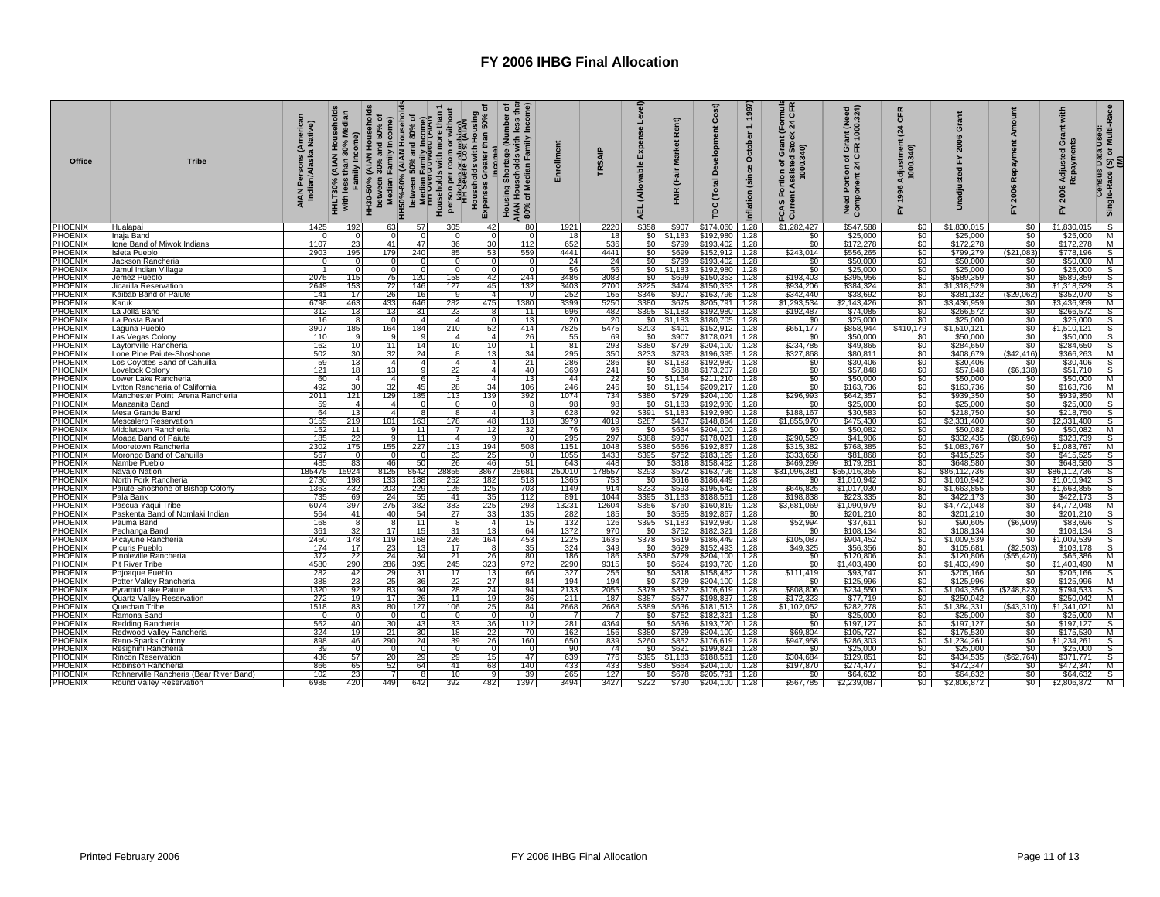| Office                           | <b>Tribe</b>                                          | Americar<br>Native)<br>AIAN Persons (A<br>Indian/Alaska I | edian<br>Σ<br>Family Income)<br><b>HHLT30%</b><br>with less |                      | HH30-50% (AIAN Households<br>between 30% and 50% of<br>Median Family Income)<br>HH50%-80% (AIAN Households<br>HH50%-80% (AIAN Households<br>Hedian Eamily Income)<br>I Median Eamily Income)<br>Households with more than 1<br>Households with | ৳<br>Housing<br>than 50%<br>Households with<br>ပ<br>Expenses | less thar<br>Income)<br>৳<br>(Number<br>Housing Shortage (Nun<br>AIAN Households with II<br>80% of Median Family II<br><b>AIAN</b><br>80% | Enrollment         | <b>TRSAIP</b>           | Level)<br>Expense<br>(Allowable<br><b>AEL</b> | Rent)<br><b>Market</b><br>(Fair<br><b>FMR</b> | Cost)<br>evelopn<br>ă<br><b>Total</b><br>pc                                 | 1997<br>$\div$<br>October<br>(since<br>Inflation | mula<br>CFR<br>$\overline{24}$<br>Fortion of Grant (F)<br>Portion of Grant (F)<br>1000.340)<br>FCAS<br>Currel | Need Portion of Grant (Need<br>Component 24 CFR 1000.324) | CFR<br>$\mathbf{z}_4$<br>Adjustment<br>1000.340)<br>1996<br>십 | ō<br>È                                            | Amor<br>Repayment<br>2006<br>놊 | with<br>änt<br>ö<br>Adjusted<br>āym<br>2006<br>۲ | s Data Used:<br>· (S) or Multi-Race<br>(M)<br>Census<br>Single-Race |
|----------------------------------|-------------------------------------------------------|-----------------------------------------------------------|-------------------------------------------------------------|----------------------|------------------------------------------------------------------------------------------------------------------------------------------------------------------------------------------------------------------------------------------------|--------------------------------------------------------------|-------------------------------------------------------------------------------------------------------------------------------------------|--------------------|-------------------------|-----------------------------------------------|-----------------------------------------------|-----------------------------------------------------------------------------|--------------------------------------------------|---------------------------------------------------------------------------------------------------------------|-----------------------------------------------------------|---------------------------------------------------------------|---------------------------------------------------|--------------------------------|--------------------------------------------------|---------------------------------------------------------------------|
| <b>PHOENIX</b>                   | Hualapai                                              | 1425                                                      | 192                                                         | 63                   | 57<br>305                                                                                                                                                                                                                                      | 42                                                           | 80                                                                                                                                        | 1921               | 2220                    | \$358                                         |                                               | \$907 \$174,060                                                             | 1.28                                             | \$1,282,427                                                                                                   | \$547,588                                                 |                                                               | \$1,830,015<br>\$0                                | \$0                            | \$1,830,015                                      | $\overline{s}$                                                      |
| <b>PHOENIX</b>                   | Inaja Band                                            | - 0                                                       |                                                             | $\overline{0}$       | $\Omega$                                                                                                                                                                                                                                       | $\overline{0}$                                               | $\mathbf 0$                                                                                                                               | 18                 | 18                      | \$0                                           |                                               | $$1,183$ $$192,980$ 1.28                                                    |                                                  | \$0                                                                                                           | \$25,000                                                  |                                                               | \$0<br>\$25,000                                   | \$0                            | \$25,000                                         | M                                                                   |
| PHOENIX                          | Ione Band of Miwok Indians                            | 1107                                                      | 23                                                          | 41                   | 47<br>36                                                                                                                                                                                                                                       | 30                                                           | 112                                                                                                                                       | 652                | 536                     | \$0                                           |                                               | \$799 \$193,402 1.28                                                        |                                                  | \$0                                                                                                           | \$172,278                                                 |                                                               | \$0<br>\$172,278                                  | \$0                            | \$172,278                                        | M                                                                   |
| <b>PHOENIX</b><br><b>PHOENIX</b> | Isleta Pueblo<br>Jackson Rancheria                    | 2903                                                      | 195                                                         | 179<br>0             | 240<br>85                                                                                                                                                                                                                                      | 53<br>$\Omega$                                               | 559<br>$\mathbf 0$                                                                                                                        | 4441<br>24         | 4441<br>24              | \$0<br>SO <sub>1</sub>                        |                                               | \$699 \$152,912 1.28<br>$$799$ $$193,402$ 1.28                              |                                                  | \$243,014<br>\$0                                                                                              | \$556,265<br>\$50,000                                     |                                                               | \$0<br>\$799,279<br>\$0<br>\$50,000               | (S21,083)<br>\$0               | \$778,196<br>\$50,000                            | S<br>M                                                              |
| <b>PHOENIX</b>                   | Jamul Indian Village                                  |                                                           |                                                             | $\Omega$             |                                                                                                                                                                                                                                                | $\Omega$                                                     | $\Omega$                                                                                                                                  | 56                 | 56                      |                                               |                                               | $$0 \mid $1,183 \mid $192,980 \mid 1.28$                                    |                                                  | \$0                                                                                                           | \$25,000                                                  |                                                               | \$0<br>\$25,000                                   | \$0                            | \$25,000                                         |                                                                     |
| <b>PHOENIX</b>                   | Jemez Pueblo                                          | 2075                                                      | 115                                                         | 75                   | 158<br>120                                                                                                                                                                                                                                     | 42                                                           | 244                                                                                                                                       | 3486               | 3083                    | $\frac{1}{20}$                                |                                               | \$699 \$150,353 1.28                                                        |                                                  | \$193,403                                                                                                     | \$395,956                                                 |                                                               | <b>S</b> O<br>\$589,359                           |                                | \$589,359                                        | $\frac{\mathsf{s}}{\mathsf{s}}$                                     |
| <b>PHOENIX</b>                   | Jicarilla Reservation                                 | 2649                                                      | 153                                                         | 72                   | 127<br>146                                                                                                                                                                                                                                     | 45                                                           | 132                                                                                                                                       | 3403               | 2700                    | \$225                                         |                                               | $$474$ $$150,353$ 1.28                                                      |                                                  | \$934,206                                                                                                     | \$384,324                                                 |                                                               | \$0  <br>\$1,318,529                              | $\frac{$0}{\$0}$               | \$1,318,529                                      | $\overline{s}$                                                      |
| <b>PHOENIX</b>                   | Kaibab Band of Paiute                                 | 141                                                       | $\overline{17}$                                             | 26                   | 16                                                                                                                                                                                                                                             | $\overline{a}$                                               | $\Omega$                                                                                                                                  | $\frac{252}{3399}$ | 165                     | \$346                                         |                                               | \$907 \$163,796 1.28<br>\$675 \$205,791 1.28                                |                                                  | \$342,440                                                                                                     | \$38,692                                                  |                                                               | \$0<br>\$381,132                                  | (\$29,062)                     | \$352,070                                        | $\frac{S}{M}$                                                       |
| <b>PHOENIX</b><br><b>PHOENIX</b> | Karuk                                                 | 6798                                                      | 463                                                         | 433                  | 282<br>646<br>23<br>31                                                                                                                                                                                                                         | 475                                                          | 1380                                                                                                                                      | 696                | 5250                    | 380                                           |                                               |                                                                             |                                                  | \$1,293,534                                                                                                   | \$2,143,426                                               |                                                               | \$3,436,959<br>$\$0$                              | \$0<br>\$0                     | \$3,436,959                                      | S                                                                   |
| <b>PHOENIX</b>                   | La Jolla Band<br>La Posta Band                        | 312<br>16                                                 | 13<br>R                                                     | 13<br>$\Omega$       | $\overline{a}$                                                                                                                                                                                                                                 | 8<br>$\Omega$                                                | 11<br>13                                                                                                                                  | 20                 | 482<br>20               |                                               |                                               | \$395   \$1,183   \$192,980   1.28<br>$\frac{1}{20}$ \$1,183 \$180,705 1.28 |                                                  | \$192,487<br>\$0                                                                                              | \$74,085<br>\$25,000                                      |                                                               | \$266,572<br>\$0<br>\$25,000                      | \$0                            | \$266,572<br>\$25,000                            | S                                                                   |
| <b>PHOENIX</b>                   | Laguna Pueblo                                         | 3907                                                      | 185                                                         | 164                  | 210<br>184                                                                                                                                                                                                                                     | 52                                                           | 414                                                                                                                                       | 7825               | 5475                    | \$203                                         |                                               | $$401$ $$152,912$ 1.28                                                      |                                                  | \$651,177                                                                                                     | \$858,944                                                 | \$410,179                                                     | \$1,510,121                                       | \$0                            | \$1,510,121                                      | S                                                                   |
| PHOENIX                          | Las Vegas Colony                                      | 110                                                       |                                                             | $\alpha$             | a<br>$\boldsymbol{\Lambda}$                                                                                                                                                                                                                    | 4 <sup>1</sup>                                               | 26                                                                                                                                        |                    |                         | \$0                                           |                                               |                                                                             |                                                  |                                                                                                               | \$50,000                                                  |                                                               | \$50,000                                          |                                |                                                  |                                                                     |
| <b>PHOENIX</b>                   | Laytonville Rancheria                                 | 162                                                       | 10                                                          | 11                   | 14<br>10                                                                                                                                                                                                                                       | 10                                                           | $\overline{1}$                                                                                                                            | $\frac{55}{81}$    | $\frac{69}{293}$<br>350 | 380                                           |                                               | \$907 \$178,021 1.28<br>\$729 \$204,100 1.28                                |                                                  |                                                                                                               | \$49,865                                                  |                                                               | \$0<br>\$0<br>\$284,650                           | $\frac{10}{50}$                | $$50,000$<br>$$284,650$                          | <u> ရ</u>                                                           |
| <b>PHOENIX</b>                   | Lone Pine Paiute-Shoshone                             | 502                                                       | 30                                                          | 32                   | 24                                                                                                                                                                                                                                             | 13                                                           | 34                                                                                                                                        | 295                |                         | \$233                                         |                                               | \$793 \$196,395                                                             | 1.28                                             |                                                                                                               | \$80,811                                                  |                                                               | \$0<br>\$408,679                                  | (\$42,416)                     | \$366,263                                        | M                                                                   |
| PHOENIX                          | Los Coyotes Band of Cahuilla                          | 59                                                        | 13                                                          | $\overline{a}$       | $\Delta$                                                                                                                                                                                                                                       | 4 <sup>1</sup>                                               | 21                                                                                                                                        | 286                | 286                     |                                               |                                               | $$0$ $$1,183$ $$192,980$                                                    | 1.28                                             | \$0                                                                                                           | \$30,406                                                  |                                                               | \$0<br>\$30,406                                   | \$0                            | \$30,406                                         | თ<br>თ                                                              |
| <b>PHOENIX</b><br><b>PHOENIX</b> | Lovelock Colony<br>Lower Lake Rancheria               | 121<br>60                                                 | 18<br>4                                                     | 13 <sup>1</sup><br>4 | 22<br>9<br>6                                                                                                                                                                                                                                   | 4 <sup>1</sup><br>$\overline{4}$                             | 40<br>13                                                                                                                                  | 369<br>44          | 241<br><b>221</b>       | SO I                                          |                                               | \$638 \$173,207 1.28                                                        |                                                  | \$0<br>\$0                                                                                                    | \$57,848<br>\$50,000                                      |                                                               | \$0<br>\$57,848<br>$\boldsymbol{\mathsf{S}}$      | (S6, 138)<br>\$0               | \$51,710<br>\$50,000                             | м                                                                   |
| <b>PHOENIX</b>                   | Lytton Rancheria of California                        | 492                                                       | 30                                                          | 32                   | 45<br>28                                                                                                                                                                                                                                       | 34                                                           | 106                                                                                                                                       | 246                | 246                     |                                               |                                               | $$0 \mid $1,154 \mid $211,210 \mid 1.28$<br>$$0$ $$1,154$ $$209,217$ 1.28   |                                                  | \$0                                                                                                           | \$163,736                                                 |                                                               | \$50,000<br>\$0<br>\$163,736                      | \$0                            | \$163,736                                        | M                                                                   |
| <b>PHOENIX</b>                   | Manchester Point Arena Rancheria                      | 2011                                                      | 121                                                         | 129                  | 185<br>113                                                                                                                                                                                                                                     | 139                                                          | 392                                                                                                                                       | 1074               | 734                     | \$380                                         |                                               | \$729 \$204,100                                                             | 1.28                                             | \$296,993                                                                                                     | \$642,357                                                 |                                                               | \$0<br>\$939,350                                  | \$0                            | \$939,350                                        | M                                                                   |
| <b>PHOENIX</b>                   | Manzanita Band                                        | 59                                                        | $\overline{a}$                                              | 4 <sup>1</sup>       | $\Omega$<br>$\Omega$                                                                                                                                                                                                                           | $\overline{0}$                                               | 8                                                                                                                                         | 98                 | 98                      |                                               |                                               | $$0$ $$1,183$ $$192,980$                                                    | 1.28                                             | \$0                                                                                                           | \$25,000                                                  |                                                               | \$0<br>\$25,000                                   | \$0                            | \$25,000                                         | S                                                                   |
| PHOENIX                          | Mesa Grande Band                                      | 64                                                        | 13                                                          | 4                    | 8                                                                                                                                                                                                                                              | $\overline{4}$                                               | 3                                                                                                                                         | 628                | 92                      | \$391                                         |                                               | $$1,183$ $$192,980$                                                         | 1.28                                             | \$188,167                                                                                                     | \$30,583                                                  |                                                               | \$0<br>\$218,750                                  | \$0                            | \$218,750                                        | $\mathsf{s}$                                                        |
| PHOENIX                          | Mescalero Reservation                                 | 3155                                                      | 219                                                         | 101                  | 178<br>163                                                                                                                                                                                                                                     | 48                                                           | 118                                                                                                                                       | 3979               | 4019                    | \$287                                         |                                               | \$437 \$148,864 1.28                                                        |                                                  | \$1,855,970                                                                                                   | \$475,430                                                 |                                                               | $\frac{1}{2}$<br>\$2,331,400                      | \$0                            | \$2,331,400                                      | s                                                                   |
| PHOENIX                          | Middletown Rancheria                                  | 152                                                       | 11                                                          | 9                    | 11<br>-7                                                                                                                                                                                                                                       | 12                                                           | 32                                                                                                                                        | 76                 | 95                      | \$0                                           |                                               | \$664 \$204,100 1.28                                                        |                                                  | \$0                                                                                                           | \$50,082                                                  |                                                               | \$0<br>\$50,082                                   | \$0                            | \$50,082                                         | м                                                                   |
| PHOENIX<br><b>PHOENIX</b>        | Moapa Band of Paiute<br>Mooretown Rancheria           | 185<br>2302                                               | 22<br>175                                                   | $\mathbf{Q}$<br>155  | 11<br>$\boldsymbol{\Lambda}$<br>227<br>113                                                                                                                                                                                                     | 9<br>194                                                     | $\Omega$<br>508                                                                                                                           | 295<br>1151        | 297<br>1048             | \$388<br>\$380                                |                                               | \$907   \$178,021   1.28<br>\$656 \$192,867 1.28                            |                                                  | \$290,529<br>\$315,382                                                                                        | \$41.906<br>\$768,385                                     |                                                               | \$0<br>\$332.435<br>\$0<br>\$1,083,767            | (S8.696)<br>\$0                | \$323.739<br>\$1,083,767                         | $\mathsf{s}$<br>M                                                   |
| <b>PHOENIX</b>                   | Morongo Band of Cahuilla                              | 567                                                       | $\Omega$                                                    | $\overline{0}$       | 23<br>$\Omega$                                                                                                                                                                                                                                 | 25                                                           | $\mathbf 0$                                                                                                                               | 1055               | 1433                    | \$395                                         |                                               | \$752 \$183,129 1.28                                                        |                                                  | \$333,658                                                                                                     | \$81,868                                                  |                                                               |                                                   | \$0                            |                                                  | $\overline{s}$                                                      |
| <b>PHOENIX</b>                   | Nambe Pueblo                                          | 485                                                       | 83                                                          | 46                   | 26<br>50                                                                                                                                                                                                                                       | 46                                                           | 51                                                                                                                                        | 643                | 448                     | \$0                                           |                                               | $$818$ $$158,462$ 1.28                                                      |                                                  | \$469,299                                                                                                     | \$179,281                                                 |                                                               | $rac{$0}{$0}{$0}{$0 $}$<br>\$415,525<br>\$648,580 |                                | \$415,525<br>\$648,580                           | $\overline{\mathsf{s}}$                                             |
| <b>PHOENIX</b>                   | Navajo Nation                                         | 185478                                                    | 15924                                                       | 8125                 | 8542<br>28855                                                                                                                                                                                                                                  | 3867                                                         | 25681                                                                                                                                     | 250010             | 178557                  | \$293                                         |                                               | \$572 \$163,796                                                             | 1.28                                             | \$31,096,381                                                                                                  | \$55,016,355                                              |                                                               | \$86,112,736                                      | $\frac{50}{50}$                | \$86,112,736                                     | S                                                                   |
| <b>PHOENIX</b>                   | North Fork Rancheria                                  | 2730                                                      | 198                                                         | 133                  | 252<br>188                                                                                                                                                                                                                                     | 182                                                          | 518                                                                                                                                       | 1365               | 753                     | \$0                                           |                                               | $$616$ $$186,449$ 1.28                                                      |                                                  | \$0                                                                                                           | \$1,010,942                                               |                                                               | \$0<br>\$1,010,942                                | \$0                            | \$1,010,942                                      | S                                                                   |
| <b>PHOENIX</b>                   | Paiute-Shoshone of Bishop Colony                      | 1363                                                      | 432                                                         | 203                  | 125<br>229                                                                                                                                                                                                                                     | 125                                                          | 703                                                                                                                                       | 1149               | 914                     | \$233                                         |                                               | \$593 \$195,542 1.28                                                        |                                                  | \$646,825                                                                                                     | \$1,017,030                                               |                                                               | \$0<br>\$1,663,855                                | \$0                            | \$1,663,855                                      | $\overline{s}$                                                      |
| <b>PHOENIX</b><br><b>PHOENIX</b> | Pala Bank                                             | 735                                                       | 69<br>397                                                   | 24<br>275            | 55<br>41<br>383                                                                                                                                                                                                                                | 35<br>225                                                    | 112                                                                                                                                       | 891<br>13231       | 1044                    |                                               |                                               | \$395   \$1,183   \$188,561   1.28                                          |                                                  | \$198,838                                                                                                     | \$223,335                                                 |                                                               | $\boldsymbol{\mathsf{S}}$<br>\$422,173            | \$0                            | \$422,173                                        | S<br>M                                                              |
| <b>PHOENIX</b>                   | Pascua Yaqui Tribe<br>Paskenta Band of Nomlaki Indian | 6074<br>564                                               | 41                                                          | 40                   | 382<br>$\overline{27}$<br>54                                                                                                                                                                                                                   | 33                                                           | 293<br>135                                                                                                                                |                    | 12604<br>185            | \$356<br>\$0                                  |                                               | \$760 \$160,819 1.28<br>\$585 \$192,867 1.28                                |                                                  | \$3,681,069<br>\$0                                                                                            | \$1,090,979<br>\$201,210                                  |                                                               | \$0<br>\$4,772,048<br>\$0<br>\$201,210            | \$0<br>$\overline{50}$         | \$4,772,048<br>\$201,210                         |                                                                     |
| PHOENIX                          | Pauma Band                                            | 168                                                       | ø.                                                          | 8                    | 11                                                                                                                                                                                                                                             | 4 <sup>1</sup>                                               | 15                                                                                                                                        | 282<br>132         | 126                     | \$395                                         |                                               | $$1,183$ $$192,980$ 1.28                                                    |                                                  | \$52,994                                                                                                      | \$37,611                                                  |                                                               | \$90,605<br>\$0                                   | (\$6,909)                      | \$83,696                                         | $rac{\overline{s}}{\overline{s}}$                                   |
| <b>PHOENIX</b>                   | Pechanga Band                                         | 361                                                       | 32                                                          | 17                   | 15<br>31                                                                                                                                                                                                                                       | 13                                                           | 64                                                                                                                                        | 1372               | 970                     | \$0                                           |                                               | $$752$ $$182,321$ 1.28                                                      |                                                  | \$0                                                                                                           | \$108,134                                                 |                                                               | \$0<br>\$108,134                                  | \$0                            | \$108,134                                        |                                                                     |
| <b>PHOENIX</b>                   | Picayune Rancheria                                    | 2450                                                      | 178                                                         | 119                  | 226<br>168                                                                                                                                                                                                                                     | 164                                                          | 453                                                                                                                                       | 1225               | 1635                    | \$378                                         |                                               | $$619$ $$186,449$ 1.28                                                      |                                                  | \$105,087                                                                                                     | \$904,452                                                 |                                                               | \$0 <sub>1</sub><br>\$1,009,539                   | \$0                            | \$1,009,539                                      | s<br>S                                                              |
| <b>PHOENIX</b>                   | Picuris Pueblo                                        | 174                                                       | 17 <sup>1</sup>                                             | 23                   | 17<br>13 <sup>1</sup>                                                                                                                                                                                                                          | -81                                                          | 35                                                                                                                                        | 324                | 349                     | \$0                                           |                                               | $$629$ $$152,493$ 1.28                                                      |                                                  | \$49,325                                                                                                      | \$56,356                                                  |                                                               | \$0<br>\$105,681                                  | (\$2,503)                      | \$103.178                                        | S                                                                   |
| <b>PHOENIX</b>                   | Pinoleville Rancheria                                 | 372                                                       | 22                                                          | 24                   | 21<br>34                                                                                                                                                                                                                                       | 26                                                           | 80<br>972                                                                                                                                 | 186                | 186                     | 380                                           |                                               | $$729$ $$204,100$ 1.28                                                      |                                                  | \$0<br>$\overline{\$0}$                                                                                       | \$120,806                                                 |                                                               | <b>S</b> O<br>\$120,806<br>\$0                    | (\$55,420"<br>\$0              | \$65,386                                         | M<br>M                                                              |
| <b>PHOENIX</b><br><b>PHOENIX</b> | Pit River Tribe<br>Pojoaque Pueblo                    | 4580<br>282                                               | 290<br>42                                                   | 286<br>29            | 395<br>245<br>31<br>17                                                                                                                                                                                                                         | 323<br>13                                                    | 66                                                                                                                                        | 2290<br>327        | 9315<br>255             | \$0<br>\$0                                    |                                               | \$624 \$193,720 1.28                                                        |                                                  | \$111,419                                                                                                     | \$1,403,490<br>\$93,747                                   |                                                               | \$1,403,490<br>\$205,166                          |                                | \$1,403,490<br>\$205,166                         |                                                                     |
| PHOENIX                          | Potter Valley Rancheria                               | 388                                                       | 23                                                          | 25                   | 22<br>36                                                                                                                                                                                                                                       | 27                                                           | 84                                                                                                                                        | 194                | 194                     | $\$0$                                         |                                               | \$818 \$158,462 1.28<br>\$729 \$204,100 1.28                                |                                                  | \$0                                                                                                           | \$125,996                                                 |                                                               | $\frac{$0}{$0}$<br>\$125,996                      | $\frac{60}{50}$                | \$125,996                                        | $\frac{S}{M}$                                                       |
| <b>PHOENIX</b>                   | Pyramid Lake Paiute                                   | 1320                                                      | 92                                                          | 83                   | 28<br>94                                                                                                                                                                                                                                       | 24                                                           | 94                                                                                                                                        | 2133               | 2055                    | \$379                                         |                                               | \$852   \$176,619   1.28                                                    |                                                  | \$808,806                                                                                                     | \$234,550                                                 |                                                               | \$0<br>\$1,043,356                                | (\$248,823)                    | \$794,533                                        | S                                                                   |
| <b>PHOENIX</b>                   | <b>Quartz Valley Reservation</b>                      | 272                                                       | 19                                                          | 17                   | 26<br>11                                                                                                                                                                                                                                       | 19                                                           | 36                                                                                                                                        | 211                | 187                     | \$387                                         |                                               | \$577 \$198,837 1.28                                                        |                                                  | \$172,323                                                                                                     | \$77,719                                                  |                                                               | \$0<br>\$250,042                                  | \$0                            |                                                  | $$250,042$ M                                                        |
| <b>PHOENIX</b>                   | Quechan Tribe                                         | 1518                                                      | 83                                                          | 80                   | 127<br>106                                                                                                                                                                                                                                     | 25                                                           | 84                                                                                                                                        | 2668               | 2668                    | 389                                           |                                               | $$636$ $$181,513$ 1.28                                                      |                                                  | \$1,102,052                                                                                                   | \$282,278                                                 |                                                               | \$0<br>\$1,384,331                                | (\$43.310)                     | \$1,341,021                                      | м                                                                   |
| <b>PHOENIX</b>                   | Ramona Band                                           |                                                           | $\Omega$                                                    | $\Omega$             | $\Omega$<br>- 0                                                                                                                                                                                                                                | $\overline{0}$                                               | $\mathbf 0$                                                                                                                               | 7                  | $\overline{7}$          | \$0                                           |                                               | \$752 \$182,321 1.28                                                        |                                                  | \$0                                                                                                           | \$25,000                                                  |                                                               | $\frac{1}{2}$<br>\$25,000                         | \$0                            | \$25,000                                         | M                                                                   |
| <b>PHOENIX</b>                   | Redding Rancheria                                     | 562                                                       | 40<br>19                                                    | 30 <sup>1</sup>      | 43<br>33<br>30<br>18                                                                                                                                                                                                                           | $\frac{36}{22}$                                              | 112<br>70                                                                                                                                 | 281                | 4364                    | \$0                                           |                                               | \$636 \$193,720 1.28                                                        |                                                  | \$0                                                                                                           | \$197,127                                                 |                                                               | $\frac{$0}{$0}$<br>\$197,127<br>\$175,530         | $\frac{$0}{$0}$                | \$197,127                                        | $\frac{S}{M}$                                                       |
| PHOENIX<br>PHOENIX               | Redwood Valley Rancheria<br>Reno-Sparks Colony        | 324<br>898                                                | 46                                                          | 21<br>290            | 24<br>39                                                                                                                                                                                                                                       | 26                                                           | 160                                                                                                                                       | 162<br>650         | 156<br>839              | \$380<br>\$260                                |                                               | $$729$ $$204,100$<br>\$852 \$176,619                                        | 1.28<br>1.28                                     | \$69,804<br>\$947,958                                                                                         | \$105,727<br>\$286,303                                    |                                                               | \$0<br>\$1,234,261                                | \$0                            | \$175,530<br>\$1,234,261                         |                                                                     |
| <b>PHOENIX</b>                   | Resighini Rancheria                                   | 39                                                        | $\Omega$                                                    | $\Omega$             | $\Omega$                                                                                                                                                                                                                                       | $\overline{0}$                                               | $\mathbf 0$                                                                                                                               | 90                 | 74                      | \$0                                           |                                               | \$621   \$199,821   1.28                                                    |                                                  | \$0                                                                                                           | \$25,000                                                  |                                                               | $\$0$<br>\$25,000                                 | \$0                            | \$25,000                                         | $\frac{s}{s}$                                                       |
| <b>PHOENIX</b>                   | <b>Rincon Reservation</b>                             | 436                                                       | 571                                                         | <b>20</b>            | 29<br>29                                                                                                                                                                                                                                       | 15 <sup>1</sup>                                              | 47                                                                                                                                        | 639                | 776                     |                                               |                                               | \$395   \$1,183   \$188,561   1.28                                          |                                                  | \$304.684                                                                                                     | \$129.851                                                 |                                                               | \$0<br>\$434,535                                  | (S62.764)                      | \$371.771                                        | $\overline{s}$                                                      |
| PHOENIX                          | Robinson Rancheria                                    | 866                                                       | 65                                                          | 52                   | 41<br>64                                                                                                                                                                                                                                       | 68                                                           | 140                                                                                                                                       | 433                | 433                     | \$380                                         |                                               | \$664 \$204,100 1.28                                                        |                                                  | \$197.870                                                                                                     | \$274,477                                                 |                                                               | \$0<br>\$472,347                                  | \$0                            | \$472,347                                        | M                                                                   |
| <b>PHOENIX</b>                   | Rohnerville Rancheria (Bear River Band)               | 102                                                       | 23                                                          | 7 <sup>1</sup>       | 10<br>8                                                                                                                                                                                                                                        | 91                                                           | 39                                                                                                                                        | 265                | 127                     | \$0                                           |                                               | \$678 \$205,791 1.28                                                        |                                                  | \$0                                                                                                           | \$64,632                                                  |                                                               | \$0<br>\$64,632                                   | \$0                            | \$64,632                                         | $\mathsf{s}$                                                        |
| <b>PHOENIX</b>                   | Round Valley Reservation                              | 6988                                                      | 420                                                         | 449                  | 392<br>642                                                                                                                                                                                                                                     | 482                                                          | 1397                                                                                                                                      | 3494               | 3427                    |                                               |                                               | $$222$ $$730$ $$204,100$ 1.28                                               |                                                  | \$567,785                                                                                                     | \$2,239,087                                               |                                                               | $\frac{1}{20}$<br>\$2,806,872                     | \$0                            | \$2,806,872 M                                    |                                                                     |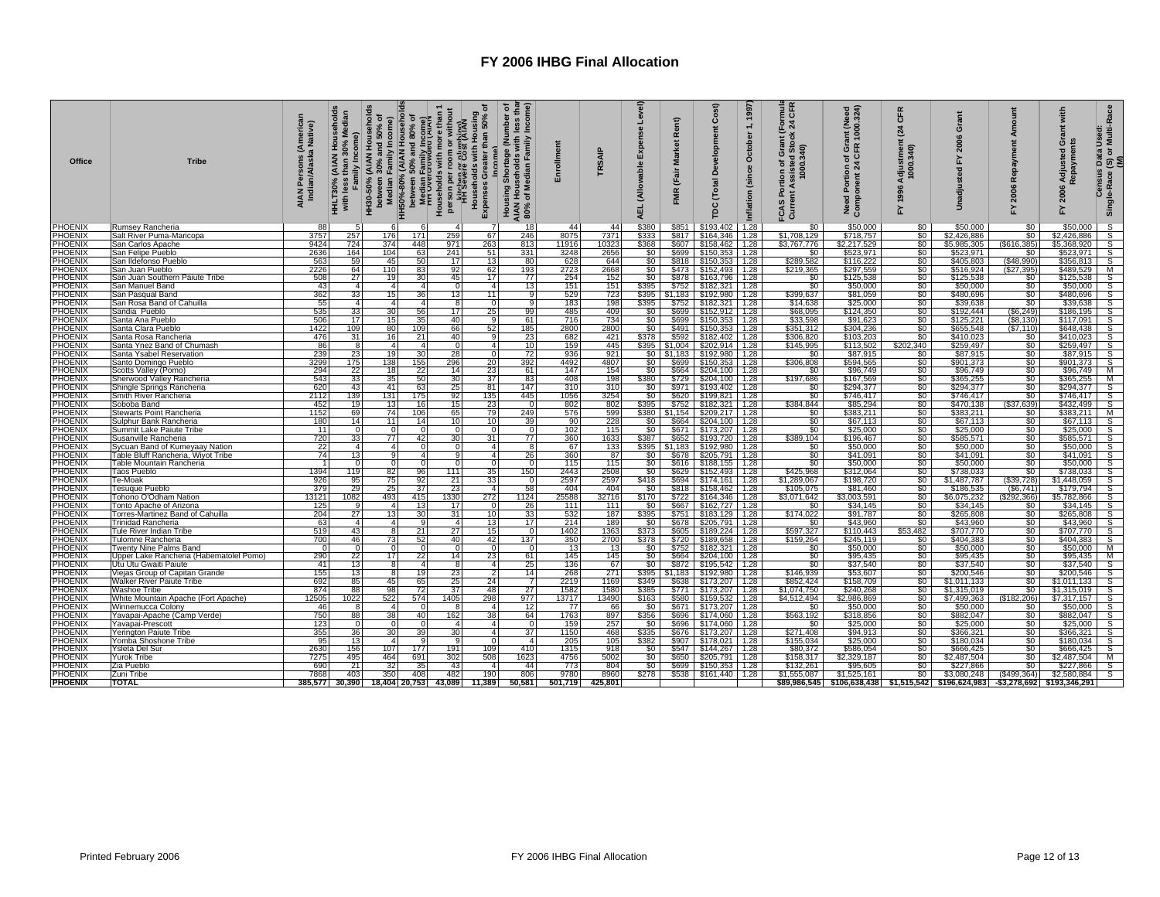| Office                    | <b>Tribe</b>                                                         | Americar<br>Native)<br>AIAN Persons (,<br>Indian/Alaska | adian<br>amily Income)<br>Σ<br><b>HHLT30%</b><br>with | HH30-50% (AIAN Households<br>between 30% and 50% of<br>Median Family Income) | h HH50%-80% (ΑΙΑΝ Households<br>between 50% and 80% of<br>a Median Family Income)<br>households with more than 1<br>Hydro per room or without<br>person per room or without<br>Hydroge Cost (λίκλν | ᅙ<br>Housing<br>than 50%<br>Households with<br>ပ<br>Expenses | less thar<br>Income)<br>৳<br>(Number<br>holds with l<br>lian Family<br><b>Shortag</b><br>Household<br>of Median I<br>Housing:<br><b>AIAN</b><br>80% | Enrollment  | <b>TRSAIP</b>     | Level)<br>nse<br>Exper<br>(Allowable<br><b>AEL</b> | Rent)<br><b>Market</b><br>(Fair<br>Ĕ | Cost)<br>۵<br><b>Total</b><br>g                | 1997<br>$\div$<br>October<br>(since<br>nflation | mula<br>CFR<br>$\overline{24}$<br>č<br>ion of Grant<br>ssisted Stocl<br>1000.340)<br>Assis<br>$\mathbf{H}$<br>FCAS<br>Currel | rant (Need<br>२ 1000.324)<br>Need Portion of Gra<br>Component 24 CFR | CFR<br>$\mathbf{z}_4$<br>Adjustment<br>1000.340)<br>1996<br>십 | $\bar{c}$<br>È                                                | po<br>ਕ<br>Ë<br>Repayme<br>2006<br>겂 | with<br>änt<br>ö<br>Adjusted<br>aym<br>2006<br>≿ | (S) or Multi-Race<br>(M)<br>Data Used<br>Census<br>Single-Race |
|---------------------------|----------------------------------------------------------------------|---------------------------------------------------------|-------------------------------------------------------|------------------------------------------------------------------------------|----------------------------------------------------------------------------------------------------------------------------------------------------------------------------------------------------|--------------------------------------------------------------|-----------------------------------------------------------------------------------------------------------------------------------------------------|-------------|-------------------|----------------------------------------------------|--------------------------------------|------------------------------------------------|-------------------------------------------------|------------------------------------------------------------------------------------------------------------------------------|----------------------------------------------------------------------|---------------------------------------------------------------|---------------------------------------------------------------|--------------------------------------|--------------------------------------------------|----------------------------------------------------------------|
| PHOENIX                   | Rumsey Rancheria                                                     | 88                                                      |                                                       | 6                                                                            | ĥ                                                                                                                                                                                                  | $\overline{7}$                                               | 18                                                                                                                                                  | 44          | 44                | \$380                                              | \$851                                | \$193,402                                      | 1.28                                            | \$0                                                                                                                          | \$50,000                                                             | \$0                                                           | \$50,000                                                      |                                      | \$50,000                                         |                                                                |
| <b>PHOENIX</b>            | Salt River Puma-Maricopa                                             | 3757                                                    | 257                                                   | 176                                                                          | 171<br>259                                                                                                                                                                                         | 67                                                           | 246                                                                                                                                                 | 8075        | 7371              | 5333                                               | \$817                                | \$164,346 1.28                                 |                                                 | \$1,708,129                                                                                                                  | \$718,757                                                            |                                                               | \$0<br>\$2,426,886                                            | $\frac{$0}{$0}$                      | .426,886                                         | $\frac{S}{S}$                                                  |
| PHOENIX                   | San Carlos Apache                                                    | 9424                                                    | 724                                                   | 374                                                                          | 971<br>448                                                                                                                                                                                         | 263                                                          | 813                                                                                                                                                 | 11916       | 10323             | \$368                                              | \$607                                | $$158,462$ 1.28                                |                                                 | \$3.767.776                                                                                                                  | \$2,217,529                                                          |                                                               | \$0<br>\$5,985,305                                            | (S616, 385)                          | \$5,368,920                                      | $\frac{S}{S}$                                                  |
| PHOENIX                   | San Felipe Pueblo                                                    | 2636                                                    | 164                                                   | 104                                                                          | 241<br>63                                                                                                                                                                                          | 51                                                           | 331                                                                                                                                                 | 3248        | 2656              | \$0                                                | \$699                                | \$150,353 1.28                                 |                                                 | \$0                                                                                                                          | \$523,971                                                            | SO.                                                           | \$523,971                                                     | \$0                                  | \$523,971                                        |                                                                |
| <b>PHOENIX</b>            | San Ildefonso Pueblo                                                 | 563                                                     | 59                                                    | 45                                                                           | 17<br>50                                                                                                                                                                                           | 13                                                           | 80                                                                                                                                                  | 628         | 644               | \$0                                                |                                      | \$818 \$150,353 1.28                           |                                                 | \$289,582                                                                                                                    | \$116,222                                                            | \$0                                                           | \$405,803                                                     | (\$48,990)                           | \$356,813                                        | S                                                              |
| <b>PHOENIX</b><br>PHOENIX | San Juan Pueblo                                                      | 2226<br>508                                             | 64<br>27                                              | 110<br>19                                                                    | 92<br>83<br>45<br>30.                                                                                                                                                                              | 62<br>17                                                     | 193<br>77                                                                                                                                           | 2723<br>254 | 2668<br>152       | \$0                                                | \$878                                | \$473    \$152,493   1.28<br>\$163,796 1.28    |                                                 | \$219,365<br>\$0                                                                                                             | \$297,559<br>\$125,538                                               | \$0                                                           | \$516,924<br>\$125,538                                        | \$27,395<br>\$0                      | \$489,529<br>\$125,538                           | M<br>S                                                         |
| <b>PHOENIX</b>            | San Juan Southern Paiute Tribe<br>San Manuel Band                    | 43                                                      | $\overline{a}$                                        | $\overline{4}$                                                               | $\overline{4}$                                                                                                                                                                                     | 4 <sup>1</sup>                                               | 13                                                                                                                                                  | 151         | 151               | \$395                                              |                                      | \$752 \$182,321                                | 1.28                                            | \$0                                                                                                                          | \$50,000                                                             | $\frac{1}{2}$                                                 | \$50,000                                                      | \$0                                  | \$50,000                                         | S                                                              |
| PHOENIX                   | San Pasqual Band                                                     | 362                                                     | 33                                                    | 15                                                                           | 36<br>13                                                                                                                                                                                           | 11                                                           | 9                                                                                                                                                   | 529         | 723               |                                                    |                                      | \$395 \$1,183 \$192,980                        | 1.28                                            | \$399,637                                                                                                                    |                                                                      |                                                               |                                                               |                                      | \$480,696                                        |                                                                |
| <b>PHOENIX</b>            | San Rosa Band of Cahuilla                                            | 55                                                      | 4                                                     | $\mathbf{4}$                                                                 | $\overline{4}$                                                                                                                                                                                     | $\circ$                                                      | 9                                                                                                                                                   | 183         | 198               | 395                                                | \$752                                | \$182,321                                      | 1.28                                            | \$14,638                                                                                                                     | $$81,059$<br>$$25,000$                                               |                                                               | \$0<br>\$0<br>\$480,696<br>\$39,638                           | $\frac{60}{50}$                      | \$39,638                                         | s<br>s                                                         |
| PHOENIX                   | Sandia Pueblo                                                        | 535                                                     | 33                                                    | 30                                                                           | 56<br>17                                                                                                                                                                                           | 25                                                           | 99                                                                                                                                                  | 485         | 409               | \$0                                                | \$699                                | \$152,912                                      | 1.28                                            | \$68,095                                                                                                                     | \$124,350                                                            | \$0                                                           | \$192,444                                                     | (\$6, 249)                           | \$186,195                                        | S                                                              |
| PHOENIX                   | Santa Ana Pueblo                                                     | 506                                                     | 17                                                    | 15 <sup>1</sup>                                                              | 35<br>40                                                                                                                                                                                           | 9                                                            | 61                                                                                                                                                  | 716         | 734               | SO <sub>1</sub>                                    | \$699                                | \$150,353                                      | 1.28                                            | \$33,598                                                                                                                     | \$91,623                                                             | \$0                                                           | \$125,221                                                     | (S8, 130)                            | \$117,091                                        | S                                                              |
| PHOENIX                   | Santa Clara Pueblo                                                   | 1422                                                    | 109                                                   | 80                                                                           | 109<br>66                                                                                                                                                                                          | 52                                                           | 185                                                                                                                                                 | 2800        | 2800              | SO I                                               |                                      | $$491$ $$150,353$ 1.28                         |                                                 | \$351,312                                                                                                                    | \$304,236                                                            | \$0                                                           | \$655,548                                                     | (\$7.110                             | \$648,438                                        | s                                                              |
| PHOENIX                   | Santa Rosa Rancheria                                                 | 476                                                     | 31                                                    | 16 <sup>1</sup>                                                              | 21<br>40                                                                                                                                                                                           | 9                                                            | 23                                                                                                                                                  | 682         | 421               | 5378                                               |                                      | \$592 \$182,402                                | 1.28                                            | \$306,820                                                                                                                    | \$103,203                                                            | \$0                                                           | \$410,023                                                     | \$0                                  | \$410,023                                        | S                                                              |
| <b>PHOENIX</b>            | Santa Ynez Band of Chumash                                           | 86                                                      | - 8                                                   | $\overline{4}$                                                               | $\overline{4}$<br>$\Omega$                                                                                                                                                                         | 4                                                            | 10                                                                                                                                                  | 159         | 445               | \$395                                              |                                      | $$1,004$ $$202,914$ 1.28                       |                                                 | \$145,995                                                                                                                    | \$113,502                                                            | \$202,340                                                     | \$259,497                                                     | \$0                                  | \$259,497                                        | $\overline{s}$                                                 |
| <b>PHOENIX</b>            | Santa Ysabel Reservation                                             | 239                                                     | 23<br>175                                             | 19<br>138                                                                    | 30<br>28                                                                                                                                                                                           | $\overline{0}$                                               | 72                                                                                                                                                  | 936<br>4492 | 921<br>4807       | \$0                                                |                                      | $$0 \mid $1,183 \mid $192,980 \mid 1.28$       |                                                 | \$0                                                                                                                          | \$87,915                                                             | \$0                                                           | \$87,915                                                      | \$0<br>\$0                           | \$87,915                                         | $\overline{s}$<br>$\mathsf{s}$                                 |
| PHOENIX<br>PHOENIX        | Santo Domingo Pueblo<br>Scotts Valley (Pomo)                         | 3299<br>294                                             | 22                                                    | 18                                                                           | 155<br>296<br>22<br>14                                                                                                                                                                             | 20<br>23                                                     | 392<br>61                                                                                                                                           | 147         | 154               | SO <sub>1</sub>                                    | \$699                                | \$150,353 1.28<br>$$664$ $$204,100$ 1.28       |                                                 | \$306,808<br>\$0                                                                                                             | \$594,565<br>\$96,749                                                | \$0<br>\$0                                                    | \$901,373<br>\$96,749                                         | \$0                                  | \$901,373<br>\$96,749                            | м                                                              |
| <b>PHOENIX</b>            | Sherwood Valley Rancheria                                            | 543                                                     | 33                                                    | 35                                                                           | 30<br>50                                                                                                                                                                                           | 37                                                           | 83                                                                                                                                                  | 408         | 198               | \$380                                              |                                      | \$729 \$204,100                                | 1.28                                            | \$197,686                                                                                                                    | \$167,569                                                            | \$0                                                           | \$365,255                                                     | \$0                                  | \$365,255                                        | M                                                              |
| <b>PHOENIX</b>            | Shingle Springs Rancheria                                            | 620                                                     | 43                                                    | 41                                                                           | 25<br>63                                                                                                                                                                                           | 81                                                           | 147                                                                                                                                                 | 310         | 310               | \$0                                                |                                      | \$971   \$193,402                              | 1.28                                            | \$0                                                                                                                          | \$294,377                                                            | \$0                                                           | \$294,377                                                     | \$0                                  | \$294.377                                        | $\overline{s}$                                                 |
| <b>PHOENIX</b>            | Smith River Rancheria                                                | 2112                                                    | 139                                                   | 131                                                                          | 92<br>175                                                                                                                                                                                          | 135                                                          | 445                                                                                                                                                 | 1056        | 3254              | SO <sub>1</sub>                                    |                                      | \$620 \$199,821 1.28                           |                                                 | \$0                                                                                                                          | \$746,417                                                            | \$0                                                           | \$746,417                                                     | \$0                                  | \$746,417                                        | s                                                              |
| <b>PHOENIX</b>            | Soboba Band                                                          | 452                                                     | 19                                                    | 13                                                                           | 16<br>15                                                                                                                                                                                           | 23                                                           | ō                                                                                                                                                   | 802         | 802               | \$395                                              |                                      | $$752$ \$182,321                               | 1.28                                            | \$384,844                                                                                                                    | \$85,294                                                             | \$0                                                           | \$470,138                                                     | (\$37,639)                           | \$432,499                                        | S                                                              |
| <b>PHOENIX</b>            | Stewarts Point Rancheria                                             | 1152                                                    | 69                                                    | 74                                                                           | 106<br>65                                                                                                                                                                                          | 79                                                           | 249                                                                                                                                                 | 576         | $\frac{599}{228}$ |                                                    |                                      | \$380 \$1,154 \$209,217 1.28                   |                                                 | \$0                                                                                                                          | \$383,211                                                            | \$0                                                           | $\frac{$383,211}{$67,113}$                                    | \$0                                  | \$383.211                                        | M                                                              |
| <b>PHOENIX</b>            | Sulphur Bank Rancheria                                               | 180                                                     | 14                                                    | 11                                                                           | 14                                                                                                                                                                                                 | 10 <sup>1</sup>                                              | 39                                                                                                                                                  | 90          |                   | \$0                                                |                                      | \$664 \$204,100 1.28                           |                                                 | \$0                                                                                                                          | \$67,113                                                             | šō                                                            |                                                               | \$0                                  | \$67,113                                         | $\overline{s}$                                                 |
| PHOENIX                   | Summit Lake Paiute Tribe                                             | 11                                                      | $\cap$                                                | $\Omega$                                                                     | $\Omega$                                                                                                                                                                                           | $\Omega$                                                     | $\mathbf 0$                                                                                                                                         | 102         | 115               | \$0                                                |                                      | \$671 \$173,207 1.28                           |                                                 | \$0                                                                                                                          | \$25,000                                                             | \$0                                                           | \$25,000                                                      | \$0                                  | \$25,000                                         | s                                                              |
| PHOENIX<br>PHOENIX        | Susanville Rancheria                                                 | 720                                                     | 33<br>$\overline{a}$                                  | 77<br>$\Delta$                                                               | 42<br>30                                                                                                                                                                                           | 31<br>4 <sup>1</sup>                                         | 77<br>8                                                                                                                                             | 360<br>67   | 1633              | 387                                                |                                      | \$652 \$193,720 1.28                           |                                                 | \$389,104                                                                                                                    | \$196,467                                                            |                                                               | \$0<br>\$585,571<br>\$0<br>\$50,000                           | \$0                                  | \$585,571                                        |                                                                |
| PHOENIX                   | Sycuan Band of Kumeyaay Nation<br>Table Bluff Rancheria, Wiyot Tribe | 22<br>74                                                | 13                                                    | a                                                                            | $\boldsymbol{\Lambda}$                                                                                                                                                                             | 4 <sup>1</sup>                                               | 26                                                                                                                                                  | 360         | 133<br>87         | \$0                                                | \$678                                | \$395 \$1,183 \$192,980 1.28<br>\$205,791 1.28 |                                                 | \$0<br>\$0                                                                                                                   | \$50,000<br>\$41,091                                                 |                                                               | \$41,091                                                      |                                      | \$50,000<br>\$41,091                             | s<br>S                                                         |
| <b>PHOENIX</b>            | Table Mountain Rancheria                                             | $\overline{1}$                                          |                                                       |                                                                              | $\Omega$                                                                                                                                                                                           | $\overline{0}$                                               | $\Omega$                                                                                                                                            | 115         | 115               | \$0                                                | \$616                                | $$188,155$ 1.28                                |                                                 | $\overline{\$0}$                                                                                                             | \$50,000                                                             |                                                               | §0<br>\$0<br>\$50,000                                         | $\frac{$0}{0}$                       | \$50,000                                         |                                                                |
| <b>PHOENIX</b>            | Taos Pueblo                                                          | 1394                                                    | 119                                                   | 82                                                                           | 96<br>111                                                                                                                                                                                          | 35                                                           | 150                                                                                                                                                 | 2443        | 2508              | \$0                                                | \$629                                | $$152,493$   1.28                              |                                                 | \$425,968                                                                                                                    | \$312.064                                                            |                                                               | \$O<br>\$738,033                                              | $\overline{\$0}$                     | \$738,033                                        | $\overline{\mathsf{s}}$                                        |
| PHOENIX                   | Te-Moal                                                              | 926                                                     | 95                                                    | 75                                                                           | 92<br>21                                                                                                                                                                                           | 33                                                           | $\mathbf 0$                                                                                                                                         | 2597        | 2597              | \$418                                              |                                      | \$694   \$174,161                              | 1.28                                            | \$1,289,067                                                                                                                  | \$198,720                                                            |                                                               | <b>S</b> O<br>\$1,487,787                                     | (\$39,728)                           | \$1,448,059                                      | s                                                              |
| PHOENIX                   | Tesuque Pueblo                                                       | 379                                                     | 29                                                    | 25                                                                           | 23<br>37                                                                                                                                                                                           | 4                                                            | 58                                                                                                                                                  | 404         | 404               | \$0                                                | \$818                                | \$158,462                                      | 1.28                                            | \$105,075                                                                                                                    | \$81,460                                                             | \$0                                                           | \$186,535                                                     | (\$6,741                             | \$179,794                                        | s                                                              |
| <b>PHOENIX</b>            | Tohono O'Odham Nation                                                | 13121                                                   | 1082                                                  | 493                                                                          | 1330<br>415                                                                                                                                                                                        | 272                                                          | 1124                                                                                                                                                | 25588       | 32716             | \$170                                              |                                      | $$722$ $$164,346$                              | 1.28                                            | \$3,071,642                                                                                                                  | \$3,003,591                                                          | \$0                                                           | \$6,075,232                                                   | (\$292,366)                          | \$5,782,866                                      | S                                                              |
| PHOENIX                   | Tonto Apache of Arizona                                              | 125                                                     |                                                       | 4                                                                            | 13<br>17                                                                                                                                                                                           | $\Omega$                                                     | 26                                                                                                                                                  | 111         | 111               | \$0                                                | \$667                                | \$162,727 1.28                                 |                                                 | \$0                                                                                                                          | \$34,145                                                             | \$0                                                           | \$34,145                                                      | \$0                                  | \$34,145                                         | s                                                              |
| PHOENIX<br><b>PHOENIX</b> | Torres-Martinez Band of Cahuilla                                     | 204<br>63                                               | 27<br>$\overline{a}$                                  | 13 <sup>1</sup><br>$\overline{4}$                                            | 31<br>30<br>9<br>$\boldsymbol{\Lambda}$                                                                                                                                                            | 10 <sup>1</sup><br>13                                        | 33<br>17                                                                                                                                            | 532<br>214  | 187<br>189        | \$395<br>\$0                                       | \$751<br>\$678                       | \$183,129                                      | 1.28                                            | \$174,022<br>\$0                                                                                                             | \$91,787<br>\$43,960                                                 | \$0<br>\$0                                                    | \$265,808<br>\$43,960                                         | \$0<br>\$0                           | \$265,808<br>\$43,960                            | S<br>$\overline{\mathsf{s}}$                                   |
| <b>PHOENIX</b>            | <b>Trinidad Rancheria</b><br>Tule River Indian Tribe                 | 519                                                     | 43                                                    | 8                                                                            | 21<br>27                                                                                                                                                                                           | 15 <sup>1</sup>                                              | $\mathbf 0$                                                                                                                                         | 1402        | 1363              | \$373                                              | \$605                                | $$205,791$ 1.28<br>\$189,224                   | 1.28                                            | \$597,327                                                                                                                    | \$110.443                                                            | \$53,482                                                      | \$707,770                                                     | \$0                                  | \$707.770                                        | S                                                              |
| PHOENIX                   | Tulomne Rancheria                                                    | 700                                                     | 46                                                    | 73                                                                           | 52<br>40                                                                                                                                                                                           | 42                                                           | 137                                                                                                                                                 | 350         | 2700              | \$378                                              |                                      | \$720 \$189,658                                | 1.28                                            | \$159,264                                                                                                                    | \$245,119                                                            | \$0                                                           | \$404,383                                                     | \$0                                  | \$404,383                                        | S                                                              |
| PHOENIX                   | Twenty Nine Palms Band                                               |                                                         | $\Omega$                                              | $\Omega$                                                                     | $\Omega$<br>$\Omega$                                                                                                                                                                               | $\overline{0}$                                               | $\Omega$                                                                                                                                            | 13          | 13                | \$0                                                |                                      | \$752 \$182,321                                | 1.28                                            | \$0                                                                                                                          | \$50,000                                                             | \$0                                                           | \$50,000                                                      | \$0                                  | \$50,000                                         | М                                                              |
| PHOENIX                   | Upper Lake Rancheria (Habematolel Pomo)                              | 290                                                     | 22                                                    | 17 <sup>1</sup>                                                              | 22<br>14                                                                                                                                                                                           | 23 <sup>1</sup>                                              | 61                                                                                                                                                  | 145         | 145               | SO <sub>1</sub>                                    |                                      | \$664 \$204,100 1.28                           |                                                 | \$0                                                                                                                          | \$95.435                                                             | \$0                                                           | \$95.435                                                      | \$0                                  | \$95.435                                         | M                                                              |
| PHOENIX                   | Utu Utu Gwaiti Paiute                                                | 41                                                      | 13                                                    | 8                                                                            | $\overline{4}$<br>-8                                                                                                                                                                               | 4 <sup>1</sup>                                               | 25                                                                                                                                                  | 136         | 67                | \$0                                                |                                      | \$872 \$195,542 1.28                           |                                                 | \$0                                                                                                                          | \$37,540                                                             | \$0                                                           | \$37,540                                                      | \$0                                  | \$37,540                                         | $\overline{s}$                                                 |
| PHOENIX                   | Viejas Group of Capitan Grande                                       | 155                                                     | 13                                                    | 8                                                                            | 19<br>23                                                                                                                                                                                           | $\overline{2}$                                               | 14                                                                                                                                                  | 268         | 271               | \$395                                              |                                      | $$1,183$ $$192,980$ 1.28                       |                                                 | \$146,939                                                                                                                    | \$53,607                                                             | \$0                                                           | \$200,546                                                     | \$0                                  | \$200,546                                        | s                                                              |
| PHOENIX                   | <b>Walker River Paiute Tribe</b>                                     | 692                                                     | 85                                                    | 45                                                                           | 65<br>$rac{25}{37}$                                                                                                                                                                                | 24                                                           | $\overline{7}$                                                                                                                                      | 2219        | 1169              | \$349                                              |                                      | \$638 \$173,207 1.28                           |                                                 | \$852,424                                                                                                                    | \$158,709                                                            |                                                               | $\frac{50}{50}$<br>\$1,011,133                                | $\overline{\$0}$                     | \$1,011,133                                      | $\overline{s}$                                                 |
| <b>PHOENIX</b>            | Washoe Tribe                                                         | 874                                                     | 88                                                    | 98                                                                           | $\overline{72}$                                                                                                                                                                                    | 48                                                           | 27                                                                                                                                                  | 1582        | 1580              | \$385                                              | \$771                                | \$173,207 1.28                                 |                                                 | \$1.074.750                                                                                                                  | \$240,268                                                            |                                                               | \$1,315,019                                                   | $\overline{30}$                      | \$1,315,019                                      | $\overline{s}$                                                 |
| PHOENIX<br><b>PHOENIX</b> | White Mountain Apache (Fort Apache)                                  | 12505<br>46                                             | 1022                                                  | 522<br>4                                                                     | 574<br>1405                                                                                                                                                                                        | 298<br>$\overline{a}$                                        | 977                                                                                                                                                 | 13717<br>77 | 13490<br>66       | \$163                                              | \$580                                | \$159,532 1.28<br>\$671   \$173.207   1.28     |                                                 | \$4,512,494<br>\$0                                                                                                           | \$2,986,869                                                          | \$0<br>\$0                                                    | \$7,499,363<br>\$50,000                                       | (\$182,206)                          | \$7,317,157<br>\$50,000                          | S<br>$\overline{\mathsf{s}}$                                   |
| PHOENIX                   | Winnemucca Colony<br>Yavapai-Apache (Camp Verde)                     | 750                                                     | 88                                                    | 38                                                                           | 162<br>40                                                                                                                                                                                          | 38                                                           | 12<br>64                                                                                                                                            | 1763        | 897               | \$0<br>\$356                                       |                                      | $$696$   \$174,060   1.28                      |                                                 | \$563,192                                                                                                                    | \$50,000<br>\$318,856                                                | \$0                                                           | \$882,047                                                     | $\frac{$0}{$0}$                      | \$882,047                                        | s                                                              |
| <b>PHOENIX</b>            | Yavapai-Prescott                                                     | 123                                                     |                                                       | $\Omega$                                                                     | $\Omega$                                                                                                                                                                                           | 4 <sup>1</sup>                                               | $\Omega$                                                                                                                                            | 159         | 257               | \$0                                                |                                      | \$696 \$174,060 1.28                           |                                                 | \$0                                                                                                                          | \$25,000                                                             |                                                               | 50<br>\$25,000                                                | \$0                                  | \$25,000                                         | S                                                              |
| PHOENIX                   | Yerington Paiute Tribe                                               | 355                                                     | 36                                                    | 30 <sup>1</sup>                                                              | 39<br>30                                                                                                                                                                                           | 4                                                            | 37                                                                                                                                                  | 1150        | 468               | \$335                                              |                                      | \$676 \$173,207 1.28                           |                                                 | \$271,408                                                                                                                    | \$94,913                                                             |                                                               | \$0<br>\$366,321                                              | \$0                                  | \$366,321                                        |                                                                |
| <b>PHOENIX</b>            | Yomba Shoshone Tribe                                                 | 95                                                      | 13                                                    | $\overline{4}$                                                               | Q                                                                                                                                                                                                  | $\Omega$                                                     | $\overline{a}$                                                                                                                                      | 205         | 105               | \$382                                              | \$907                                | \$178,021 1.28                                 |                                                 | \$155,034                                                                                                                    | \$25,000                                                             | \$0                                                           | \$180,034                                                     | \$0                                  | \$180,034                                        | $\mathsf{s}$                                                   |
| <b>PHOENIX</b>            | Ysleta Del Sur                                                       | 2630                                                    | 156                                                   | 107                                                                          | 177<br>191                                                                                                                                                                                         | 109                                                          | 410                                                                                                                                                 | 1315        | 918               | \$0                                                | \$547                                | \$144,267 1.28                                 |                                                 | \$80,372                                                                                                                     | \$586,054                                                            |                                                               | \$666,425                                                     |                                      | \$666,425                                        | s                                                              |
| PHOENIX                   | Yurok Tribe                                                          | 7275                                                    | 495                                                   | 464                                                                          | 691<br>302                                                                                                                                                                                         | 508                                                          | 1623                                                                                                                                                | 4756        | 5002              | \$0                                                | \$650                                | \$205,791                                      | 1.28                                            | \$158,317                                                                                                                    | \$2,329,187                                                          | \$0                                                           | \$2,487,504                                                   | \$0                                  | \$2,487,504                                      | М                                                              |
| PHOENIX                   | Zia Pueblo                                                           | 690                                                     | 21                                                    | 32                                                                           | 43<br>35                                                                                                                                                                                           | $\overline{a}$                                               | 44                                                                                                                                                  | 773         | 804               | \$0                                                |                                      | \$699 \$150,353                                | 1.28                                            | \$132,261                                                                                                                    | \$95,605                                                             |                                                               | \$227,866<br>$rac{$0}{$0}$                                    | \$0                                  | \$227,866                                        | S                                                              |
| PHOENIX                   | Zuni Tribe                                                           | 7868                                                    | 403                                                   | 350                                                                          | 408<br>482                                                                                                                                                                                         | 190                                                          | 806                                                                                                                                                 | 9780        | 8960              | \$278                                              |                                      | \$538 \$161,440 1.28                           |                                                 | \$1,555,087                                                                                                                  | \$1,525,161                                                          |                                                               | \$3,080,248                                                   | (S499, 364)                          | \$2,580,884                                      |                                                                |
| <b>PHOENIX</b>            | <b>TOTAL</b>                                                         | 385,577                                                 | 30.390                                                |                                                                              | 18,404 20,753<br>43,089                                                                                                                                                                            | 11,389                                                       | 50,581                                                                                                                                              | 501,719     | 425.801           |                                                    |                                      |                                                |                                                 |                                                                                                                              |                                                                      |                                                               | \$89,986,545    \$106,638,438    \$1,515,542    \$196,624,983 | $-$ \$3,278,692                      | \$193,346,291                                    |                                                                |